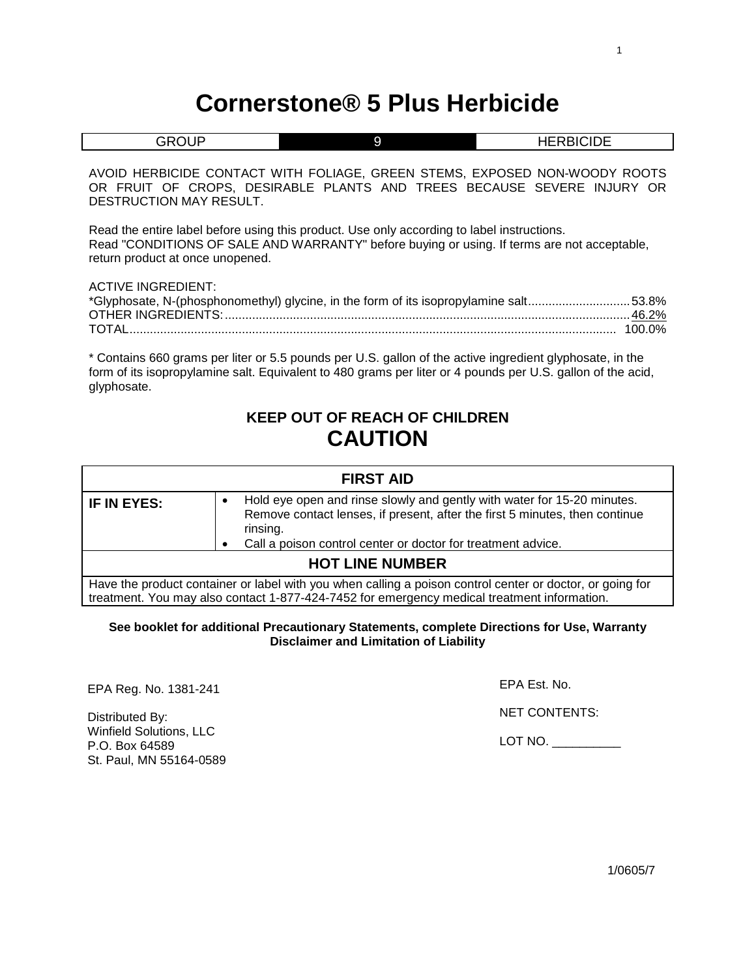# **Cornerstone® 5 Plus Herbicide**

| <b>GROUP</b>                                                                                                                                                                                                                  | 9                                                                                                                                                    | <b>HERBICIDE</b> |  |
|-------------------------------------------------------------------------------------------------------------------------------------------------------------------------------------------------------------------------------|------------------------------------------------------------------------------------------------------------------------------------------------------|------------------|--|
| DESTRUCTION MAY RESULT.                                                                                                                                                                                                       | AVOID HERBICIDE CONTACT WITH FOLIAGE, GREEN STEMS, EXPOSED NON-WOODY ROOTS<br>OR FRUIT OF CROPS, DESIRABLE PLANTS AND TREES BECAUSE SEVERE INJURY OR |                  |  |
| Read the entire label before using this product. Use only according to label instructions.<br>Read "CONDITIONS OF SALE AND WARRANTY" before buying or using. If terms are not acceptable,<br>return product at once unopened. |                                                                                                                                                      |                  |  |
| <b>ACTIVE INGREDIENT:</b>                                                                                                                                                                                                     | *Glyphosate, N-(phosphonomethyl) glycine, in the form of its isopropylamine salt53.8%                                                                | $100.0\%$        |  |
|                                                                                                                                                                                                                               | * Contains 660 grams per liter or 5.5 pounds per U.S. gallon of the active ingredient glyphosate, in the                                             |                  |  |

form of its isopropylamine salt. Equivalent to 480 grams per liter or 4 pounds per U.S. gallon of the acid, glyphosate.

## **KEEP OUT OF REACH OF CHILDREN CAUTION**

| <b>FIRST AID</b>       |                                                                                                                                                                                                                                    |  |
|------------------------|------------------------------------------------------------------------------------------------------------------------------------------------------------------------------------------------------------------------------------|--|
| IF IN EYES:            | Hold eye open and rinse slowly and gently with water for 15-20 minutes.<br>Remove contact lenses, if present, after the first 5 minutes, then continue<br>rinsing.<br>Call a poison control center or doctor for treatment advice. |  |
| <b>HOT LINE NUMBER</b> |                                                                                                                                                                                                                                    |  |
|                        | Have the product container or label with you when calling a poison control center or doctor, or going for<br>treatment. You may also contact 1-877-424-7452 for emergency medical treatment information.                           |  |

## **See booklet for additional Precautionary Statements, complete Directions for Use, Warranty Disclaimer and Limitation of Liability**

EPA Reg. No. 1381-241

Distributed By: Winfield Solutions, LLC P.O. Box 64589 St. Paul, MN 55164-0589 EPA Est. No.

NET CONTENTS:

LOT NO. \_\_\_\_\_\_\_\_\_\_

1/0605/7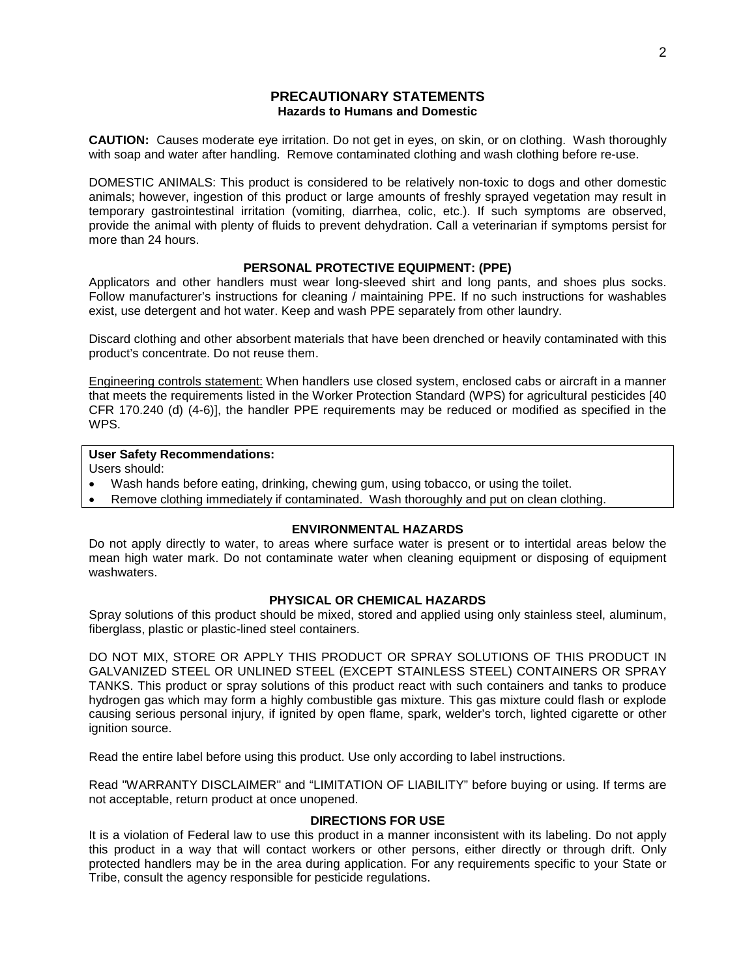## **PRECAUTIONARY STATEMENTS Hazards to Humans and Domestic**

**CAUTION:** Causes moderate eye irritation. Do not get in eyes, on skin, or on clothing. Wash thoroughly with soap and water after handling. Remove contaminated clothing and wash clothing before re-use.

DOMESTIC ANIMALS: This product is considered to be relatively non-toxic to dogs and other domestic animals; however, ingestion of this product or large amounts of freshly sprayed vegetation may result in temporary gastrointestinal irritation (vomiting, diarrhea, colic, etc.). If such symptoms are observed, provide the animal with plenty of fluids to prevent dehydration. Call a veterinarian if symptoms persist for more than 24 hours.

## **PERSONAL PROTECTIVE EQUIPMENT: (PPE)**

Applicators and other handlers must wear long-sleeved shirt and long pants, and shoes plus socks. Follow manufacturer's instructions for cleaning / maintaining PPE. If no such instructions for washables exist, use detergent and hot water. Keep and wash PPE separately from other laundry.

Discard clothing and other absorbent materials that have been drenched or heavily contaminated with this product's concentrate. Do not reuse them.

Engineering controls statement: When handlers use closed system, enclosed cabs or aircraft in a manner that meets the requirements listed in the Worker Protection Standard (WPS) for agricultural pesticides [40 CFR 170.240 (d) (4-6)], the handler PPE requirements may be reduced or modified as specified in the WPS.

## **User Safety Recommendations:**

Users should:

- Wash hands before eating, drinking, chewing gum, using tobacco, or using the toilet.
- Remove clothing immediately if contaminated. Wash thoroughly and put on clean clothing.

## **ENVIRONMENTAL HAZARDS**

Do not apply directly to water, to areas where surface water is present or to intertidal areas below the mean high water mark. Do not contaminate water when cleaning equipment or disposing of equipment washwaters.

## **PHYSICAL OR CHEMICAL HAZARDS**

Spray solutions of this product should be mixed, stored and applied using only stainless steel, aluminum, fiberglass, plastic or plastic-lined steel containers.

DO NOT MIX, STORE OR APPLY THIS PRODUCT OR SPRAY SOLUTIONS OF THIS PRODUCT IN GALVANIZED STEEL OR UNLINED STEEL (EXCEPT STAINLESS STEEL) CONTAINERS OR SPRAY TANKS. This product or spray solutions of this product react with such containers and tanks to produce hydrogen gas which may form a highly combustible gas mixture. This gas mixture could flash or explode causing serious personal injury, if ignited by open flame, spark, welder's torch, lighted cigarette or other ignition source.

Read the entire label before using this product. Use only according to label instructions.

Read "WARRANTY DISCLAIMER" and "LIMITATION OF LIABILITY" before buying or using. If terms are not acceptable, return product at once unopened.

## **DIRECTIONS FOR USE**

It is a violation of Federal law to use this product in a manner inconsistent with its labeling. Do not apply this product in a way that will contact workers or other persons, either directly or through drift. Only protected handlers may be in the area during application. For any requirements specific to your State or Tribe, consult the agency responsible for pesticide regulations.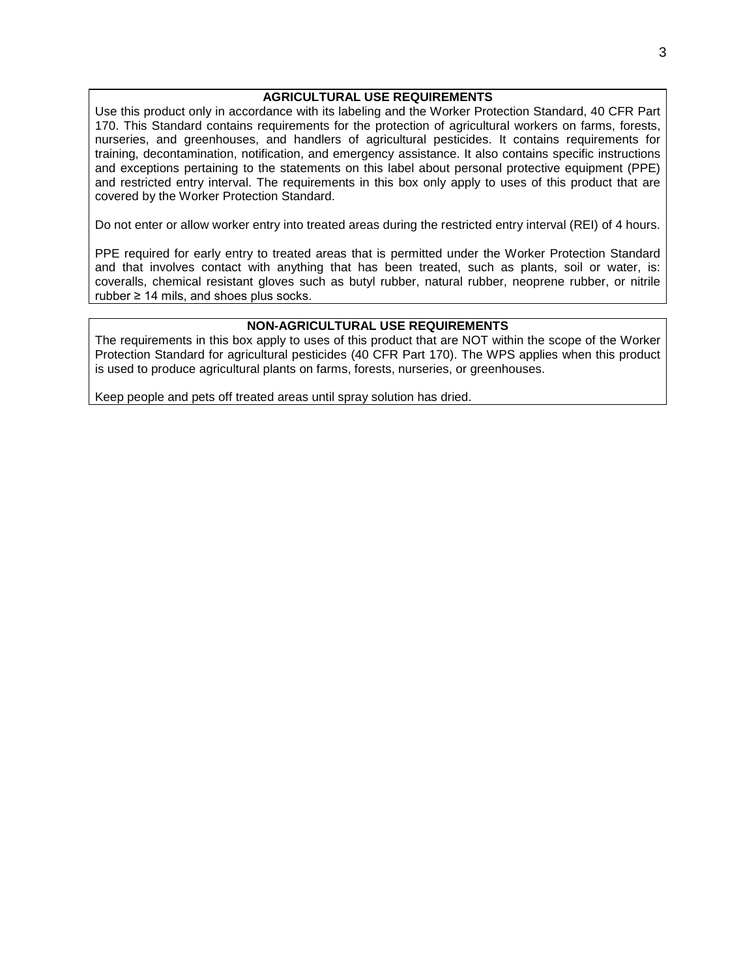## **AGRICULTURAL USE REQUIREMENTS**

Use this product only in accordance with its labeling and the Worker Protection Standard, 40 CFR Part 170. This Standard contains requirements for the protection of agricultural workers on farms, forests, nurseries, and greenhouses, and handlers of agricultural pesticides. It contains requirements for training, decontamination, notification, and emergency assistance. It also contains specific instructions and exceptions pertaining to the statements on this label about personal protective equipment (PPE) and restricted entry interval. The requirements in this box only apply to uses of this product that are covered by the Worker Protection Standard.

Do not enter or allow worker entry into treated areas during the restricted entry interval (REI) of 4 hours.

PPE required for early entry to treated areas that is permitted under the Worker Protection Standard and that involves contact with anything that has been treated, such as plants, soil or water, is: coveralls, chemical resistant gloves such as butyl rubber, natural rubber, neoprene rubber, or nitrile rubber ≥ 14 mils, and shoes plus socks.

## **NON-AGRICULTURAL USE REQUIREMENTS**

The requirements in this box apply to uses of this product that are NOT within the scope of the Worker Protection Standard for agricultural pesticides (40 CFR Part 170). The WPS applies when this product is used to produce agricultural plants on farms, forests, nurseries, or greenhouses.

Keep people and pets off treated areas until spray solution has dried.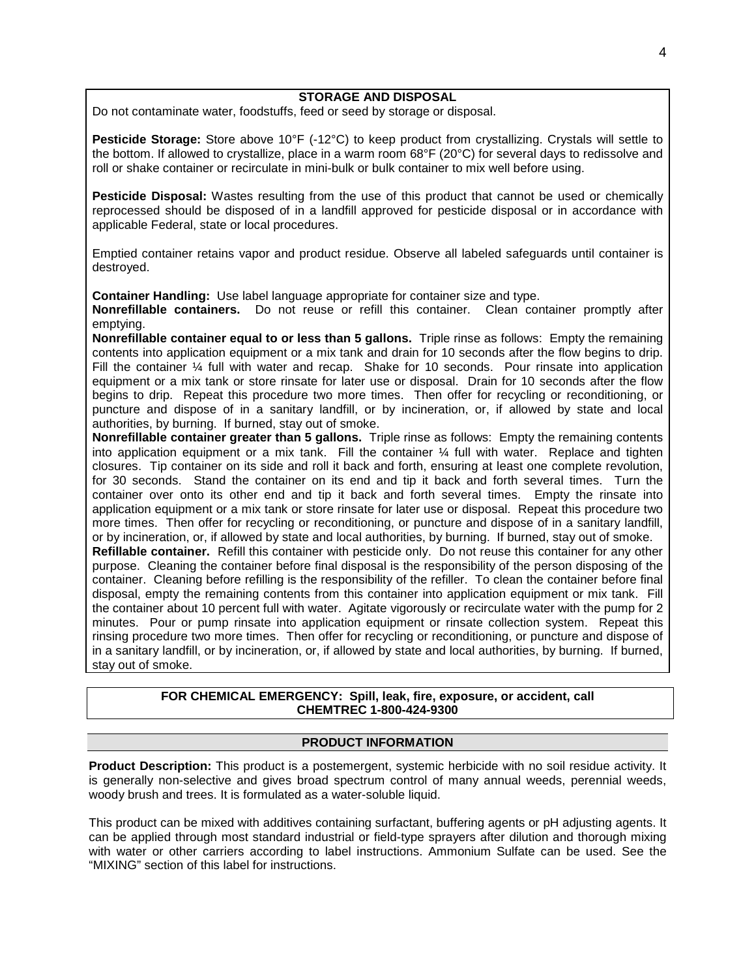## **STORAGE AND DISPOSAL**

Do not contaminate water, foodstuffs, feed or seed by storage or disposal.

**Pesticide Storage:** Store above 10°F (-12°C) to keep product from crystallizing. Crystals will settle to the bottom. If allowed to crystallize, place in a warm room 68°F (20°C) for several days to redissolve and roll or shake container or recirculate in mini-bulk or bulk container to mix well before using.

**Pesticide Disposal:** Wastes resulting from the use of this product that cannot be used or chemically reprocessed should be disposed of in a landfill approved for pesticide disposal or in accordance with applicable Federal, state or local procedures.

Emptied container retains vapor and product residue. Observe all labeled safeguards until container is destroyed.

**Container Handling:** Use label language appropriate for container size and type.

**Nonrefillable containers.** Do not reuse or refill this container. Clean container promptly after emptying.

**Nonrefillable container equal to or less than 5 gallons.** Triple rinse as follows: Empty the remaining contents into application equipment or a mix tank and drain for 10 seconds after the flow begins to drip. Fill the container 1/4 full with water and recap. Shake for 10 seconds. Pour rinsate into application equipment or a mix tank or store rinsate for later use or disposal. Drain for 10 seconds after the flow begins to drip. Repeat this procedure two more times. Then offer for recycling or reconditioning, or puncture and dispose of in a sanitary landfill, or by incineration, or, if allowed by state and local authorities, by burning. If burned, stay out of smoke.

**Nonrefillable container greater than 5 gallons.** Triple rinse as follows: Empty the remaining contents into application equipment or a mix tank. Fill the container  $\frac{1}{4}$  full with water. Replace and tighten closures. Tip container on its side and roll it back and forth, ensuring at least one complete revolution, for 30 seconds. Stand the container on its end and tip it back and forth several times. Turn the container over onto its other end and tip it back and forth several times. Empty the rinsate into application equipment or a mix tank or store rinsate for later use or disposal. Repeat this procedure two more times. Then offer for recycling or reconditioning, or puncture and dispose of in a sanitary landfill, or by incineration, or, if allowed by state and local authorities, by burning. If burned, stay out of smoke. **Refillable container.** Refill this container with pesticide only. Do not reuse this container for any other purpose. Cleaning the container before final disposal is the responsibility of the person disposing of the container. Cleaning before refilling is the responsibility of the refiller. To clean the container before final

disposal, empty the remaining contents from this container into application equipment or mix tank. Fill the container about 10 percent full with water. Agitate vigorously or recirculate water with the pump for 2 minutes. Pour or pump rinsate into application equipment or rinsate collection system. Repeat this rinsing procedure two more times. Then offer for recycling or reconditioning, or puncture and dispose of in a sanitary landfill, or by incineration, or, if allowed by state and local authorities, by burning. If burned, stay out of smoke.

## **FOR CHEMICAL EMERGENCY: Spill, leak, fire, exposure, or accident, call CHEMTREC 1-800-424-9300**

## **PRODUCT INFORMATION**

**Product Description:** This product is a postemergent, systemic herbicide with no soil residue activity. It is generally non-selective and gives broad spectrum control of many annual weeds, perennial weeds, woody brush and trees. It is formulated as a water-soluble liquid.

This product can be mixed with additives containing surfactant, buffering agents or pH adjusting agents. It can be applied through most standard industrial or field-type sprayers after dilution and thorough mixing with water or other carriers according to label instructions. Ammonium Sulfate can be used. See the "MIXING" section of this label for instructions.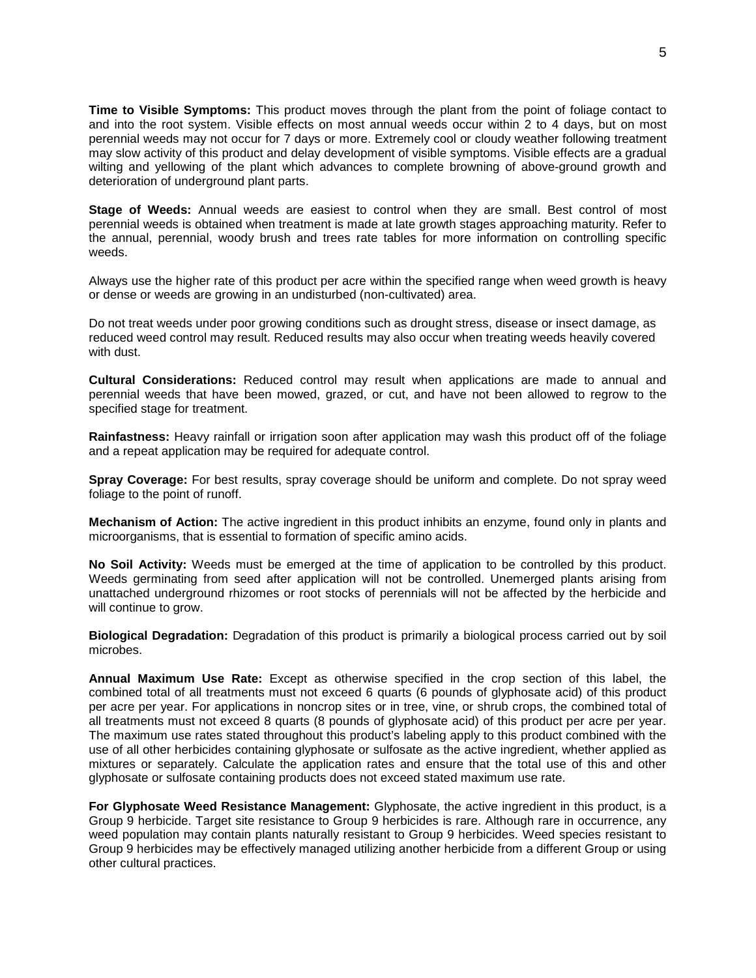**Time to Visible Symptoms:** This product moves through the plant from the point of foliage contact to and into the root system. Visible effects on most annual weeds occur within 2 to 4 days, but on most perennial weeds may not occur for 7 days or more. Extremely cool or cloudy weather following treatment may slow activity of this product and delay development of visible symptoms. Visible effects are a gradual wilting and yellowing of the plant which advances to complete browning of above-ground growth and deterioration of underground plant parts.

**Stage of Weeds:** Annual weeds are easiest to control when they are small. Best control of most perennial weeds is obtained when treatment is made at late growth stages approaching maturity. Refer to the annual, perennial, woody brush and trees rate tables for more information on controlling specific weeds.

Always use the higher rate of this product per acre within the specified range when weed growth is heavy or dense or weeds are growing in an undisturbed (non-cultivated) area.

Do not treat weeds under poor growing conditions such as drought stress, disease or insect damage, as reduced weed control may result. Reduced results may also occur when treating weeds heavily covered with dust.

**Cultural Considerations:** Reduced control may result when applications are made to annual and perennial weeds that have been mowed, grazed, or cut, and have not been allowed to regrow to the specified stage for treatment.

**Rainfastness:** Heavy rainfall or irrigation soon after application may wash this product off of the foliage and a repeat application may be required for adequate control.

**Spray Coverage:** For best results, spray coverage should be uniform and complete. Do not spray weed foliage to the point of runoff.

**Mechanism of Action:** The active ingredient in this product inhibits an enzyme, found only in plants and microorganisms, that is essential to formation of specific amino acids.

**No Soil Activity:** Weeds must be emerged at the time of application to be controlled by this product. Weeds germinating from seed after application will not be controlled. Unemerged plants arising from unattached underground rhizomes or root stocks of perennials will not be affected by the herbicide and will continue to grow.

**Biological Degradation:** Degradation of this product is primarily a biological process carried out by soil microbes.

**Annual Maximum Use Rate:** Except as otherwise specified in the crop section of this label, the combined total of all treatments must not exceed 6 quarts (6 pounds of glyphosate acid) of this product per acre per year. For applications in noncrop sites or in tree, vine, or shrub crops, the combined total of all treatments must not exceed 8 quarts (8 pounds of glyphosate acid) of this product per acre per year. The maximum use rates stated throughout this product's labeling apply to this product combined with the use of all other herbicides containing glyphosate or sulfosate as the active ingredient, whether applied as mixtures or separately. Calculate the application rates and ensure that the total use of this and other glyphosate or sulfosate containing products does not exceed stated maximum use rate.

**For Glyphosate Weed Resistance Management:** Glyphosate, the active ingredient in this product, is a Group 9 herbicide. Target site resistance to Group 9 herbicides is rare. Although rare in occurrence, any weed population may contain plants naturally resistant to Group 9 herbicides. Weed species resistant to Group 9 herbicides may be effectively managed utilizing another herbicide from a different Group or using other cultural practices.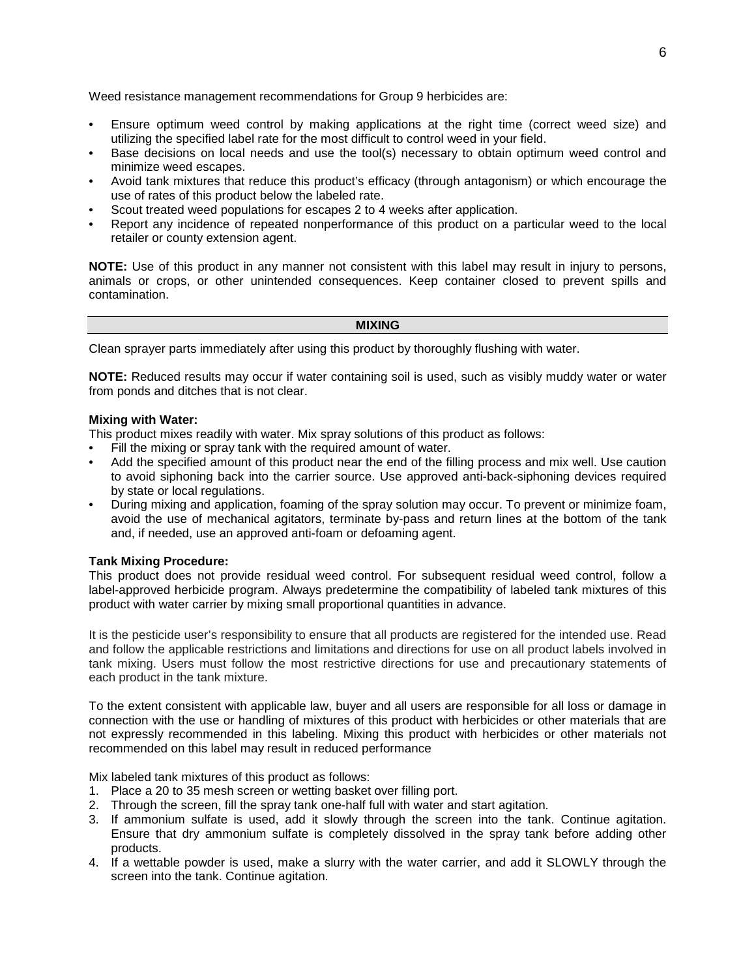Weed resistance management recommendations for Group 9 herbicides are:

- Ensure optimum weed control by making applications at the right time (correct weed size) and utilizing the specified label rate for the most difficult to control weed in your field.
- Base decisions on local needs and use the tool(s) necessary to obtain optimum weed control and minimize weed escapes.
- Avoid tank mixtures that reduce this product's efficacy (through antagonism) or which encourage the use of rates of this product below the labeled rate.
- Scout treated weed populations for escapes 2 to 4 weeks after application.
- Report any incidence of repeated nonperformance of this product on a particular weed to the local retailer or county extension agent.

**NOTE:** Use of this product in any manner not consistent with this label may result in injury to persons, animals or crops, or other unintended consequences. Keep container closed to prevent spills and contamination.

#### **MIXING**

Clean sprayer parts immediately after using this product by thoroughly flushing with water.

**NOTE:** Reduced results may occur if water containing soil is used, such as visibly muddy water or water from ponds and ditches that is not clear.

## **Mixing with Water:**

This product mixes readily with water. Mix spray solutions of this product as follows:

- Fill the mixing or spray tank with the required amount of water.
- Add the specified amount of this product near the end of the filling process and mix well. Use caution to avoid siphoning back into the carrier source. Use approved anti-back-siphoning devices required by state or local regulations.
- During mixing and application, foaming of the spray solution may occur. To prevent or minimize foam, avoid the use of mechanical agitators, terminate by-pass and return lines at the bottom of the tank and, if needed, use an approved anti-foam or defoaming agent.

## **Tank Mixing Procedure:**

This product does not provide residual weed control. For subsequent residual weed control, follow a label-approved herbicide program. Always predetermine the compatibility of labeled tank mixtures of this product with water carrier by mixing small proportional quantities in advance.

It is the pesticide user's responsibility to ensure that all products are registered for the intended use. Read and follow the applicable restrictions and limitations and directions for use on all product labels involved in tank mixing. Users must follow the most restrictive directions for use and precautionary statements of each product in the tank mixture.

To the extent consistent with applicable law, buyer and all users are responsible for all loss or damage in connection with the use or handling of mixtures of this product with herbicides or other materials that are not expressly recommended in this labeling. Mixing this product with herbicides or other materials not recommended on this label may result in reduced performance

Mix labeled tank mixtures of this product as follows:

- 1. Place a 20 to 35 mesh screen or wetting basket over filling port.
- 2. Through the screen, fill the spray tank one-half full with water and start agitation.
- 3. If ammonium sulfate is used, add it slowly through the screen into the tank. Continue agitation. Ensure that dry ammonium sulfate is completely dissolved in the spray tank before adding other products.
- 4. If a wettable powder is used, make a slurry with the water carrier, and add it SLOWLY through the screen into the tank. Continue agitation.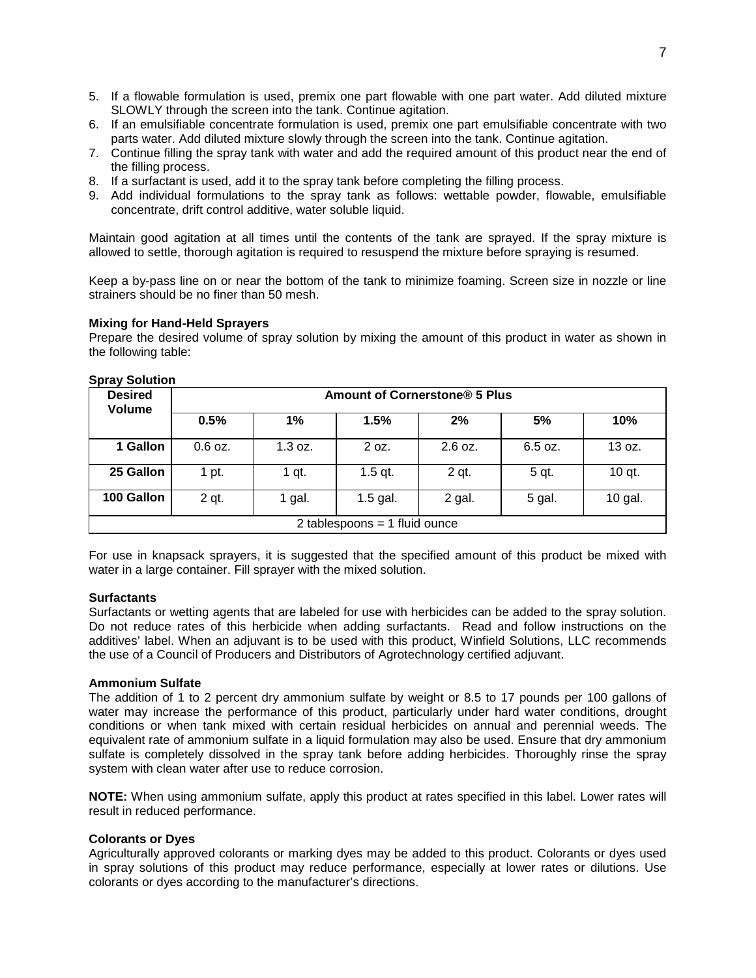- 5. If a flowable formulation is used, premix one part flowable with one part water. Add diluted mixture SLOWLY through the screen into the tank. Continue agitation.
- 6. If an emulsifiable concentrate formulation is used, premix one part emulsifiable concentrate with two parts water. Add diluted mixture slowly through the screen into the tank. Continue agitation.
- 7. Continue filling the spray tank with water and add the required amount of this product near the end of the filling process.
- 8. If a surfactant is used, add it to the spray tank before completing the filling process.
- 9. Add individual formulations to the spray tank as follows: wettable powder, flowable, emulsifiable concentrate, drift control additive, water soluble liquid.

Maintain good agitation at all times until the contents of the tank are sprayed. If the spray mixture is allowed to settle, thorough agitation is required to resuspend the mixture before spraying is resumed.

Keep a by-pass line on or near the bottom of the tank to minimize foaming. Screen size in nozzle or line strainers should be no finer than 50 mesh.

## **Mixing for Hand-Held Sprayers**

Prepare the desired volume of spray solution by mixing the amount of this product in water as shown in the following table:

| <b>Desired</b><br><b>Volume</b> | Amount of Cornerstone® 5 Plus |         |            |           |         |         |
|---------------------------------|-------------------------------|---------|------------|-----------|---------|---------|
|                                 | 0.5%                          | 1%      | 1.5%       | 2%        | 5%      | 10%     |
| 1 Gallon                        | $0.6$ oz.                     | 1.3 oz. | 2 oz.      | $2.6$ oz. | 6.5 oz. | 13 oz.  |
| 25 Gallon                       | 1 pt.                         | 1 qt.   | $1.5$ qt.  | 2 qt.     | 5 qt.   | 10 qt.  |
| 100 Gallon                      | 2 qt.                         | 1 gal.  | $1.5$ gal. | 2 gal.    | 5 gal.  | 10 gal. |
| 2 tablespoons = $1$ fluid ounce |                               |         |            |           |         |         |

#### **Spray Solution**

For use in knapsack sprayers, it is suggested that the specified amount of this product be mixed with water in a large container. Fill sprayer with the mixed solution.

#### **Surfactants**

Surfactants or wetting agents that are labeled for use with herbicides can be added to the spray solution. Do not reduce rates of this herbicide when adding surfactants. Read and follow instructions on the additives' label. When an adjuvant is to be used with this product, Winfield Solutions, LLC recommends the use of a Council of Producers and Distributors of Agrotechnology certified adjuvant.

#### **Ammonium Sulfate**

The addition of 1 to 2 percent dry ammonium sulfate by weight or 8.5 to 17 pounds per 100 gallons of water may increase the performance of this product, particularly under hard water conditions, drought conditions or when tank mixed with certain residual herbicides on annual and perennial weeds. The equivalent rate of ammonium sulfate in a liquid formulation may also be used. Ensure that dry ammonium sulfate is completely dissolved in the spray tank before adding herbicides. Thoroughly rinse the spray system with clean water after use to reduce corrosion.

**NOTE:** When using ammonium sulfate, apply this product at rates specified in this label. Lower rates will result in reduced performance.

#### **Colorants or Dyes**

Agriculturally approved colorants or marking dyes may be added to this product. Colorants or dyes used in spray solutions of this product may reduce performance, especially at lower rates or dilutions. Use colorants or dyes according to the manufacturer's directions.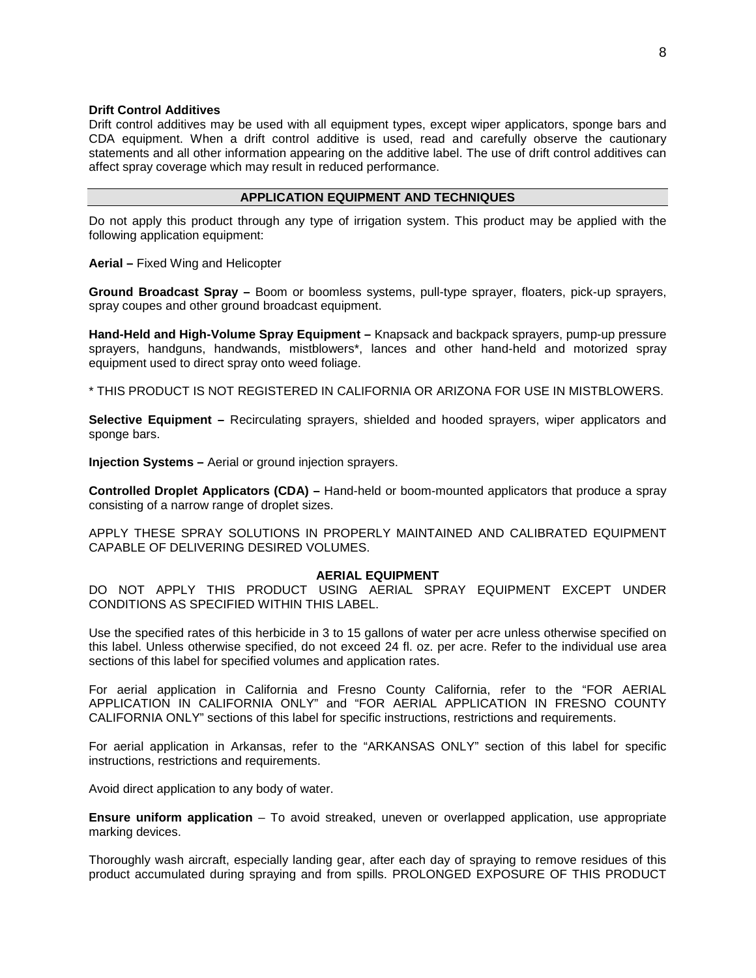#### **Drift Control Additives**

Drift control additives may be used with all equipment types, except wiper applicators, sponge bars and CDA equipment. When a drift control additive is used, read and carefully observe the cautionary statements and all other information appearing on the additive label. The use of drift control additives can affect spray coverage which may result in reduced performance.

## **APPLICATION EQUIPMENT AND TECHNIQUES**

Do not apply this product through any type of irrigation system. This product may be applied with the following application equipment:

**Aerial –** Fixed Wing and Helicopter

**Ground Broadcast Spray –** Boom or boomless systems, pull-type sprayer, floaters, pick-up sprayers, spray coupes and other ground broadcast equipment.

**Hand-Held and High-Volume Spray Equipment –** Knapsack and backpack sprayers, pump-up pressure sprayers, handguns, handwands, mistblowers\*, lances and other hand-held and motorized spray equipment used to direct spray onto weed foliage.

\* THIS PRODUCT IS NOT REGISTERED IN CALIFORNIA OR ARIZONA FOR USE IN MISTBLOWERS.

**Selective Equipment –** Recirculating sprayers, shielded and hooded sprayers, wiper applicators and sponge bars.

**Injection Systems –** Aerial or ground injection sprayers.

**Controlled Droplet Applicators (CDA) –** Hand-held or boom-mounted applicators that produce a spray consisting of a narrow range of droplet sizes.

APPLY THESE SPRAY SOLUTIONS IN PROPERLY MAINTAINED AND CALIBRATED EQUIPMENT CAPABLE OF DELIVERING DESIRED VOLUMES.

## **AERIAL EQUIPMENT**

DO NOT APPLY THIS PRODUCT USING AERIAL SPRAY EQUIPMENT EXCEPT UNDER CONDITIONS AS SPECIFIED WITHIN THIS LABEL.

Use the specified rates of this herbicide in 3 to 15 gallons of water per acre unless otherwise specified on this label. Unless otherwise specified, do not exceed 24 fl. oz. per acre. Refer to the individual use area sections of this label for specified volumes and application rates.

For aerial application in California and Fresno County California, refer to the "FOR AERIAL APPLICATION IN CALIFORNIA ONLY" and "FOR AERIAL APPLICATION IN FRESNO COUNTY CALIFORNIA ONLY" sections of this label for specific instructions, restrictions and requirements.

For aerial application in Arkansas, refer to the "ARKANSAS ONLY" section of this label for specific instructions, restrictions and requirements.

Avoid direct application to any body of water.

**Ensure uniform application** – To avoid streaked, uneven or overlapped application, use appropriate marking devices.

Thoroughly wash aircraft, especially landing gear, after each day of spraying to remove residues of this product accumulated during spraying and from spills. PROLONGED EXPOSURE OF THIS PRODUCT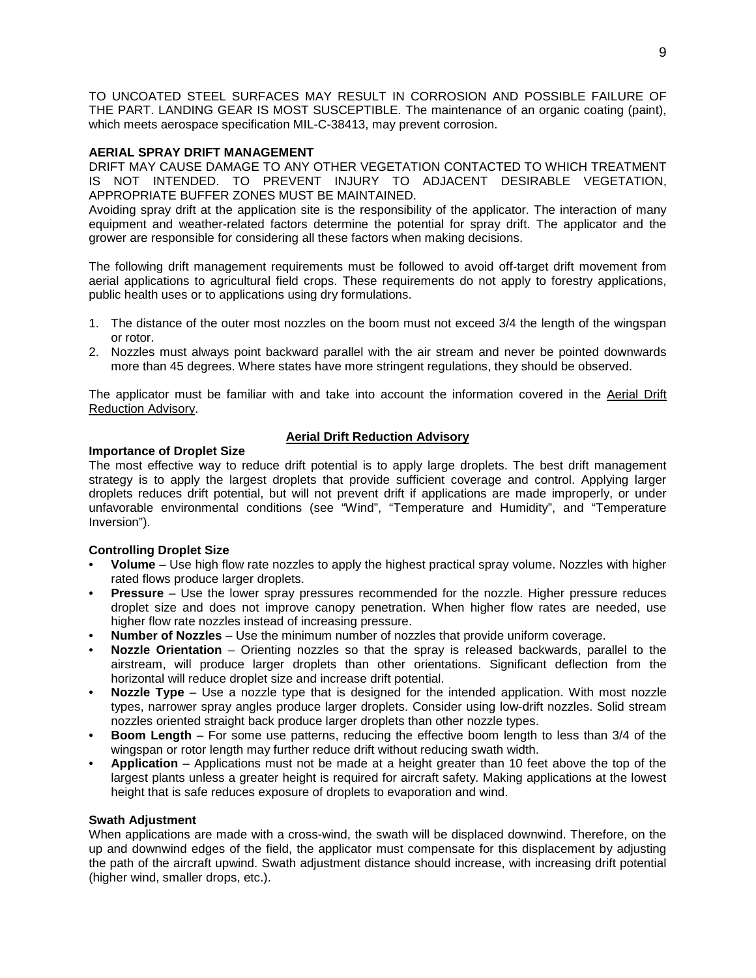TO UNCOATED STEEL SURFACES MAY RESULT IN CORROSION AND POSSIBLE FAILURE OF THE PART. LANDING GEAR IS MOST SUSCEPTIBLE. The maintenance of an organic coating (paint), which meets aerospace specification MIL-C-38413, may prevent corrosion.

## **AERIAL SPRAY DRIFT MANAGEMENT**

DRIFT MAY CAUSE DAMAGE TO ANY OTHER VEGETATION CONTACTED TO WHICH TREATMENT IS NOT INTENDED. TO PREVENT INJURY TO ADJACENT DESIRABLE VEGETATION, APPROPRIATE BUFFER ZONES MUST BE MAINTAINED.

Avoiding spray drift at the application site is the responsibility of the applicator. The interaction of many equipment and weather-related factors determine the potential for spray drift. The applicator and the grower are responsible for considering all these factors when making decisions.

The following drift management requirements must be followed to avoid off-target drift movement from aerial applications to agricultural field crops. These requirements do not apply to forestry applications, public health uses or to applications using dry formulations.

- 1. The distance of the outer most nozzles on the boom must not exceed 3/4 the length of the wingspan or rotor.
- 2. Nozzles must always point backward parallel with the air stream and never be pointed downwards more than 45 degrees. Where states have more stringent regulations, they should be observed.

The applicator must be familiar with and take into account the information covered in the Aerial Drift Reduction Advisory.

## **Aerial Drift Reduction Advisory**

## **Importance of Droplet Size**

The most effective way to reduce drift potential is to apply large droplets. The best drift management strategy is to apply the largest droplets that provide sufficient coverage and control. Applying larger droplets reduces drift potential, but will not prevent drift if applications are made improperly, or under unfavorable environmental conditions (see "Wind", "Temperature and Humidity", and "Temperature Inversion").

## **Controlling Droplet Size**

- **Volume** Use high flow rate nozzles to apply the highest practical spray volume. Nozzles with higher rated flows produce larger droplets.
- **Pressure** Use the lower spray pressures recommended for the nozzle. Higher pressure reduces droplet size and does not improve canopy penetration. When higher flow rates are needed, use higher flow rate nozzles instead of increasing pressure.
- **Number of Nozzles** Use the minimum number of nozzles that provide uniform coverage.
- **Nozzle Orientation** Orienting nozzles so that the spray is released backwards, parallel to the airstream, will produce larger droplets than other orientations. Significant deflection from the horizontal will reduce droplet size and increase drift potential.
- **Nozzle Type** Use a nozzle type that is designed for the intended application. With most nozzle types, narrower spray angles produce larger droplets. Consider using low-drift nozzles. Solid stream nozzles oriented straight back produce larger droplets than other nozzle types.
- **Boom Length** For some use patterns, reducing the effective boom length to less than 3/4 of the wingspan or rotor length may further reduce drift without reducing swath width.
- **Application** Applications must not be made at a height greater than 10 feet above the top of the largest plants unless a greater height is required for aircraft safety. Making applications at the lowest height that is safe reduces exposure of droplets to evaporation and wind.

## **Swath Adjustment**

When applications are made with a cross-wind, the swath will be displaced downwind. Therefore, on the up and downwind edges of the field, the applicator must compensate for this displacement by adjusting the path of the aircraft upwind. Swath adjustment distance should increase, with increasing drift potential (higher wind, smaller drops, etc.).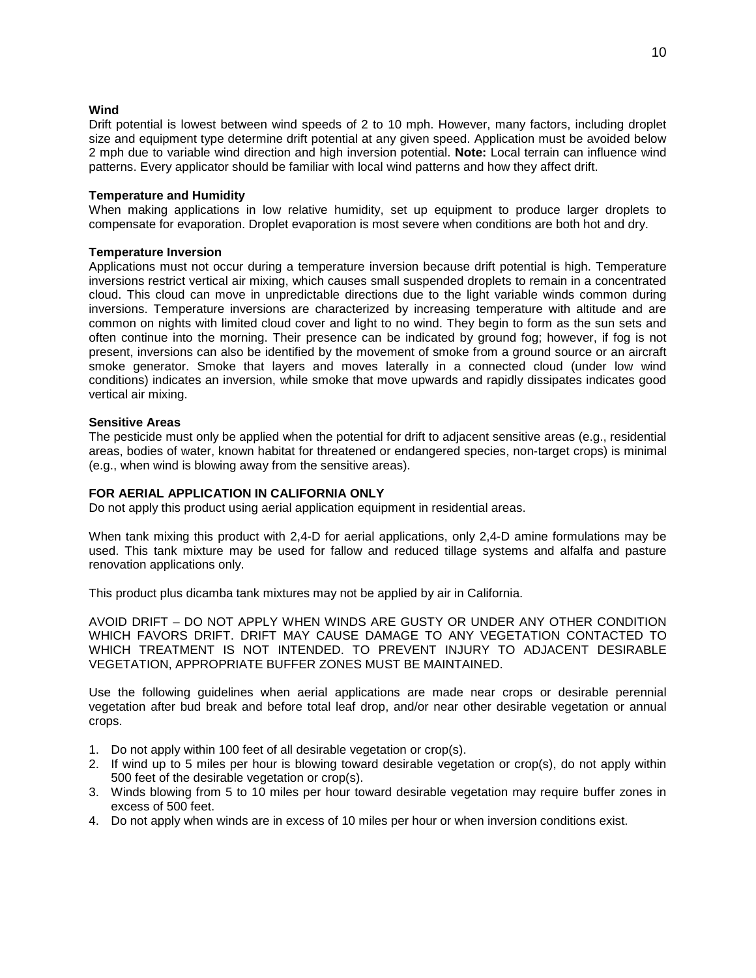## **Wind**

Drift potential is lowest between wind speeds of 2 to 10 mph. However, many factors, including droplet size and equipment type determine drift potential at any given speed. Application must be avoided below 2 mph due to variable wind direction and high inversion potential. **Note:** Local terrain can influence wind patterns. Every applicator should be familiar with local wind patterns and how they affect drift.

## **Temperature and Humidity**

When making applications in low relative humidity, set up equipment to produce larger droplets to compensate for evaporation. Droplet evaporation is most severe when conditions are both hot and dry.

## **Temperature Inversion**

Applications must not occur during a temperature inversion because drift potential is high. Temperature inversions restrict vertical air mixing, which causes small suspended droplets to remain in a concentrated cloud. This cloud can move in unpredictable directions due to the light variable winds common during inversions. Temperature inversions are characterized by increasing temperature with altitude and are common on nights with limited cloud cover and light to no wind. They begin to form as the sun sets and often continue into the morning. Their presence can be indicated by ground fog; however, if fog is not present, inversions can also be identified by the movement of smoke from a ground source or an aircraft smoke generator. Smoke that layers and moves laterally in a connected cloud (under low wind conditions) indicates an inversion, while smoke that move upwards and rapidly dissipates indicates good vertical air mixing.

## **Sensitive Areas**

The pesticide must only be applied when the potential for drift to adjacent sensitive areas (e.g., residential areas, bodies of water, known habitat for threatened or endangered species, non-target crops) is minimal (e.g., when wind is blowing away from the sensitive areas).

## **FOR AERIAL APPLICATION IN CALIFORNIA ONLY**

Do not apply this product using aerial application equipment in residential areas.

When tank mixing this product with 2,4-D for aerial applications, only 2,4-D amine formulations may be used. This tank mixture may be used for fallow and reduced tillage systems and alfalfa and pasture renovation applications only.

This product plus dicamba tank mixtures may not be applied by air in California.

AVOID DRIFT – DO NOT APPLY WHEN WINDS ARE GUSTY OR UNDER ANY OTHER CONDITION WHICH FAVORS DRIFT. DRIFT MAY CAUSE DAMAGE TO ANY VEGETATION CONTACTED TO WHICH TREATMENT IS NOT INTENDED. TO PREVENT INJURY TO ADJACENT DESIRABLE VEGETATION, APPROPRIATE BUFFER ZONES MUST BE MAINTAINED.

Use the following guidelines when aerial applications are made near crops or desirable perennial vegetation after bud break and before total leaf drop, and/or near other desirable vegetation or annual crops.

- 1. Do not apply within 100 feet of all desirable vegetation or crop(s).
- 2. If wind up to 5 miles per hour is blowing toward desirable vegetation or crop(s), do not apply within 500 feet of the desirable vegetation or crop(s).
- 3. Winds blowing from 5 to 10 miles per hour toward desirable vegetation may require buffer zones in excess of 500 feet.
- 4. Do not apply when winds are in excess of 10 miles per hour or when inversion conditions exist.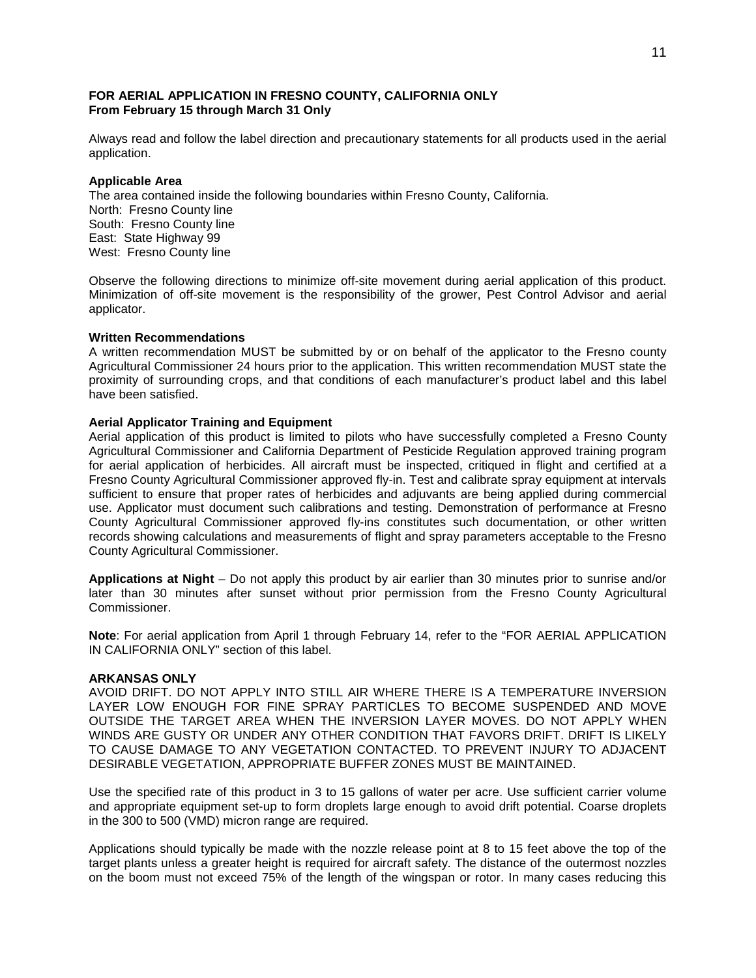## **FOR AERIAL APPLICATION IN FRESNO COUNTY, CALIFORNIA ONLY From February 15 through March 31 Only**

Always read and follow the label direction and precautionary statements for all products used in the aerial application.

## **Applicable Area**

The area contained inside the following boundaries within Fresno County, California. North: Fresno County line South: Fresno County line East: State Highway 99 West: Fresno County line

Observe the following directions to minimize off-site movement during aerial application of this product. Minimization of off-site movement is the responsibility of the grower, Pest Control Advisor and aerial applicator.

#### **Written Recommendations**

A written recommendation MUST be submitted by or on behalf of the applicator to the Fresno county Agricultural Commissioner 24 hours prior to the application. This written recommendation MUST state the proximity of surrounding crops, and that conditions of each manufacturer's product label and this label have been satisfied.

## **Aerial Applicator Training and Equipment**

Aerial application of this product is limited to pilots who have successfully completed a Fresno County Agricultural Commissioner and California Department of Pesticide Regulation approved training program for aerial application of herbicides. All aircraft must be inspected, critiqued in flight and certified at a Fresno County Agricultural Commissioner approved fly-in. Test and calibrate spray equipment at intervals sufficient to ensure that proper rates of herbicides and adjuvants are being applied during commercial use. Applicator must document such calibrations and testing. Demonstration of performance at Fresno County Agricultural Commissioner approved fly-ins constitutes such documentation, or other written records showing calculations and measurements of flight and spray parameters acceptable to the Fresno County Agricultural Commissioner.

**Applications at Night** – Do not apply this product by air earlier than 30 minutes prior to sunrise and/or later than 30 minutes after sunset without prior permission from the Fresno County Agricultural Commissioner.

**Note**: For aerial application from April 1 through February 14, refer to the "FOR AERIAL APPLICATION IN CALIFORNIA ONLY" section of this label.

#### **ARKANSAS ONLY**

AVOID DRIFT. DO NOT APPLY INTO STILL AIR WHERE THERE IS A TEMPERATURE INVERSION LAYER LOW ENOUGH FOR FINE SPRAY PARTICLES TO BECOME SUSPENDED AND MOVE OUTSIDE THE TARGET AREA WHEN THE INVERSION LAYER MOVES. DO NOT APPLY WHEN WINDS ARE GUSTY OR UNDER ANY OTHER CONDITION THAT FAVORS DRIFT. DRIFT IS LIKELY TO CAUSE DAMAGE TO ANY VEGETATION CONTACTED. TO PREVENT INJURY TO ADJACENT DESIRABLE VEGETATION, APPROPRIATE BUFFER ZONES MUST BE MAINTAINED.

Use the specified rate of this product in 3 to 15 gallons of water per acre. Use sufficient carrier volume and appropriate equipment set-up to form droplets large enough to avoid drift potential. Coarse droplets in the 300 to 500 (VMD) micron range are required.

Applications should typically be made with the nozzle release point at 8 to 15 feet above the top of the target plants unless a greater height is required for aircraft safety. The distance of the outermost nozzles on the boom must not exceed 75% of the length of the wingspan or rotor. In many cases reducing this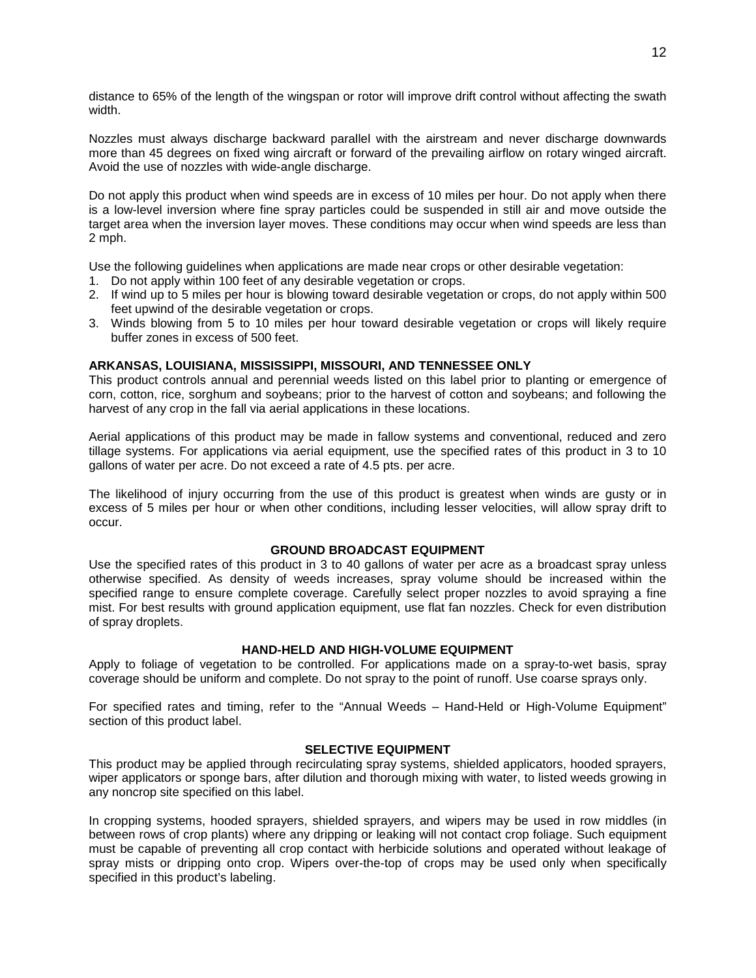distance to 65% of the length of the wingspan or rotor will improve drift control without affecting the swath width.

Nozzles must always discharge backward parallel with the airstream and never discharge downwards more than 45 degrees on fixed wing aircraft or forward of the prevailing airflow on rotary winged aircraft. Avoid the use of nozzles with wide-angle discharge.

Do not apply this product when wind speeds are in excess of 10 miles per hour. Do not apply when there is a low-level inversion where fine spray particles could be suspended in still air and move outside the target area when the inversion layer moves. These conditions may occur when wind speeds are less than 2 mph.

Use the following guidelines when applications are made near crops or other desirable vegetation:

- 1. Do not apply within 100 feet of any desirable vegetation or crops.
- 2. If wind up to 5 miles per hour is blowing toward desirable vegetation or crops, do not apply within 500 feet upwind of the desirable vegetation or crops.
- 3. Winds blowing from 5 to 10 miles per hour toward desirable vegetation or crops will likely require buffer zones in excess of 500 feet.

## **ARKANSAS, LOUISIANA, MISSISSIPPI, MISSOURI, AND TENNESSEE ONLY**

This product controls annual and perennial weeds listed on this label prior to planting or emergence of corn, cotton, rice, sorghum and soybeans; prior to the harvest of cotton and soybeans; and following the harvest of any crop in the fall via aerial applications in these locations.

Aerial applications of this product may be made in fallow systems and conventional, reduced and zero tillage systems. For applications via aerial equipment, use the specified rates of this product in 3 to 10 gallons of water per acre. Do not exceed a rate of 4.5 pts. per acre.

The likelihood of injury occurring from the use of this product is greatest when winds are gusty or in excess of 5 miles per hour or when other conditions, including lesser velocities, will allow spray drift to occur.

## **GROUND BROADCAST EQUIPMENT**

Use the specified rates of this product in 3 to 40 gallons of water per acre as a broadcast spray unless otherwise specified. As density of weeds increases, spray volume should be increased within the specified range to ensure complete coverage. Carefully select proper nozzles to avoid spraying a fine mist. For best results with ground application equipment, use flat fan nozzles. Check for even distribution of spray droplets.

## **HAND-HELD AND HIGH-VOLUME EQUIPMENT**

Apply to foliage of vegetation to be controlled. For applications made on a spray-to-wet basis, spray coverage should be uniform and complete. Do not spray to the point of runoff. Use coarse sprays only.

For specified rates and timing, refer to the "Annual Weeds – Hand-Held or High-Volume Equipment" section of this product label.

#### **SELECTIVE EQUIPMENT**

This product may be applied through recirculating spray systems, shielded applicators, hooded sprayers, wiper applicators or sponge bars, after dilution and thorough mixing with water, to listed weeds growing in any noncrop site specified on this label.

In cropping systems, hooded sprayers, shielded sprayers, and wipers may be used in row middles (in between rows of crop plants) where any dripping or leaking will not contact crop foliage. Such equipment must be capable of preventing all crop contact with herbicide solutions and operated without leakage of spray mists or dripping onto crop. Wipers over-the-top of crops may be used only when specifically specified in this product's labeling.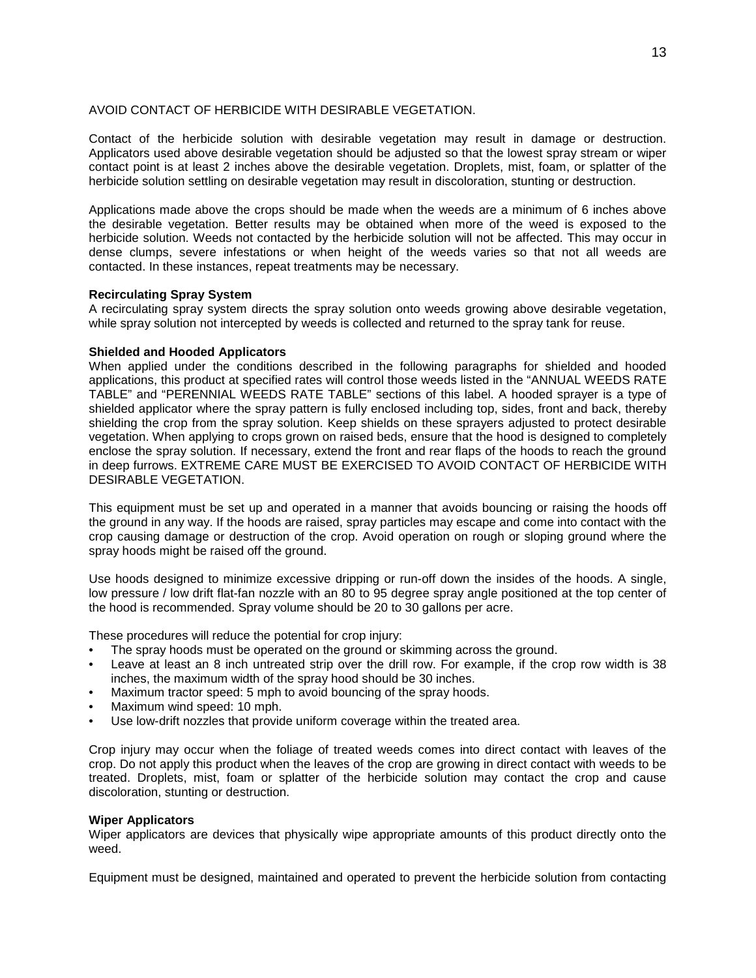## AVOID CONTACT OF HERBICIDE WITH DESIRABLE VEGETATION.

Contact of the herbicide solution with desirable vegetation may result in damage or destruction. Applicators used above desirable vegetation should be adjusted so that the lowest spray stream or wiper contact point is at least 2 inches above the desirable vegetation. Droplets, mist, foam, or splatter of the herbicide solution settling on desirable vegetation may result in discoloration, stunting or destruction.

Applications made above the crops should be made when the weeds are a minimum of 6 inches above the desirable vegetation. Better results may be obtained when more of the weed is exposed to the herbicide solution. Weeds not contacted by the herbicide solution will not be affected. This may occur in dense clumps, severe infestations or when height of the weeds varies so that not all weeds are contacted. In these instances, repeat treatments may be necessary.

## **Recirculating Spray System**

A recirculating spray system directs the spray solution onto weeds growing above desirable vegetation, while spray solution not intercepted by weeds is collected and returned to the spray tank for reuse.

## **Shielded and Hooded Applicators**

When applied under the conditions described in the following paragraphs for shielded and hooded applications, this product at specified rates will control those weeds listed in the "ANNUAL WEEDS RATE TABLE" and "PERENNIAL WEEDS RATE TABLE" sections of this label. A hooded sprayer is a type of shielded applicator where the spray pattern is fully enclosed including top, sides, front and back, thereby shielding the crop from the spray solution. Keep shields on these sprayers adjusted to protect desirable vegetation. When applying to crops grown on raised beds, ensure that the hood is designed to completely enclose the spray solution. If necessary, extend the front and rear flaps of the hoods to reach the ground in deep furrows. EXTREME CARE MUST BE EXERCISED TO AVOID CONTACT OF HERBICIDE WITH DESIRABLE VEGETATION.

This equipment must be set up and operated in a manner that avoids bouncing or raising the hoods off the ground in any way. If the hoods are raised, spray particles may escape and come into contact with the crop causing damage or destruction of the crop. Avoid operation on rough or sloping ground where the spray hoods might be raised off the ground.

Use hoods designed to minimize excessive dripping or run-off down the insides of the hoods. A single, low pressure / low drift flat-fan nozzle with an 80 to 95 degree spray angle positioned at the top center of the hood is recommended. Spray volume should be 20 to 30 gallons per acre.

These procedures will reduce the potential for crop injury:

- The spray hoods must be operated on the ground or skimming across the ground.
- Leave at least an 8 inch untreated strip over the drill row. For example, if the crop row width is 38 inches, the maximum width of the spray hood should be 30 inches.
- Maximum tractor speed: 5 mph to avoid bouncing of the spray hoods.
- Maximum wind speed: 10 mph.
- Use low-drift nozzles that provide uniform coverage within the treated area.

Crop injury may occur when the foliage of treated weeds comes into direct contact with leaves of the crop. Do not apply this product when the leaves of the crop are growing in direct contact with weeds to be treated. Droplets, mist, foam or splatter of the herbicide solution may contact the crop and cause discoloration, stunting or destruction.

#### **Wiper Applicators**

Wiper applicators are devices that physically wipe appropriate amounts of this product directly onto the weed.

Equipment must be designed, maintained and operated to prevent the herbicide solution from contacting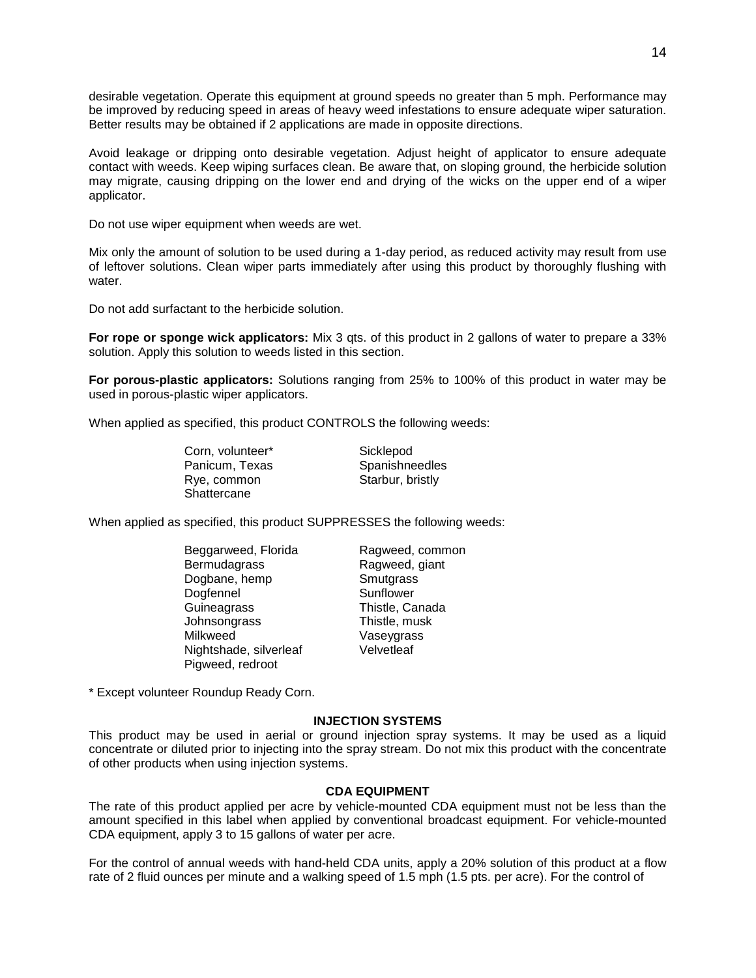desirable vegetation. Operate this equipment at ground speeds no greater than 5 mph. Performance may be improved by reducing speed in areas of heavy weed infestations to ensure adequate wiper saturation. Better results may be obtained if 2 applications are made in opposite directions.

Avoid leakage or dripping onto desirable vegetation. Adjust height of applicator to ensure adequate contact with weeds. Keep wiping surfaces clean. Be aware that, on sloping ground, the herbicide solution may migrate, causing dripping on the lower end and drying of the wicks on the upper end of a wiper applicator.

Do not use wiper equipment when weeds are wet.

Mix only the amount of solution to be used during a 1-day period, as reduced activity may result from use of leftover solutions. Clean wiper parts immediately after using this product by thoroughly flushing with water.

Do not add surfactant to the herbicide solution.

**For rope or sponge wick applicators:** Mix 3 qts. of this product in 2 gallons of water to prepare a 33% solution. Apply this solution to weeds listed in this section.

**For porous-plastic applicators:** Solutions ranging from 25% to 100% of this product in water may be used in porous-plastic wiper applicators.

When applied as specified, this product CONTROLS the following weeds:

Corn, volunteer\* Sicklepod Panicum, Texas Spanishneedles<br>
Rye. common Starbur. bristly **Shattercane** 

Starbur, bristly

When applied as specified, this product SUPPRESSES the following weeds:

Beggarweed, Florida Ragweed, common<br>Bermudagrass Ragweed, giant Dogbane, hemp Dogfennel Sunflower<br>
Guineagrass Sunflower<br>
Calculation Thistle, Ca Johnsongrass Thistle, musk Milkweed Vaseygrass<br>Nightshade silverleaf Velvetleaf Nightshade, silverleaf Pigweed, redroot

Ragweed, giant<br>Smutgrass Thistle, Canada

\* Except volunteer Roundup Ready Corn.

#### **INJECTION SYSTEMS**

This product may be used in aerial or ground injection spray systems. It may be used as a liquid concentrate or diluted prior to injecting into the spray stream. Do not mix this product with the concentrate of other products when using injection systems.

## **CDA EQUIPMENT**

The rate of this product applied per acre by vehicle-mounted CDA equipment must not be less than the amount specified in this label when applied by conventional broadcast equipment. For vehicle-mounted CDA equipment, apply 3 to 15 gallons of water per acre.

For the control of annual weeds with hand-held CDA units, apply a 20% solution of this product at a flow rate of 2 fluid ounces per minute and a walking speed of 1.5 mph (1.5 pts. per acre). For the control of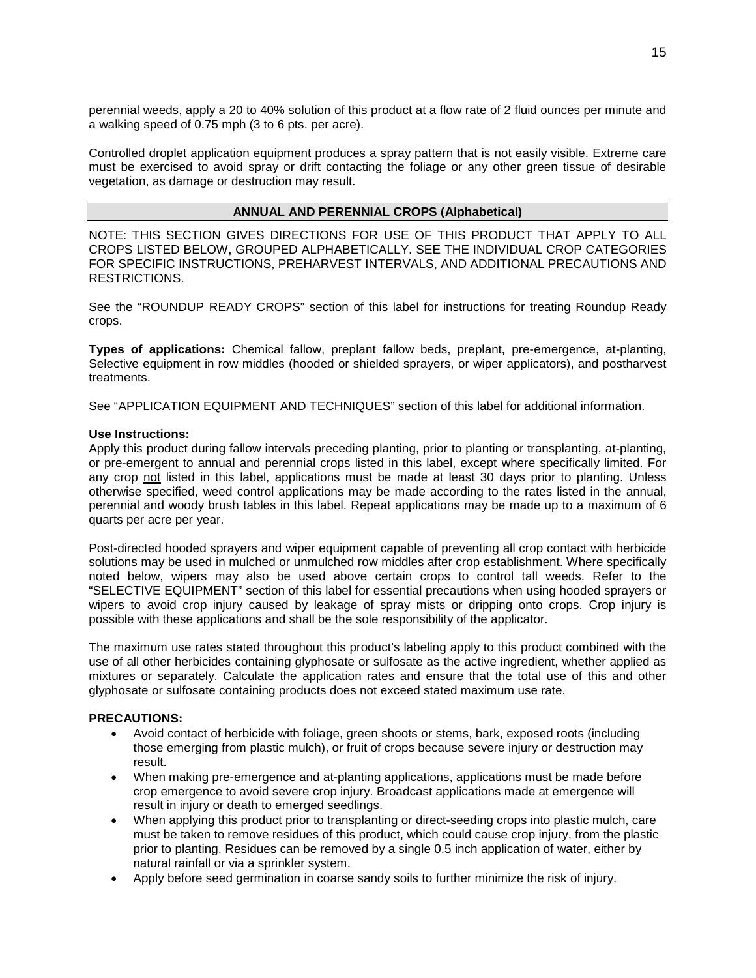perennial weeds, apply a 20 to 40% solution of this product at a flow rate of 2 fluid ounces per minute and a walking speed of 0.75 mph (3 to 6 pts. per acre).

Controlled droplet application equipment produces a spray pattern that is not easily visible. Extreme care must be exercised to avoid spray or drift contacting the foliage or any other green tissue of desirable vegetation, as damage or destruction may result.

## **ANNUAL AND PERENNIAL CROPS (Alphabetical)**

NOTE: THIS SECTION GIVES DIRECTIONS FOR USE OF THIS PRODUCT THAT APPLY TO ALL CROPS LISTED BELOW, GROUPED ALPHABETICALLY. SEE THE INDIVIDUAL CROP CATEGORIES FOR SPECIFIC INSTRUCTIONS, PREHARVEST INTERVALS, AND ADDITIONAL PRECAUTIONS AND RESTRICTIONS.

See the "ROUNDUP READY CROPS" section of this label for instructions for treating Roundup Ready crops.

**Types of applications:** Chemical fallow, preplant fallow beds, preplant, pre-emergence, at-planting, Selective equipment in row middles (hooded or shielded sprayers, or wiper applicators), and postharvest treatments.

See "APPLICATION EQUIPMENT AND TECHNIQUES" section of this label for additional information.

## **Use Instructions:**

Apply this product during fallow intervals preceding planting, prior to planting or transplanting, at-planting, or pre-emergent to annual and perennial crops listed in this label, except where specifically limited. For any crop not listed in this label, applications must be made at least 30 days prior to planting. Unless otherwise specified, weed control applications may be made according to the rates listed in the annual, perennial and woody brush tables in this label. Repeat applications may be made up to a maximum of 6 quarts per acre per year.

Post-directed hooded sprayers and wiper equipment capable of preventing all crop contact with herbicide solutions may be used in mulched or unmulched row middles after crop establishment. Where specifically noted below, wipers may also be used above certain crops to control tall weeds. Refer to the "SELECTIVE EQUIPMENT" section of this label for essential precautions when using hooded sprayers or wipers to avoid crop injury caused by leakage of spray mists or dripping onto crops. Crop injury is possible with these applications and shall be the sole responsibility of the applicator.

The maximum use rates stated throughout this product's labeling apply to this product combined with the use of all other herbicides containing glyphosate or sulfosate as the active ingredient, whether applied as mixtures or separately. Calculate the application rates and ensure that the total use of this and other glyphosate or sulfosate containing products does not exceed stated maximum use rate.

## **PRECAUTIONS:**

- Avoid contact of herbicide with foliage, green shoots or stems, bark, exposed roots (including those emerging from plastic mulch), or fruit of crops because severe injury or destruction may result.
- When making pre-emergence and at-planting applications, applications must be made before crop emergence to avoid severe crop injury. Broadcast applications made at emergence will result in injury or death to emerged seedlings.
- When applying this product prior to transplanting or direct-seeding crops into plastic mulch, care must be taken to remove residues of this product, which could cause crop injury, from the plastic prior to planting. Residues can be removed by a single 0.5 inch application of water, either by natural rainfall or via a sprinkler system.
- Apply before seed germination in coarse sandy soils to further minimize the risk of injury.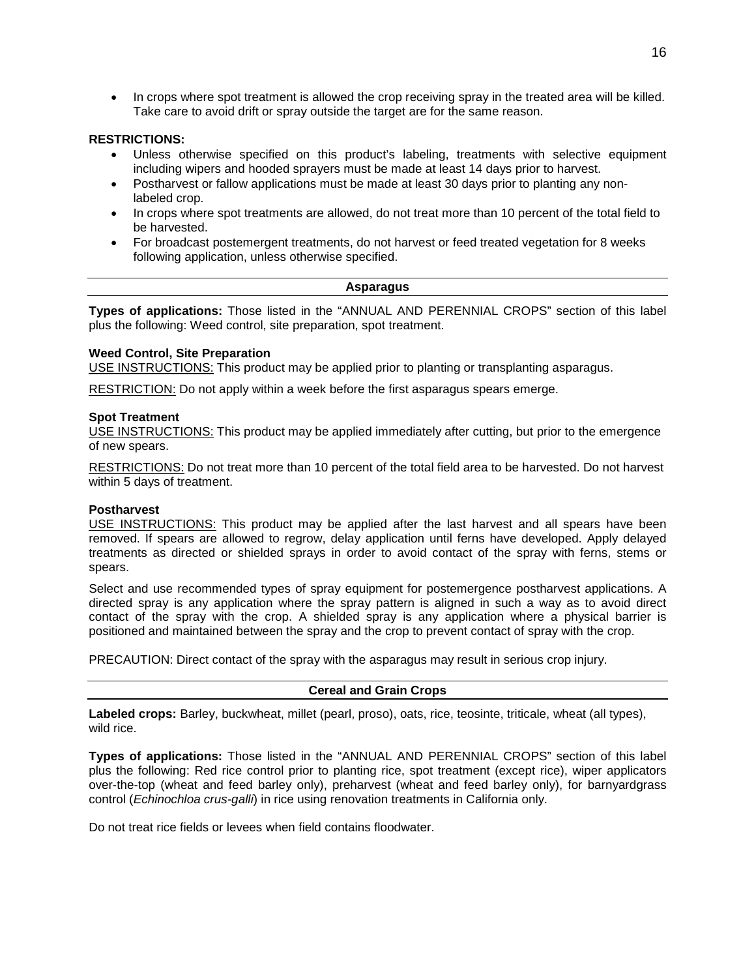• In crops where spot treatment is allowed the crop receiving spray in the treated area will be killed. Take care to avoid drift or spray outside the target are for the same reason.

## **RESTRICTIONS:**

- Unless otherwise specified on this product's labeling, treatments with selective equipment including wipers and hooded sprayers must be made at least 14 days prior to harvest.
- Postharvest or fallow applications must be made at least 30 days prior to planting any nonlabeled crop.
- In crops where spot treatments are allowed, do not treat more than 10 percent of the total field to be harvested.
- For broadcast postemergent treatments, do not harvest or feed treated vegetation for 8 weeks following application, unless otherwise specified.

## **Asparagus**

**Types of applications:** Those listed in the "ANNUAL AND PERENNIAL CROPS" section of this label plus the following: Weed control, site preparation, spot treatment.

## **Weed Control, Site Preparation**

USE INSTRUCTIONS: This product may be applied prior to planting or transplanting asparagus.

RESTRICTION: Do not apply within a week before the first asparagus spears emerge.

#### **Spot Treatment**

USE INSTRUCTIONS: This product may be applied immediately after cutting, but prior to the emergence of new spears.

RESTRICTIONS: Do not treat more than 10 percent of the total field area to be harvested. Do not harvest within 5 days of treatment.

#### **Postharvest**

USE INSTRUCTIONS: This product may be applied after the last harvest and all spears have been removed. If spears are allowed to regrow, delay application until ferns have developed. Apply delayed treatments as directed or shielded sprays in order to avoid contact of the spray with ferns, stems or spears.

Select and use recommended types of spray equipment for postemergence postharvest applications. A directed spray is any application where the spray pattern is aligned in such a way as to avoid direct contact of the spray with the crop. A shielded spray is any application where a physical barrier is positioned and maintained between the spray and the crop to prevent contact of spray with the crop.

PRECAUTION: Direct contact of the spray with the asparagus may result in serious crop injury.

## **Cereal and Grain Crops**

**Labeled crops:** Barley, buckwheat, millet (pearl, proso), oats, rice, teosinte, triticale, wheat (all types), wild rice.

**Types of applications:** Those listed in the "ANNUAL AND PERENNIAL CROPS" section of this label plus the following: Red rice control prior to planting rice, spot treatment (except rice), wiper applicators over-the-top (wheat and feed barley only), preharvest (wheat and feed barley only), for barnyardgrass control (*Echinochloa crus-galli*) in rice using renovation treatments in California only.

Do not treat rice fields or levees when field contains floodwater.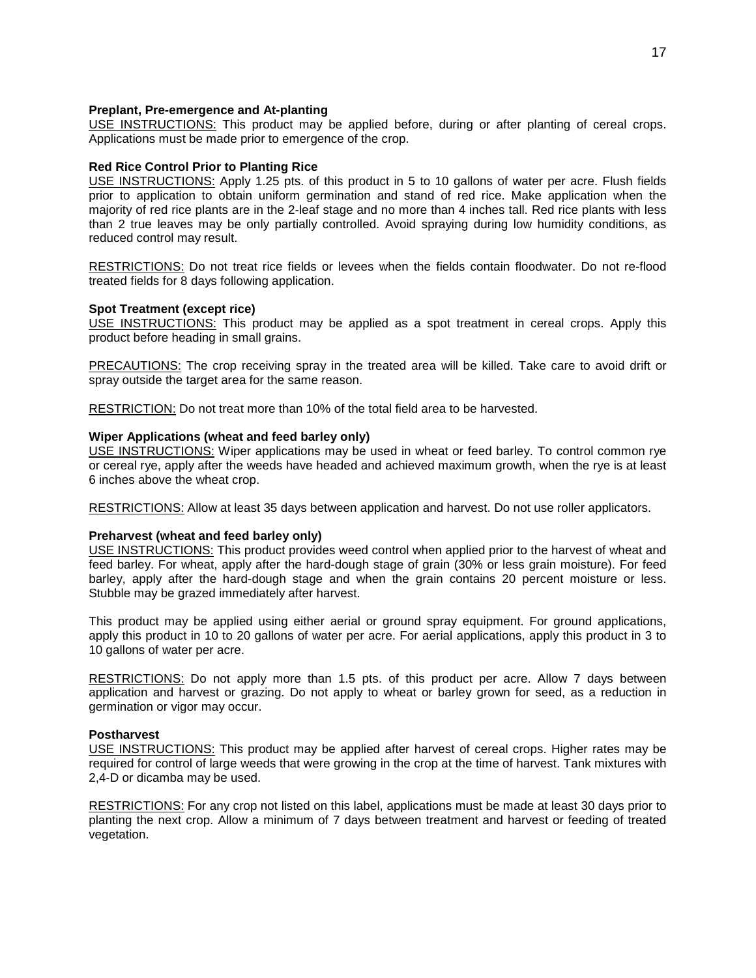## **Preplant, Pre-emergence and At-planting**

USE INSTRUCTIONS: This product may be applied before, during or after planting of cereal crops. Applications must be made prior to emergence of the crop.

## **Red Rice Control Prior to Planting Rice**

USE INSTRUCTIONS: Apply 1.25 pts. of this product in 5 to 10 gallons of water per acre. Flush fields prior to application to obtain uniform germination and stand of red rice. Make application when the majority of red rice plants are in the 2-leaf stage and no more than 4 inches tall. Red rice plants with less than 2 true leaves may be only partially controlled. Avoid spraying during low humidity conditions, as reduced control may result.

RESTRICTIONS: Do not treat rice fields or levees when the fields contain floodwater. Do not re-flood treated fields for 8 days following application.

## **Spot Treatment (except rice)**

USE INSTRUCTIONS: This product may be applied as a spot treatment in cereal crops. Apply this product before heading in small grains.

PRECAUTIONS: The crop receiving spray in the treated area will be killed. Take care to avoid drift or spray outside the target area for the same reason.

RESTRICTION: Do not treat more than 10% of the total field area to be harvested.

## **Wiper Applications (wheat and feed barley only)**

USE INSTRUCTIONS: Wiper applications may be used in wheat or feed barley. To control common rye or cereal rye, apply after the weeds have headed and achieved maximum growth, when the rye is at least 6 inches above the wheat crop.

RESTRICTIONS: Allow at least 35 days between application and harvest. Do not use roller applicators.

## **Preharvest (wheat and feed barley only)**

USE INSTRUCTIONS: This product provides weed control when applied prior to the harvest of wheat and feed barley. For wheat, apply after the hard-dough stage of grain (30% or less grain moisture). For feed barley, apply after the hard-dough stage and when the grain contains 20 percent moisture or less. Stubble may be grazed immediately after harvest.

This product may be applied using either aerial or ground spray equipment. For ground applications, apply this product in 10 to 20 gallons of water per acre. For aerial applications, apply this product in 3 to 10 gallons of water per acre.

RESTRICTIONS: Do not apply more than 1.5 pts. of this product per acre. Allow 7 days between application and harvest or grazing. Do not apply to wheat or barley grown for seed, as a reduction in germination or vigor may occur.

#### **Postharvest**

USE INSTRUCTIONS: This product may be applied after harvest of cereal crops. Higher rates may be required for control of large weeds that were growing in the crop at the time of harvest. Tank mixtures with 2,4-D or dicamba may be used.

RESTRICTIONS: For any crop not listed on this label, applications must be made at least 30 days prior to planting the next crop. Allow a minimum of 7 days between treatment and harvest or feeding of treated vegetation.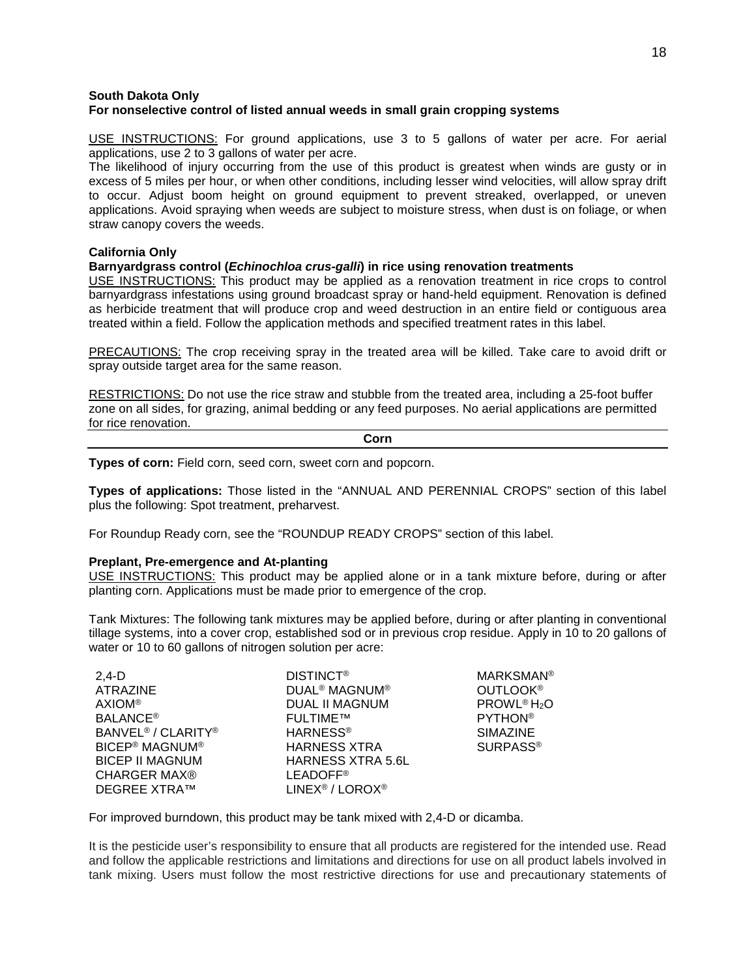## **South Dakota Only For nonselective control of listed annual weeds in small grain cropping systems**

USE INSTRUCTIONS: For ground applications, use 3 to 5 gallons of water per acre. For aerial applications, use 2 to 3 gallons of water per acre.

The likelihood of injury occurring from the use of this product is greatest when winds are gusty or in excess of 5 miles per hour, or when other conditions, including lesser wind velocities, will allow spray drift to occur. Adjust boom height on ground equipment to prevent streaked, overlapped, or uneven applications. Avoid spraying when weeds are subject to moisture stress, when dust is on foliage, or when straw canopy covers the weeds.

## **California Only**

## **Barnyardgrass control (***Echinochloa crus-galli***) in rice using renovation treatments**

USE INSTRUCTIONS: This product may be applied as a renovation treatment in rice crops to control barnyardgrass infestations using ground broadcast spray or hand-held equipment. Renovation is defined as herbicide treatment that will produce crop and weed destruction in an entire field or contiguous area treated within a field. Follow the application methods and specified treatment rates in this label.

PRECAUTIONS: The crop receiving spray in the treated area will be killed. Take care to avoid drift or spray outside target area for the same reason.

RESTRICTIONS: Do not use the rice straw and stubble from the treated area, including a 25-foot buffer zone on all sides, for grazing, animal bedding or any feed purposes. No aerial applications are permitted for rice renovation.

#### **Corn**

**Types of corn:** Field corn, seed corn, sweet corn and popcorn.

**Types of applications:** Those listed in the "ANNUAL AND PERENNIAL CROPS" section of this label plus the following: Spot treatment, preharvest.

For Roundup Ready corn, see the "ROUNDUP READY CROPS" section of this label.

#### **Preplant, Pre-emergence and At-planting**

USE INSTRUCTIONS: This product may be applied alone or in a tank mixture before, during or after planting corn. Applications must be made prior to emergence of the crop.

Tank Mixtures: The following tank mixtures may be applied before, during or after planting in conventional tillage systems, into a cover crop, established sod or in previous crop residue. Apply in 10 to 20 gallons of water or 10 to 60 gallons of nitrogen solution per acre:

| $2,4-D$                                    | <b>DISTINCT<sup>®</sup></b>                | <b>MARKSMAN®</b>                    |
|--------------------------------------------|--------------------------------------------|-------------------------------------|
| ATRAZINE                                   | <b>DUAL<sup>®</sup> MAGNUM<sup>®</sup></b> | <b>OUTLOOK®</b>                     |
| <b>AXIOM®</b>                              | DUAL II MAGNUM                             | PROWL <sup>®</sup> H <sub>2</sub> O |
| <b>BALANCE<sup>®</sup></b>                 | <b>FULTIME™</b>                            | <b>PYTHON®</b>                      |
| BANVEL <sup>®</sup> / CLARITY <sup>®</sup> | <b>HARNESS<sup>®</sup></b>                 | <b>SIMAZINE</b>                     |
| <b>BICEP® MAGNUM®</b>                      | <b>HARNESS XTRA</b>                        | <b>SURPASS®</b>                     |
| <b>BICEP II MAGNUM</b>                     | <b>HARNESS XTRA 5.6L</b>                   |                                     |
| <b>CHARGER MAX®</b>                        | <b>LEADOFF®</b>                            |                                     |
| <b>DEGREE XTRA™</b>                        | LINEX <sup>®</sup> / LOROX <sup>®</sup>    |                                     |

For improved burndown, this product may be tank mixed with 2,4-D or dicamba.

It is the pesticide user's responsibility to ensure that all products are registered for the intended use. Read and follow the applicable restrictions and limitations and directions for use on all product labels involved in tank mixing. Users must follow the most restrictive directions for use and precautionary statements of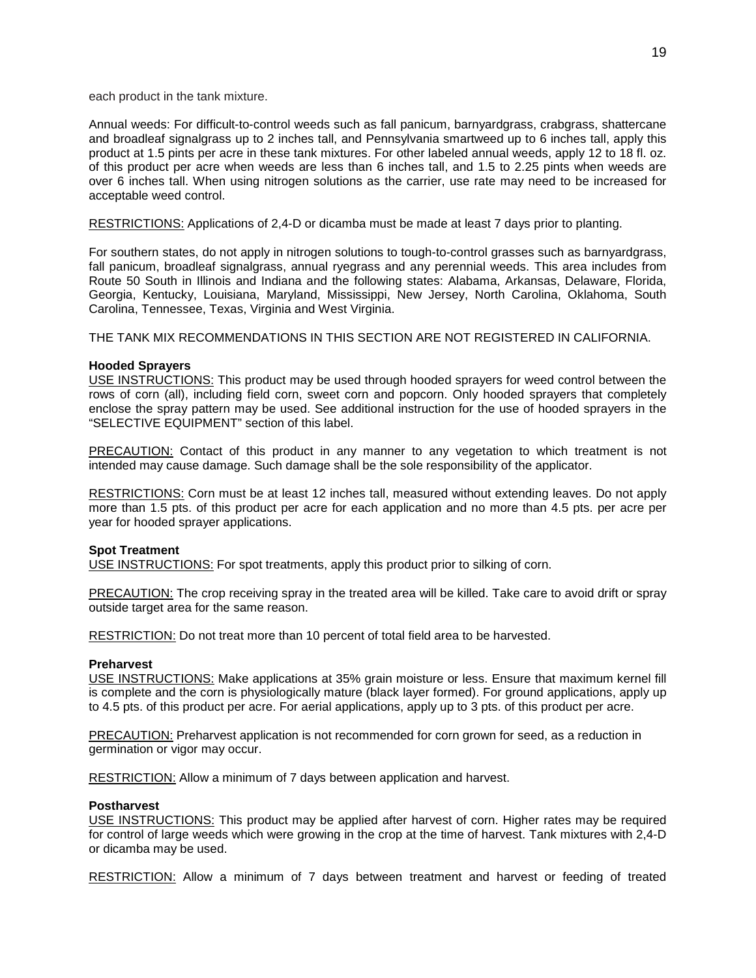each product in the tank mixture.

Annual weeds: For difficult-to-control weeds such as fall panicum, barnyardgrass, crabgrass, shattercane and broadleaf signalgrass up to 2 inches tall, and Pennsylvania smartweed up to 6 inches tall, apply this product at 1.5 pints per acre in these tank mixtures. For other labeled annual weeds, apply 12 to 18 fl. oz. of this product per acre when weeds are less than 6 inches tall, and 1.5 to 2.25 pints when weeds are over 6 inches tall. When using nitrogen solutions as the carrier, use rate may need to be increased for acceptable weed control.

RESTRICTIONS: Applications of 2,4-D or dicamba must be made at least 7 days prior to planting.

For southern states, do not apply in nitrogen solutions to tough-to-control grasses such as barnyardgrass, fall panicum, broadleaf signalgrass, annual ryegrass and any perennial weeds. This area includes from Route 50 South in Illinois and Indiana and the following states: Alabama, Arkansas, Delaware, Florida, Georgia, Kentucky, Louisiana, Maryland, Mississippi, New Jersey, North Carolina, Oklahoma, South Carolina, Tennessee, Texas, Virginia and West Virginia.

THE TANK MIX RECOMMENDATIONS IN THIS SECTION ARE NOT REGISTERED IN CALIFORNIA.

## **Hooded Sprayers**

USE INSTRUCTIONS: This product may be used through hooded sprayers for weed control between the rows of corn (all), including field corn, sweet corn and popcorn. Only hooded sprayers that completely enclose the spray pattern may be used. See additional instruction for the use of hooded sprayers in the "SELECTIVE EQUIPMENT" section of this label.

PRECAUTION: Contact of this product in any manner to any vegetation to which treatment is not intended may cause damage. Such damage shall be the sole responsibility of the applicator.

RESTRICTIONS: Corn must be at least 12 inches tall, measured without extending leaves. Do not apply more than 1.5 pts. of this product per acre for each application and no more than 4.5 pts. per acre per year for hooded sprayer applications.

## **Spot Treatment**

USE INSTRUCTIONS: For spot treatments, apply this product prior to silking of corn.

PRECAUTION: The crop receiving spray in the treated area will be killed. Take care to avoid drift or spray outside target area for the same reason.

RESTRICTION: Do not treat more than 10 percent of total field area to be harvested.

#### **Preharvest**

USE INSTRUCTIONS: Make applications at 35% grain moisture or less. Ensure that maximum kernel fill is complete and the corn is physiologically mature (black layer formed). For ground applications, apply up to 4.5 pts. of this product per acre. For aerial applications, apply up to 3 pts. of this product per acre.

PRECAUTION: Preharvest application is not recommended for corn grown for seed, as a reduction in germination or vigor may occur.

RESTRICTION: Allow a minimum of 7 days between application and harvest.

#### **Postharvest**

USE INSTRUCTIONS: This product may be applied after harvest of corn. Higher rates may be required for control of large weeds which were growing in the crop at the time of harvest. Tank mixtures with 2,4-D or dicamba may be used.

RESTRICTION: Allow a minimum of 7 days between treatment and harvest or feeding of treated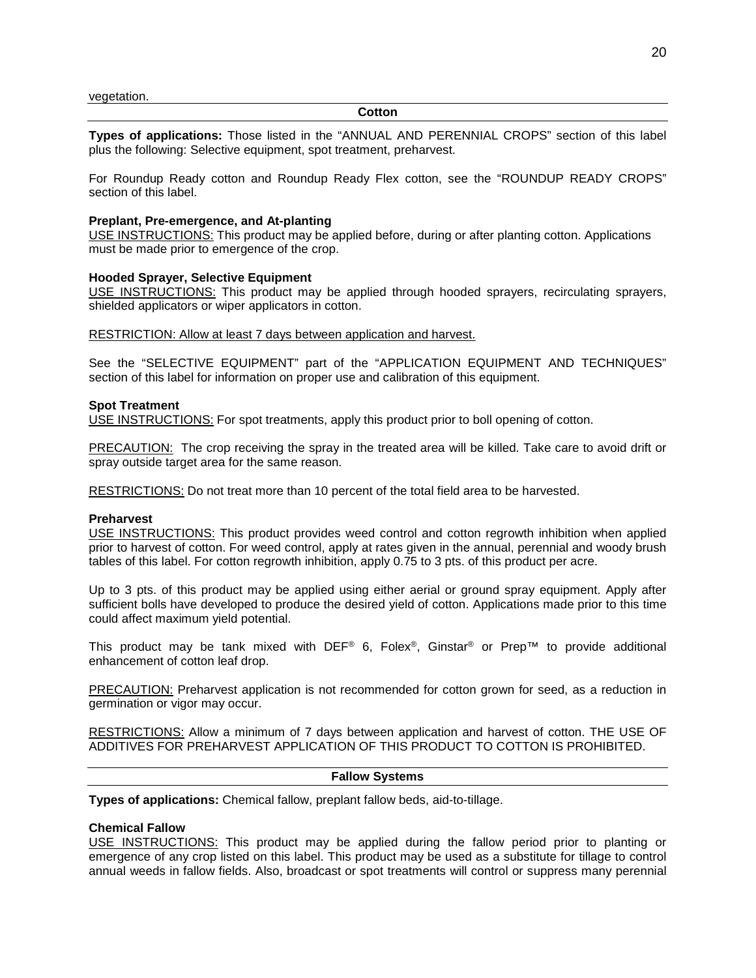#### **Cotton**

**Types of applications:** Those listed in the "ANNUAL AND PERENNIAL CROPS" section of this label plus the following: Selective equipment, spot treatment, preharvest.

For Roundup Ready cotton and Roundup Ready Flex cotton, see the "ROUNDUP READY CROPS" section of this label.

#### **Preplant, Pre-emergence, and At-planting**

USE INSTRUCTIONS: This product may be applied before, during or after planting cotton. Applications must be made prior to emergence of the crop.

#### **Hooded Sprayer, Selective Equipment**

USE INSTRUCTIONS: This product may be applied through hooded sprayers, recirculating sprayers, shielded applicators or wiper applicators in cotton.

#### RESTRICTION: Allow at least 7 days between application and harvest.

See the "SELECTIVE EQUIPMENT" part of the "APPLICATION EQUIPMENT AND TECHNIQUES" section of this label for information on proper use and calibration of this equipment.

#### **Spot Treatment**

USE INSTRUCTIONS: For spot treatments, apply this product prior to boll opening of cotton.

PRECAUTION: The crop receiving the spray in the treated area will be killed. Take care to avoid drift or spray outside target area for the same reason.

RESTRICTIONS: Do not treat more than 10 percent of the total field area to be harvested.

#### **Preharvest**

USE INSTRUCTIONS: This product provides weed control and cotton regrowth inhibition when applied prior to harvest of cotton. For weed control, apply at rates given in the annual, perennial and woody brush tables of this label. For cotton regrowth inhibition, apply 0.75 to 3 pts. of this product per acre.

Up to 3 pts. of this product may be applied using either aerial or ground spray equipment. Apply after sufficient bolls have developed to produce the desired yield of cotton. Applications made prior to this time could affect maximum yield potential.

This product may be tank mixed with DEF<sup>®</sup> 6, Folex<sup>®</sup>, Ginstar<sup>®</sup> or Prep™ to provide additional enhancement of cotton leaf drop.

PRECAUTION: Preharvest application is not recommended for cotton grown for seed, as a reduction in germination or vigor may occur.

RESTRICTIONS: Allow a minimum of 7 days between application and harvest of cotton. THE USE OF ADDITIVES FOR PREHARVEST APPLICATION OF THIS PRODUCT TO COTTON IS PROHIBITED.

## **Fallow Systems**

**Types of applications:** Chemical fallow, preplant fallow beds, aid-to-tillage.

#### **Chemical Fallow**

USE INSTRUCTIONS: This product may be applied during the fallow period prior to planting or emergence of any crop listed on this label. This product may be used as a substitute for tillage to control annual weeds in fallow fields. Also, broadcast or spot treatments will control or suppress many perennial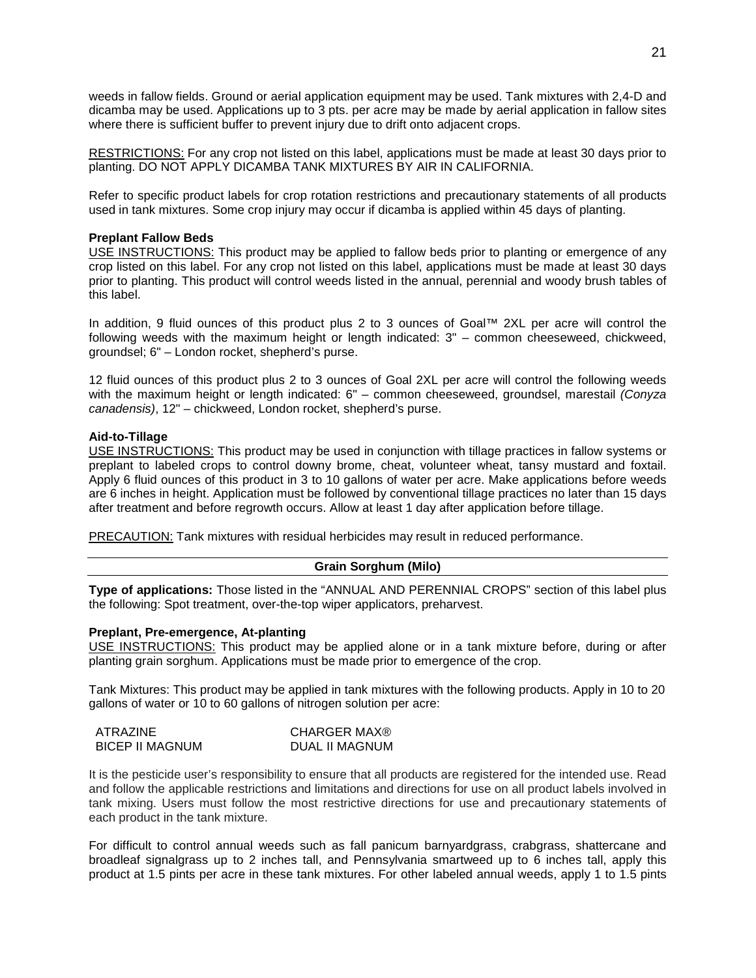weeds in fallow fields. Ground or aerial application equipment may be used. Tank mixtures with 2,4-D and dicamba may be used. Applications up to 3 pts. per acre may be made by aerial application in fallow sites where there is sufficient buffer to prevent injury due to drift onto adjacent crops.

RESTRICTIONS: For any crop not listed on this label, applications must be made at least 30 days prior to planting. DO NOT APPLY DICAMBA TANK MIXTURES BY AIR IN CALIFORNIA.

Refer to specific product labels for crop rotation restrictions and precautionary statements of all products used in tank mixtures. Some crop injury may occur if dicamba is applied within 45 days of planting.

## **Preplant Fallow Beds**

USE INSTRUCTIONS: This product may be applied to fallow beds prior to planting or emergence of any crop listed on this label. For any crop not listed on this label, applications must be made at least 30 days prior to planting. This product will control weeds listed in the annual, perennial and woody brush tables of this label.

In addition, 9 fluid ounces of this product plus 2 to 3 ounces of Goal™ 2XL per acre will control the following weeds with the maximum height or length indicated: 3" – common cheeseweed, chickweed, groundsel; 6" – London rocket, shepherd's purse.

12 fluid ounces of this product plus 2 to 3 ounces of Goal 2XL per acre will control the following weeds with the maximum height or length indicated: 6" – common cheeseweed, groundsel, marestail *(Conyza canadensis)*, 12" – chickweed, London rocket, shepherd's purse.

## **Aid-to-Tillage**

USE INSTRUCTIONS: This product may be used in conjunction with tillage practices in fallow systems or preplant to labeled crops to control downy brome, cheat, volunteer wheat, tansy mustard and foxtail. Apply 6 fluid ounces of this product in 3 to 10 gallons of water per acre. Make applications before weeds are 6 inches in height. Application must be followed by conventional tillage practices no later than 15 days after treatment and before regrowth occurs. Allow at least 1 day after application before tillage.

PRECAUTION: Tank mixtures with residual herbicides may result in reduced performance.

## **Grain Sorghum (Milo)**

**Type of applications:** Those listed in the "ANNUAL AND PERENNIAL CROPS" section of this label plus the following: Spot treatment, over-the-top wiper applicators, preharvest.

#### **Preplant, Pre-emergence, At-planting**

USE INSTRUCTIONS: This product may be applied alone or in a tank mixture before, during or after planting grain sorghum. Applications must be made prior to emergence of the crop.

Tank Mixtures: This product may be applied in tank mixtures with the following products. Apply in 10 to 20 gallons of water or 10 to 60 gallons of nitrogen solution per acre:

| ATRAZINE        | CHARGER MAX®   |
|-----------------|----------------|
| BICEP II MAGNUM | DUAL II MAGNUM |

It is the pesticide user's responsibility to ensure that all products are registered for the intended use. Read and follow the applicable restrictions and limitations and directions for use on all product labels involved in tank mixing. Users must follow the most restrictive directions for use and precautionary statements of each product in the tank mixture.

For difficult to control annual weeds such as fall panicum barnyardgrass, crabgrass, shattercane and broadleaf signalgrass up to 2 inches tall, and Pennsylvania smartweed up to 6 inches tall, apply this product at 1.5 pints per acre in these tank mixtures. For other labeled annual weeds, apply 1 to 1.5 pints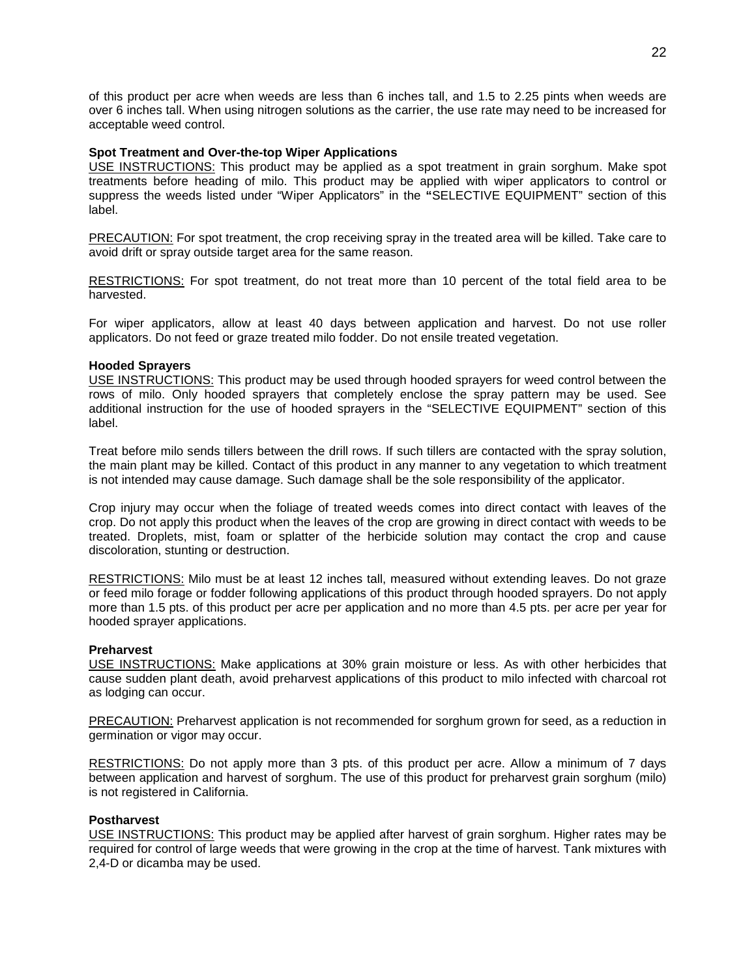of this product per acre when weeds are less than 6 inches tall, and 1.5 to 2.25 pints when weeds are over 6 inches tall. When using nitrogen solutions as the carrier, the use rate may need to be increased for acceptable weed control.

## **Spot Treatment and Over-the-top Wiper Applications**

USE INSTRUCTIONS: This product may be applied as a spot treatment in grain sorghum. Make spot treatments before heading of milo. This product may be applied with wiper applicators to control or suppress the weeds listed under "Wiper Applicators" in the **"**SELECTIVE EQUIPMENT" section of this label.

PRECAUTION: For spot treatment, the crop receiving spray in the treated area will be killed. Take care to avoid drift or spray outside target area for the same reason.

RESTRICTIONS: For spot treatment, do not treat more than 10 percent of the total field area to be harvested.

For wiper applicators, allow at least 40 days between application and harvest. Do not use roller applicators. Do not feed or graze treated milo fodder. Do not ensile treated vegetation.

## **Hooded Sprayers**

USE INSTRUCTIONS: This product may be used through hooded sprayers for weed control between the rows of milo. Only hooded sprayers that completely enclose the spray pattern may be used. See additional instruction for the use of hooded sprayers in the "SELECTIVE EQUIPMENT" section of this label.

Treat before milo sends tillers between the drill rows. If such tillers are contacted with the spray solution, the main plant may be killed. Contact of this product in any manner to any vegetation to which treatment is not intended may cause damage. Such damage shall be the sole responsibility of the applicator.

Crop injury may occur when the foliage of treated weeds comes into direct contact with leaves of the crop. Do not apply this product when the leaves of the crop are growing in direct contact with weeds to be treated. Droplets, mist, foam or splatter of the herbicide solution may contact the crop and cause discoloration, stunting or destruction.

RESTRICTIONS: Milo must be at least 12 inches tall, measured without extending leaves. Do not graze or feed milo forage or fodder following applications of this product through hooded sprayers. Do not apply more than 1.5 pts. of this product per acre per application and no more than 4.5 pts. per acre per year for hooded sprayer applications.

#### **Preharvest**

USE INSTRUCTIONS: Make applications at 30% grain moisture or less. As with other herbicides that cause sudden plant death, avoid preharvest applications of this product to milo infected with charcoal rot as lodging can occur.

PRECAUTION: Preharvest application is not recommended for sorghum grown for seed, as a reduction in germination or vigor may occur.

RESTRICTIONS: Do not apply more than 3 pts. of this product per acre. Allow a minimum of 7 days between application and harvest of sorghum. The use of this product for preharvest grain sorghum (milo) is not registered in California.

#### **Postharvest**

USE INSTRUCTIONS: This product may be applied after harvest of grain sorghum. Higher rates may be required for control of large weeds that were growing in the crop at the time of harvest. Tank mixtures with 2,4-D or dicamba may be used.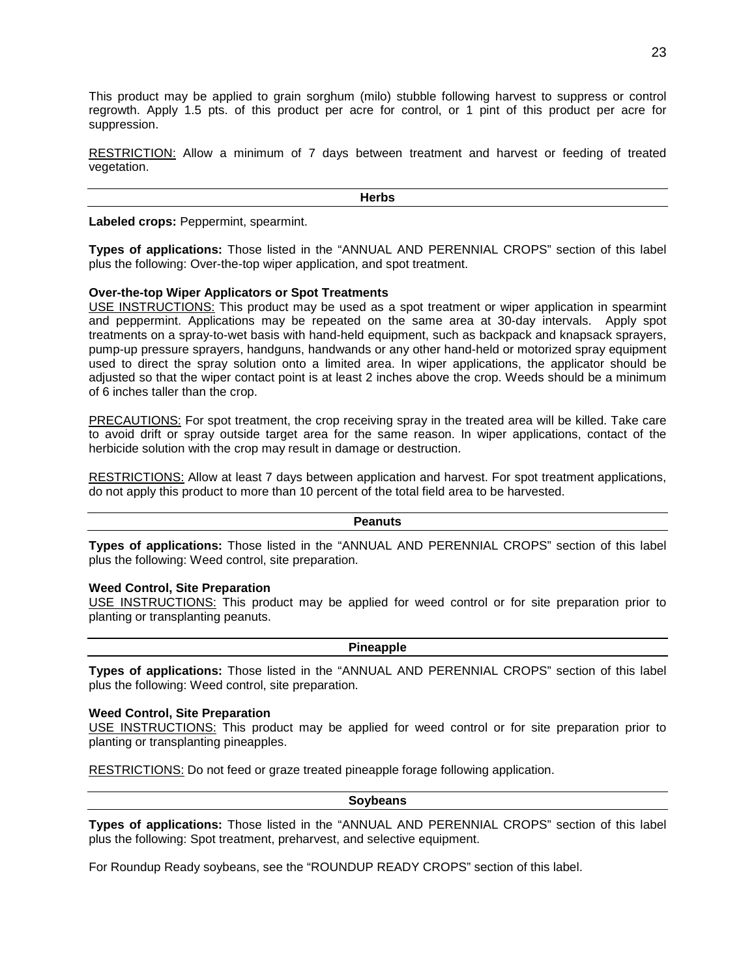This product may be applied to grain sorghum (milo) stubble following harvest to suppress or control regrowth. Apply 1.5 pts. of this product per acre for control, or 1 pint of this product per acre for suppression.

RESTRICTION: Allow a minimum of 7 days between treatment and harvest or feeding of treated vegetation.

**Herbs**

**Labeled crops:** Peppermint, spearmint.

**Types of applications:** Those listed in the "ANNUAL AND PERENNIAL CROPS" section of this label plus the following: Over-the-top wiper application, and spot treatment.

## **Over-the-top Wiper Applicators or Spot Treatments**

USE INSTRUCTIONS: This product may be used as a spot treatment or wiper application in spearmint and peppermint. Applications may be repeated on the same area at 30-day intervals. Apply spot treatments on a spray-to-wet basis with hand-held equipment, such as backpack and knapsack sprayers, pump-up pressure sprayers, handguns, handwands or any other hand-held or motorized spray equipment used to direct the spray solution onto a limited area. In wiper applications, the applicator should be adjusted so that the wiper contact point is at least 2 inches above the crop. Weeds should be a minimum of 6 inches taller than the crop.

PRECAUTIONS: For spot treatment, the crop receiving spray in the treated area will be killed. Take care to avoid drift or spray outside target area for the same reason. In wiper applications, contact of the herbicide solution with the crop may result in damage or destruction.

RESTRICTIONS: Allow at least 7 days between application and harvest. For spot treatment applications, do not apply this product to more than 10 percent of the total field area to be harvested.

#### **Peanuts**

**Types of applications:** Those listed in the "ANNUAL AND PERENNIAL CROPS" section of this label plus the following: Weed control, site preparation.

#### **Weed Control, Site Preparation**

USE INSTRUCTIONS: This product may be applied for weed control or for site preparation prior to planting or transplanting peanuts.

#### **Pineapple**

**Types of applications:** Those listed in the "ANNUAL AND PERENNIAL CROPS" section of this label plus the following: Weed control, site preparation.

#### **Weed Control, Site Preparation**

USE INSTRUCTIONS: This product may be applied for weed control or for site preparation prior to planting or transplanting pineapples.

RESTRICTIONS: Do not feed or graze treated pineapple forage following application.

## **Soybeans**

**Types of applications:** Those listed in the "ANNUAL AND PERENNIAL CROPS" section of this label plus the following: Spot treatment, preharvest, and selective equipment.

For Roundup Ready soybeans, see the "ROUNDUP READY CROPS" section of this label.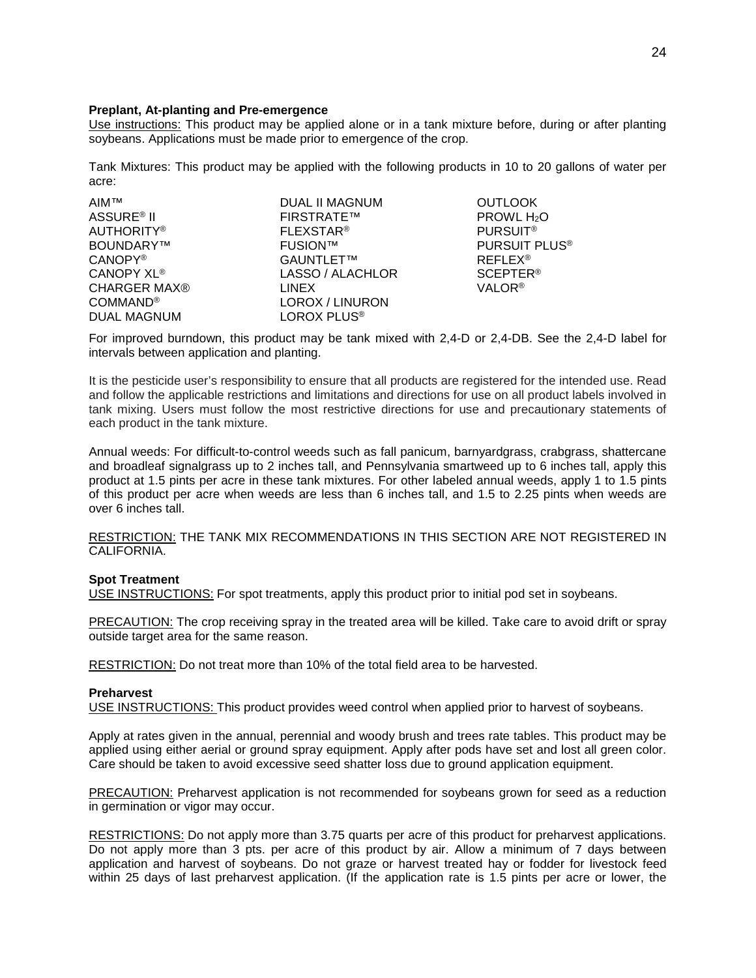## **Preplant, At-planting and Pre-emergence**

Use instructions: This product may be applied alone or in a tank mixture before, during or after planting soybeans. Applications must be made prior to emergence of the crop.

Tank Mixtures: This product may be applied with the following products in 10 to 20 gallons of water per acre:

| DUAL II MAGNUM     | <b>OUTLOO</b> |
|--------------------|---------------|
| <b>FIRSTRATE™</b>  | <b>PROWL</b>  |
| <b>FLEXSTAR®</b>   | <b>PURSUI</b> |
| <b>FUSION™</b>     | <b>PURSUI</b> |
| GAUNTLET™          | <b>REFLEX</b> |
| LASSO / ALACHLOR   | <b>SCEPTE</b> |
| <b>LINEX</b>       | <b>VALOR®</b> |
| LOROX / LINURON    |               |
| <b>LOROX PLUS®</b> |               |
|                    |               |

**OUTLOOK** PROWL H<sub>2</sub>O **PURSUIT®** PURSUIT PLUS<sup>®</sup> CANOPY® GAUNTLET™ REFLEX® SCEPTER®

For improved burndown, this product may be tank mixed with 2,4-D or 2,4-DB. See the 2,4-D label for intervals between application and planting.

It is the pesticide user's responsibility to ensure that all products are registered for the intended use. Read and follow the applicable restrictions and limitations and directions for use on all product labels involved in tank mixing. Users must follow the most restrictive directions for use and precautionary statements of each product in the tank mixture.

Annual weeds: For difficult-to-control weeds such as fall panicum, barnyardgrass, crabgrass, shattercane and broadleaf signalgrass up to 2 inches tall, and Pennsylvania smartweed up to 6 inches tall, apply this product at 1.5 pints per acre in these tank mixtures. For other labeled annual weeds, apply 1 to 1.5 pints of this product per acre when weeds are less than 6 inches tall, and 1.5 to 2.25 pints when weeds are over 6 inches tall.

RESTRICTION: THE TANK MIX RECOMMENDATIONS IN THIS SECTION ARE NOT REGISTERED IN CALIFORNIA.

## **Spot Treatment**

USE INSTRUCTIONS: For spot treatments, apply this product prior to initial pod set in soybeans.

PRECAUTION: The crop receiving spray in the treated area will be killed. Take care to avoid drift or spray outside target area for the same reason.

RESTRICTION: Do not treat more than 10% of the total field area to be harvested.

#### **Preharvest**

USE INSTRUCTIONS: This product provides weed control when applied prior to harvest of soybeans.

Apply at rates given in the annual, perennial and woody brush and trees rate tables. This product may be applied using either aerial or ground spray equipment. Apply after pods have set and lost all green color. Care should be taken to avoid excessive seed shatter loss due to ground application equipment.

PRECAUTION: Preharvest application is not recommended for soybeans grown for seed as a reduction in germination or vigor may occur.

RESTRICTIONS: Do not apply more than 3.75 quarts per acre of this product for preharvest applications. Do not apply more than 3 pts. per acre of this product by air. Allow a minimum of 7 days between application and harvest of soybeans. Do not graze or harvest treated hay or fodder for livestock feed within 25 days of last preharvest application. (If the application rate is 1.5 pints per acre or lower, the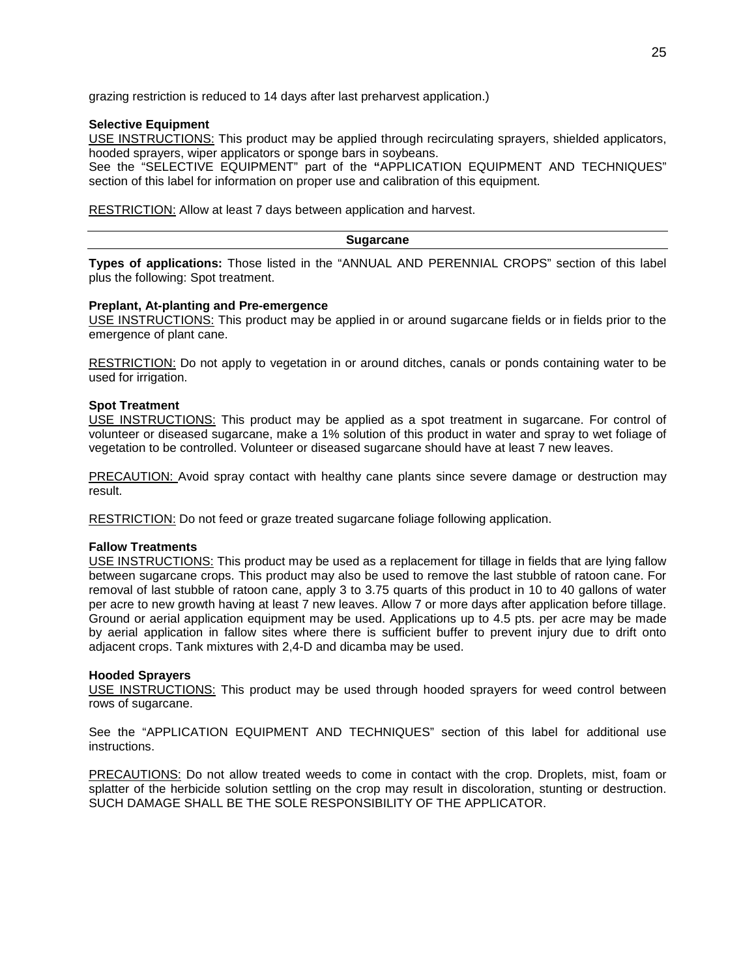grazing restriction is reduced to 14 days after last preharvest application.)

#### **Selective Equipment**

USE INSTRUCTIONS: This product may be applied through recirculating sprayers, shielded applicators, hooded sprayers, wiper applicators or sponge bars in soybeans.

See the "SELECTIVE EQUIPMENT" part of the **"**APPLICATION EQUIPMENT AND TECHNIQUES" section of this label for information on proper use and calibration of this equipment.

RESTRICTION: Allow at least 7 days between application and harvest.

#### **Sugarcane**

**Types of applications:** Those listed in the "ANNUAL AND PERENNIAL CROPS" section of this label plus the following: Spot treatment.

#### **Preplant, At-planting and Pre-emergence**

USE INSTRUCTIONS: This product may be applied in or around sugarcane fields or in fields prior to the emergence of plant cane.

RESTRICTION: Do not apply to vegetation in or around ditches, canals or ponds containing water to be used for irrigation.

#### **Spot Treatment**

USE INSTRUCTIONS: This product may be applied as a spot treatment in sugarcane. For control of volunteer or diseased sugarcane, make a 1% solution of this product in water and spray to wet foliage of vegetation to be controlled. Volunteer or diseased sugarcane should have at least 7 new leaves.

PRECAUTION: Avoid spray contact with healthy cane plants since severe damage or destruction may result.

RESTRICTION: Do not feed or graze treated sugarcane foliage following application.

#### **Fallow Treatments**

USE INSTRUCTIONS: This product may be used as a replacement for tillage in fields that are lying fallow between sugarcane crops. This product may also be used to remove the last stubble of ratoon cane. For removal of last stubble of ratoon cane, apply 3 to 3.75 quarts of this product in 10 to 40 gallons of water per acre to new growth having at least 7 new leaves. Allow 7 or more days after application before tillage. Ground or aerial application equipment may be used. Applications up to 4.5 pts. per acre may be made by aerial application in fallow sites where there is sufficient buffer to prevent injury due to drift onto adjacent crops. Tank mixtures with 2,4-D and dicamba may be used.

#### **Hooded Sprayers**

USE INSTRUCTIONS: This product may be used through hooded sprayers for weed control between rows of sugarcane.

See the "APPLICATION EQUIPMENT AND TECHNIQUES" section of this label for additional use instructions.

PRECAUTIONS: Do not allow treated weeds to come in contact with the crop. Droplets, mist, foam or splatter of the herbicide solution settling on the crop may result in discoloration, stunting or destruction. SUCH DAMAGE SHALL BE THE SOLE RESPONSIBILITY OF THE APPLICATOR.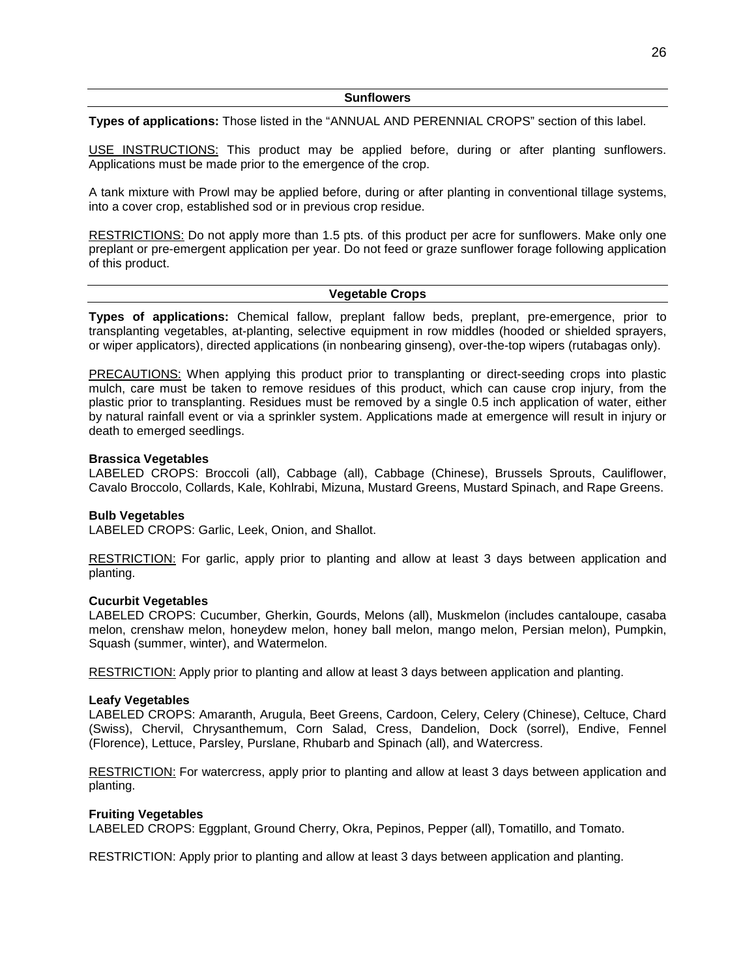**Types of applications:** Those listed in the "ANNUAL AND PERENNIAL CROPS" section of this label.

USE INSTRUCTIONS: This product may be applied before, during or after planting sunflowers. Applications must be made prior to the emergence of the crop.

A tank mixture with Prowl may be applied before, during or after planting in conventional tillage systems, into a cover crop, established sod or in previous crop residue.

RESTRICTIONS: Do not apply more than 1.5 pts. of this product per acre for sunflowers. Make only one preplant or pre-emergent application per year. Do not feed or graze sunflower forage following application of this product.

#### **Vegetable Crops**

**Types of applications:** Chemical fallow, preplant fallow beds, preplant, pre-emergence, prior to transplanting vegetables, at-planting, selective equipment in row middles (hooded or shielded sprayers, or wiper applicators), directed applications (in nonbearing ginseng), over-the-top wipers (rutabagas only).

PRECAUTIONS: When applying this product prior to transplanting or direct-seeding crops into plastic mulch, care must be taken to remove residues of this product, which can cause crop injury, from the plastic prior to transplanting. Residues must be removed by a single 0.5 inch application of water, either by natural rainfall event or via a sprinkler system. Applications made at emergence will result in injury or death to emerged seedlings.

#### **Brassica Vegetables**

LABELED CROPS: Broccoli (all), Cabbage (all), Cabbage (Chinese), Brussels Sprouts, Cauliflower, Cavalo Broccolo, Collards, Kale, Kohlrabi, Mizuna, Mustard Greens, Mustard Spinach, and Rape Greens.

#### **Bulb Vegetables**

LABELED CROPS: Garlic, Leek, Onion, and Shallot.

RESTRICTION: For garlic, apply prior to planting and allow at least 3 days between application and planting.

#### **Cucurbit Vegetables**

LABELED CROPS: Cucumber, Gherkin, Gourds, Melons (all), Muskmelon (includes cantaloupe, casaba melon, crenshaw melon, honeydew melon, honey ball melon, mango melon, Persian melon), Pumpkin, Squash (summer, winter), and Watermelon.

RESTRICTION: Apply prior to planting and allow at least 3 days between application and planting.

#### **Leafy Vegetables**

LABELED CROPS: Amaranth, Arugula, Beet Greens, Cardoon, Celery, Celery (Chinese), Celtuce, Chard (Swiss), Chervil, Chrysanthemum, Corn Salad, Cress, Dandelion, Dock (sorrel), Endive, Fennel (Florence), Lettuce, Parsley, Purslane, Rhubarb and Spinach (all), and Watercress.

RESTRICTION: For watercress, apply prior to planting and allow at least 3 days between application and planting.

#### **Fruiting Vegetables**

LABELED CROPS: Eggplant, Ground Cherry, Okra, Pepinos, Pepper (all), Tomatillo, and Tomato.

RESTRICTION: Apply prior to planting and allow at least 3 days between application and planting.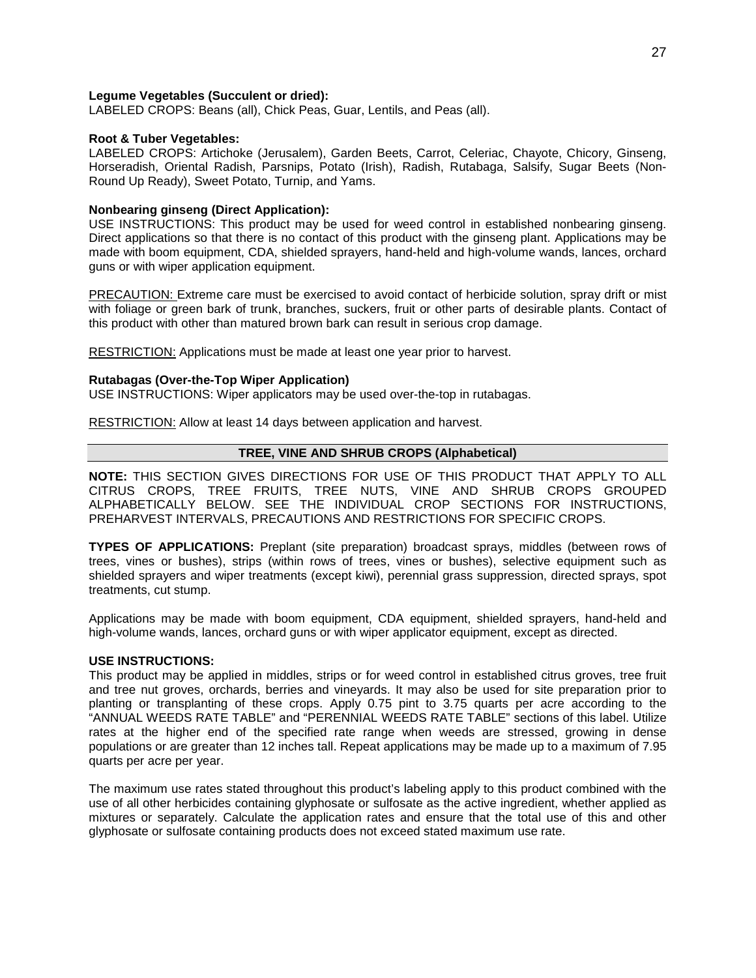## **Legume Vegetables (Succulent or dried):**

LABELED CROPS: Beans (all), Chick Peas, Guar, Lentils, and Peas (all).

## **Root & Tuber Vegetables:**

LABELED CROPS: Artichoke (Jerusalem), Garden Beets, Carrot, Celeriac, Chayote, Chicory, Ginseng, Horseradish, Oriental Radish, Parsnips, Potato (Irish), Radish, Rutabaga, Salsify, Sugar Beets (Non-Round Up Ready), Sweet Potato, Turnip, and Yams.

## **Nonbearing ginseng (Direct Application):**

USE INSTRUCTIONS: This product may be used for weed control in established nonbearing ginseng. Direct applications so that there is no contact of this product with the ginseng plant. Applications may be made with boom equipment, CDA, shielded sprayers, hand-held and high-volume wands, lances, orchard guns or with wiper application equipment.

PRECAUTION: Extreme care must be exercised to avoid contact of herbicide solution, spray drift or mist with foliage or green bark of trunk, branches, suckers, fruit or other parts of desirable plants. Contact of this product with other than matured brown bark can result in serious crop damage.

RESTRICTION: Applications must be made at least one year prior to harvest.

## **Rutabagas (Over-the-Top Wiper Application)**

USE INSTRUCTIONS: Wiper applicators may be used over-the-top in rutabagas.

RESTRICTION: Allow at least 14 days between application and harvest.

## **TREE, VINE AND SHRUB CROPS (Alphabetical)**

**NOTE:** THIS SECTION GIVES DIRECTIONS FOR USE OF THIS PRODUCT THAT APPLY TO ALL CITRUS CROPS, TREE FRUITS, TREE NUTS, VINE AND SHRUB CROPS GROUPED ALPHABETICALLY BELOW. SEE THE INDIVIDUAL CROP SECTIONS FOR INSTRUCTIONS, PREHARVEST INTERVALS, PRECAUTIONS AND RESTRICTIONS FOR SPECIFIC CROPS.

**TYPES OF APPLICATIONS:** Preplant (site preparation) broadcast sprays, middles (between rows of trees, vines or bushes), strips (within rows of trees, vines or bushes), selective equipment such as shielded sprayers and wiper treatments (except kiwi), perennial grass suppression, directed sprays, spot treatments, cut stump.

Applications may be made with boom equipment, CDA equipment, shielded sprayers, hand-held and high-volume wands, lances, orchard guns or with wiper applicator equipment, except as directed.

#### **USE INSTRUCTIONS:**

This product may be applied in middles, strips or for weed control in established citrus groves, tree fruit and tree nut groves, orchards, berries and vineyards. It may also be used for site preparation prior to planting or transplanting of these crops. Apply 0.75 pint to 3.75 quarts per acre according to the "ANNUAL WEEDS RATE TABLE" and "PERENNIAL WEEDS RATE TABLE" sections of this label. Utilize rates at the higher end of the specified rate range when weeds are stressed, growing in dense populations or are greater than 12 inches tall. Repeat applications may be made up to a maximum of 7.95 quarts per acre per year.

The maximum use rates stated throughout this product's labeling apply to this product combined with the use of all other herbicides containing glyphosate or sulfosate as the active ingredient, whether applied as mixtures or separately. Calculate the application rates and ensure that the total use of this and other glyphosate or sulfosate containing products does not exceed stated maximum use rate.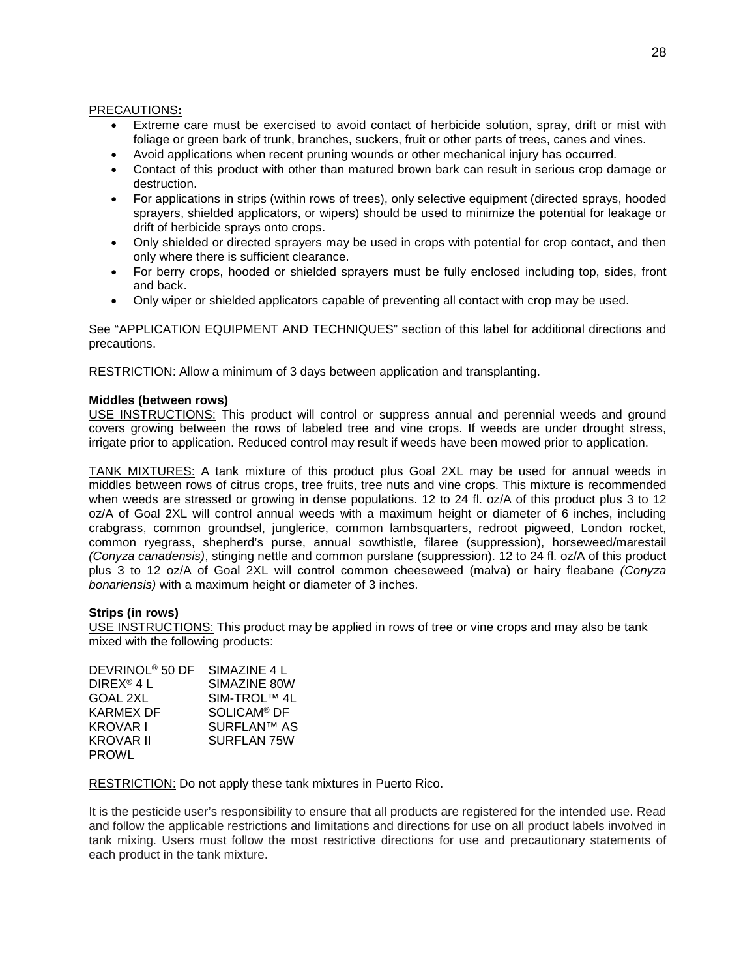## PRECAUTIONS**:**

- Extreme care must be exercised to avoid contact of herbicide solution, spray, drift or mist with foliage or green bark of trunk, branches, suckers, fruit or other parts of trees, canes and vines.
- Avoid applications when recent pruning wounds or other mechanical injury has occurred.
- Contact of this product with other than matured brown bark can result in serious crop damage or destruction.
- For applications in strips (within rows of trees), only selective equipment (directed sprays, hooded sprayers, shielded applicators, or wipers) should be used to minimize the potential for leakage or drift of herbicide sprays onto crops.
- Only shielded or directed sprayers may be used in crops with potential for crop contact, and then only where there is sufficient clearance.
- For berry crops, hooded or shielded sprayers must be fully enclosed including top, sides, front and back.
- Only wiper or shielded applicators capable of preventing all contact with crop may be used.

See "APPLICATION EQUIPMENT AND TECHNIQUES" section of this label for additional directions and precautions.

RESTRICTION: Allow a minimum of 3 days between application and transplanting.

## **Middles (between rows)**

USE INSTRUCTIONS: This product will control or suppress annual and perennial weeds and ground covers growing between the rows of labeled tree and vine crops. If weeds are under drought stress, irrigate prior to application. Reduced control may result if weeds have been mowed prior to application.

TANK MIXTURES: A tank mixture of this product plus Goal 2XL may be used for annual weeds in middles between rows of citrus crops, tree fruits, tree nuts and vine crops. This mixture is recommended when weeds are stressed or growing in dense populations. 12 to 24 fl. oz/A of this product plus 3 to 12 oz/A of Goal 2XL will control annual weeds with a maximum height or diameter of 6 inches, including crabgrass, common groundsel, junglerice, common lambsquarters, redroot pigweed, London rocket, common ryegrass, shepherd's purse, annual sowthistle, filaree (suppression), horseweed/marestail *(Conyza canadensis)*, stinging nettle and common purslane (suppression). 12 to 24 fl. oz/A of this product plus 3 to 12 oz/A of Goal 2XL will control common cheeseweed (malva) or hairy fleabane *(Conyza bonariensis)* with a maximum height or diameter of 3 inches.

## **Strips (in rows)**

USE INSTRUCTIONS: This product may be applied in rows of tree or vine crops and may also be tank mixed with the following products:

| DEVRINOL <sup>®</sup> 50 DF | SIMAZINE 4 L            |
|-----------------------------|-------------------------|
| DIREX <sup>®</sup> 4 L      | SIMAZINE 80W            |
| <b>GOAL 2XL</b>             | SIM-TROL™ 4L            |
| KARMEX DF                   | SOLICAM <sup>®</sup> DF |
| <b>KROVAR I</b>             | <b>SURFLAN™ AS</b>      |
| KROVAR II                   | SURFLAN 75W             |
| <b>PROWL</b>                |                         |

RESTRICTION: Do not apply these tank mixtures in Puerto Rico.

It is the pesticide user's responsibility to ensure that all products are registered for the intended use. Read and follow the applicable restrictions and limitations and directions for use on all product labels involved in tank mixing. Users must follow the most restrictive directions for use and precautionary statements of each product in the tank mixture.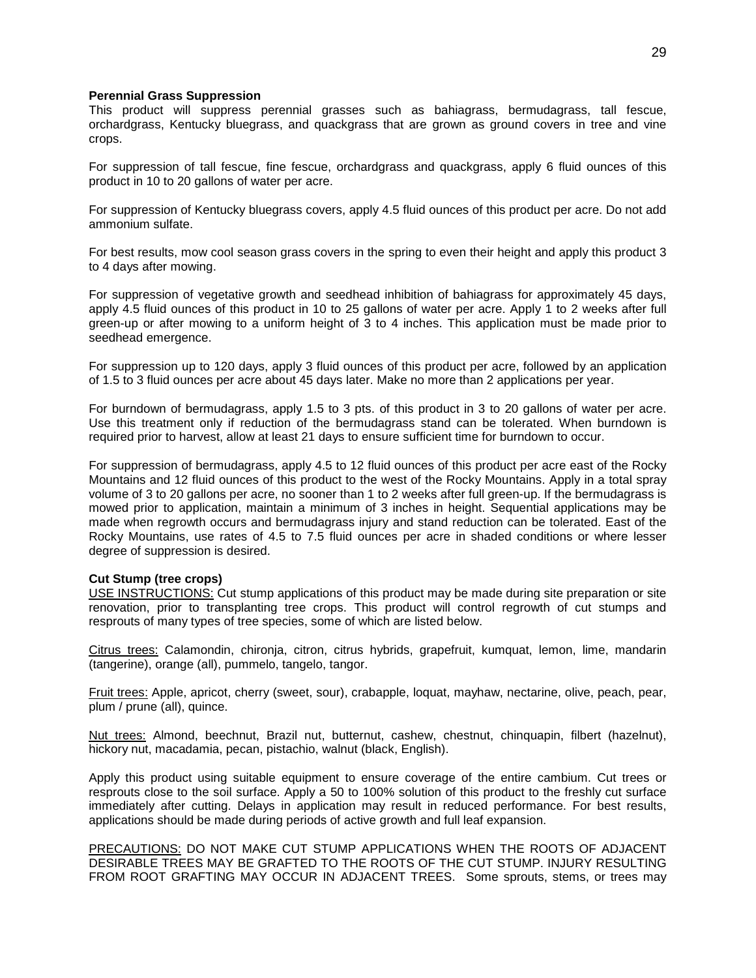#### **Perennial Grass Suppression**

This product will suppress perennial grasses such as bahiagrass, bermudagrass, tall fescue, orchardgrass, Kentucky bluegrass, and quackgrass that are grown as ground covers in tree and vine crops.

For suppression of tall fescue, fine fescue, orchardgrass and quackgrass, apply 6 fluid ounces of this product in 10 to 20 gallons of water per acre.

For suppression of Kentucky bluegrass covers, apply 4.5 fluid ounces of this product per acre. Do not add ammonium sulfate.

For best results, mow cool season grass covers in the spring to even their height and apply this product 3 to 4 days after mowing.

For suppression of vegetative growth and seedhead inhibition of bahiagrass for approximately 45 days, apply 4.5 fluid ounces of this product in 10 to 25 gallons of water per acre. Apply 1 to 2 weeks after full green-up or after mowing to a uniform height of 3 to 4 inches. This application must be made prior to seedhead emergence.

For suppression up to 120 days, apply 3 fluid ounces of this product per acre, followed by an application of 1.5 to 3 fluid ounces per acre about 45 days later. Make no more than 2 applications per year.

For burndown of bermudagrass, apply 1.5 to 3 pts. of this product in 3 to 20 gallons of water per acre. Use this treatment only if reduction of the bermudagrass stand can be tolerated. When burndown is required prior to harvest, allow at least 21 days to ensure sufficient time for burndown to occur.

For suppression of bermudagrass, apply 4.5 to 12 fluid ounces of this product per acre east of the Rocky Mountains and 12 fluid ounces of this product to the west of the Rocky Mountains. Apply in a total spray volume of 3 to 20 gallons per acre, no sooner than 1 to 2 weeks after full green-up. If the bermudagrass is mowed prior to application, maintain a minimum of 3 inches in height. Sequential applications may be made when regrowth occurs and bermudagrass injury and stand reduction can be tolerated. East of the Rocky Mountains, use rates of 4.5 to 7.5 fluid ounces per acre in shaded conditions or where lesser degree of suppression is desired.

#### **Cut Stump (tree crops)**

USE INSTRUCTIONS: Cut stump applications of this product may be made during site preparation or site renovation, prior to transplanting tree crops. This product will control regrowth of cut stumps and resprouts of many types of tree species, some of which are listed below.

Citrus trees: Calamondin, chironja, citron, citrus hybrids, grapefruit, kumquat, lemon, lime, mandarin (tangerine), orange (all), pummelo, tangelo, tangor.

Fruit trees: Apple, apricot, cherry (sweet, sour), crabapple, loquat, mayhaw, nectarine, olive, peach, pear, plum / prune (all), quince.

Nut trees: Almond, beechnut, Brazil nut, butternut, cashew, chestnut, chinquapin, filbert (hazelnut), hickory nut, macadamia, pecan, pistachio, walnut (black, English).

Apply this product using suitable equipment to ensure coverage of the entire cambium. Cut trees or resprouts close to the soil surface. Apply a 50 to 100% solution of this product to the freshly cut surface immediately after cutting. Delays in application may result in reduced performance. For best results, applications should be made during periods of active growth and full leaf expansion.

PRECAUTIONS: DO NOT MAKE CUT STUMP APPLICATIONS WHEN THE ROOTS OF ADJACENT DESIRABLE TREES MAY BE GRAFTED TO THE ROOTS OF THE CUT STUMP. INJURY RESULTING FROM ROOT GRAFTING MAY OCCUR IN ADJACENT TREES. Some sprouts, stems, or trees may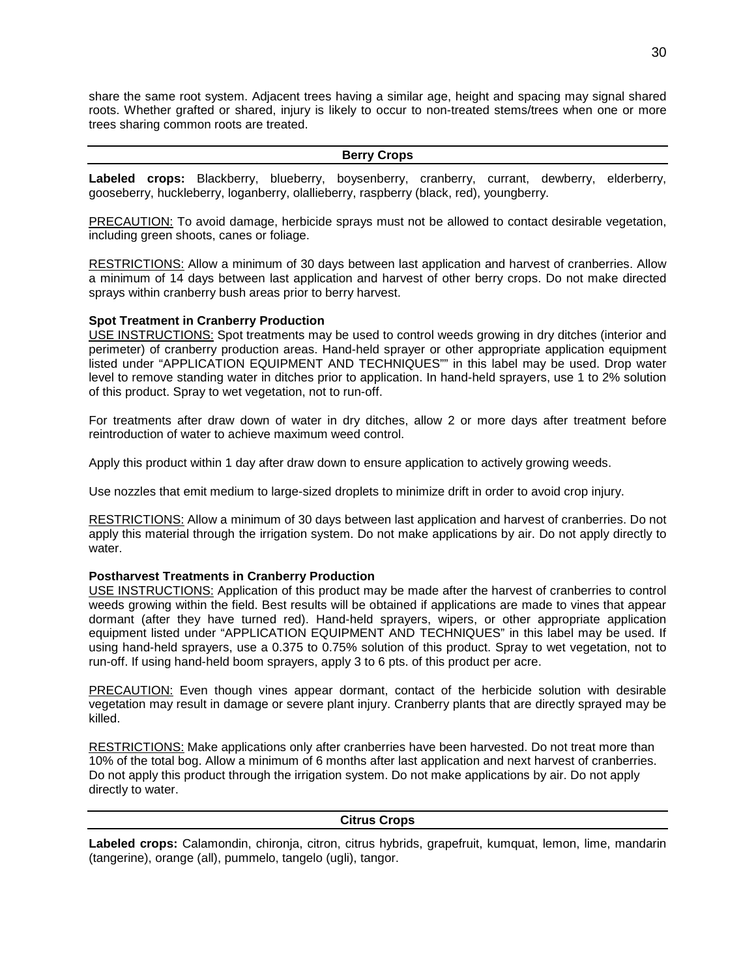share the same root system. Adjacent trees having a similar age, height and spacing may signal shared roots. Whether grafted or shared, injury is likely to occur to non-treated stems/trees when one or more trees sharing common roots are treated.

#### **Berry Crops**

**Labeled crops:** Blackberry, blueberry, boysenberry, cranberry, currant, dewberry, elderberry, gooseberry, huckleberry, loganberry, olallieberry, raspberry (black, red), youngberry.

PRECAUTION: To avoid damage, herbicide sprays must not be allowed to contact desirable vegetation, including green shoots, canes or foliage.

RESTRICTIONS: Allow a minimum of 30 days between last application and harvest of cranberries. Allow a minimum of 14 days between last application and harvest of other berry crops. Do not make directed sprays within cranberry bush areas prior to berry harvest.

## **Spot Treatment in Cranberry Production**

USE INSTRUCTIONS: Spot treatments may be used to control weeds growing in dry ditches (interior and perimeter) of cranberry production areas. Hand-held sprayer or other appropriate application equipment listed under "APPLICATION EQUIPMENT AND TECHNIQUES"" in this label may be used. Drop water level to remove standing water in ditches prior to application. In hand-held sprayers, use 1 to 2% solution of this product. Spray to wet vegetation, not to run-off.

For treatments after draw down of water in dry ditches, allow 2 or more days after treatment before reintroduction of water to achieve maximum weed control.

Apply this product within 1 day after draw down to ensure application to actively growing weeds.

Use nozzles that emit medium to large-sized droplets to minimize drift in order to avoid crop injury.

RESTRICTIONS: Allow a minimum of 30 days between last application and harvest of cranberries. Do not apply this material through the irrigation system. Do not make applications by air. Do not apply directly to water.

#### **Postharvest Treatments in Cranberry Production**

USE INSTRUCTIONS: Application of this product may be made after the harvest of cranberries to control weeds growing within the field. Best results will be obtained if applications are made to vines that appear dormant (after they have turned red). Hand-held sprayers, wipers, or other appropriate application equipment listed under "APPLICATION EQUIPMENT AND TECHNIQUES" in this label may be used. If using hand-held sprayers, use a 0.375 to 0.75% solution of this product. Spray to wet vegetation, not to run-off. If using hand-held boom sprayers, apply 3 to 6 pts. of this product per acre.

PRECAUTION: Even though vines appear dormant, contact of the herbicide solution with desirable vegetation may result in damage or severe plant injury. Cranberry plants that are directly sprayed may be killed.

RESTRICTIONS: Make applications only after cranberries have been harvested. Do not treat more than 10% of the total bog. Allow a minimum of 6 months after last application and next harvest of cranberries. Do not apply this product through the irrigation system. Do not make applications by air. Do not apply directly to water.

## **Citrus Crops**

**Labeled crops:** Calamondin, chironja, citron, citrus hybrids, grapefruit, kumquat, lemon, lime, mandarin (tangerine), orange (all), pummelo, tangelo (ugli), tangor.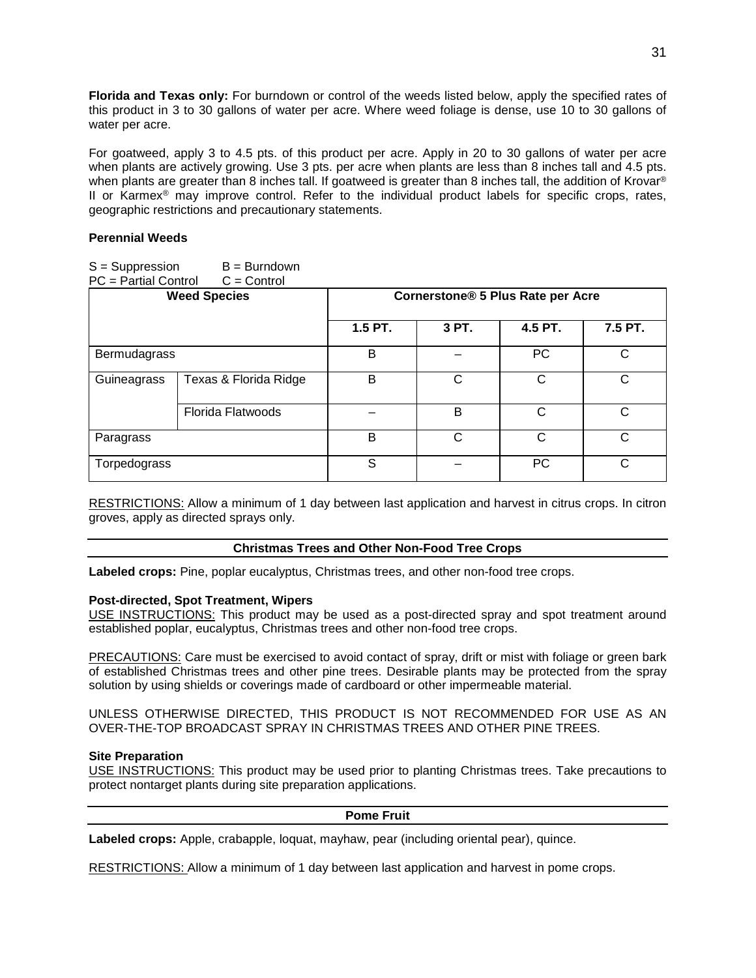**Florida and Texas only:** For burndown or control of the weeds listed below, apply the specified rates of this product in 3 to 30 gallons of water per acre. Where weed foliage is dense, use 10 to 30 gallons of water per acre.

For goatweed, apply 3 to 4.5 pts. of this product per acre. Apply in 20 to 30 gallons of water per acre when plants are actively growing. Use 3 pts. per acre when plants are less than 8 inches tall and 4.5 pts. when plants are greater than 8 inches tall. If goatweed is greater than 8 inches tall, the addition of Krovar® II or Karmex<sup>®</sup> may improve control. Refer to the individual product labels for specific crops, rates, geographic restrictions and precautionary statements.

## **Perennial Weeds**

| $S =$ Suppression<br>PC = Partial Control | B = Burndown<br>$C =$ Control |         |                                   |           |         |
|-------------------------------------------|-------------------------------|---------|-----------------------------------|-----------|---------|
| <b>Weed Species</b>                       |                               |         | Cornerstone® 5 Plus Rate per Acre |           |         |
|                                           |                               | 1.5 PT. | 3 PT.                             | 4.5 PT.   | 7.5 PT. |
| Bermudagrass                              |                               | B       |                                   | <b>PC</b> | C       |
| Guineagrass                               | Texas & Florida Ridge         | B       | C                                 | C         | C       |
|                                           | <b>Florida Flatwoods</b>      |         | B                                 | C         | С       |
| Paragrass                                 |                               | B       | C                                 | C         | C       |
| Torpedograss                              |                               | S       |                                   | <b>PC</b> | C       |

RESTRICTIONS: Allow a minimum of 1 day between last application and harvest in citrus crops. In citron groves, apply as directed sprays only.

## **Christmas Trees and Other Non-Food Tree Crops**

**Labeled crops:** Pine, poplar eucalyptus, Christmas trees, and other non-food tree crops.

## **Post-directed, Spot Treatment, Wipers**

USE INSTRUCTIONS: This product may be used as a post-directed spray and spot treatment around established poplar, eucalyptus, Christmas trees and other non-food tree crops.

PRECAUTIONS: Care must be exercised to avoid contact of spray, drift or mist with foliage or green bark of established Christmas trees and other pine trees. Desirable plants may be protected from the spray solution by using shields or coverings made of cardboard or other impermeable material.

UNLESS OTHERWISE DIRECTED, THIS PRODUCT IS NOT RECOMMENDED FOR USE AS AN OVER-THE-TOP BROADCAST SPRAY IN CHRISTMAS TREES AND OTHER PINE TREES.

## **Site Preparation**

USE INSTRUCTIONS: This product may be used prior to planting Christmas trees. Take precautions to protect nontarget plants during site preparation applications.

#### **Pome Fruit**

**Labeled crops:** Apple, crabapple, loquat, mayhaw, pear (including oriental pear), quince.

RESTRICTIONS: Allow a minimum of 1 day between last application and harvest in pome crops.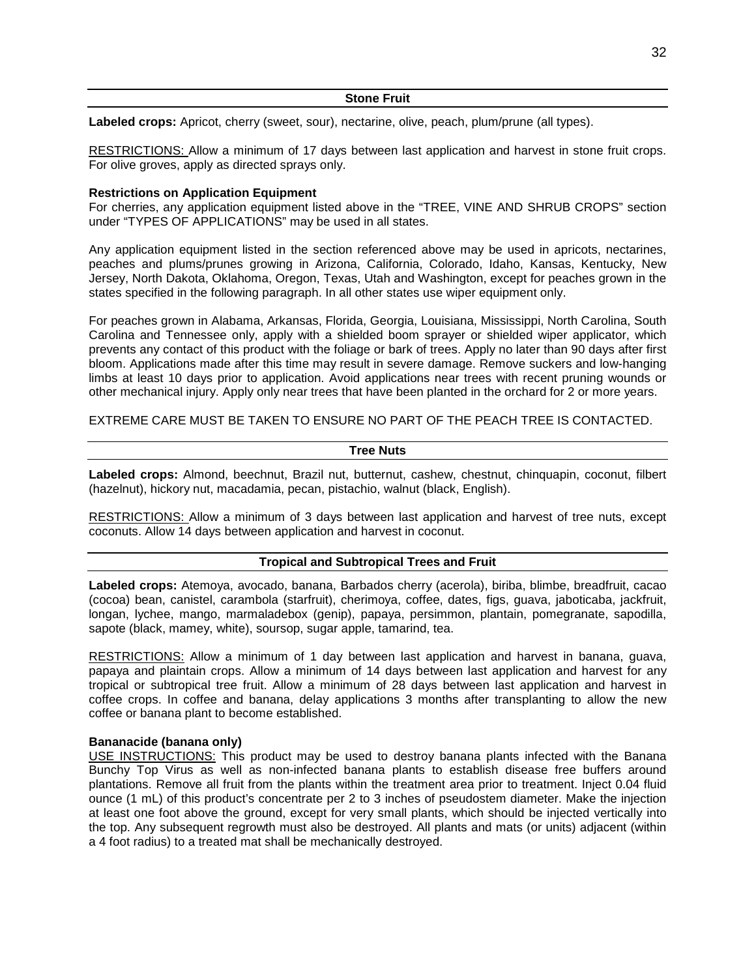#### **Stone Fruit**

**Labeled crops:** Apricot, cherry (sweet, sour), nectarine, olive, peach, plum/prune (all types).

RESTRICTIONS: Allow a minimum of 17 days between last application and harvest in stone fruit crops. For olive groves, apply as directed sprays only.

#### **Restrictions on Application Equipment**

For cherries, any application equipment listed above in the "TREE, VINE AND SHRUB CROPS" section under "TYPES OF APPLICATIONS" may be used in all states.

Any application equipment listed in the section referenced above may be used in apricots, nectarines, peaches and plums/prunes growing in Arizona, California, Colorado, Idaho, Kansas, Kentucky, New Jersey, North Dakota, Oklahoma, Oregon, Texas, Utah and Washington, except for peaches grown in the states specified in the following paragraph. In all other states use wiper equipment only.

For peaches grown in Alabama, Arkansas, Florida, Georgia, Louisiana, Mississippi, North Carolina, South Carolina and Tennessee only, apply with a shielded boom sprayer or shielded wiper applicator, which prevents any contact of this product with the foliage or bark of trees. Apply no later than 90 days after first bloom. Applications made after this time may result in severe damage. Remove suckers and low-hanging limbs at least 10 days prior to application. Avoid applications near trees with recent pruning wounds or other mechanical injury. Apply only near trees that have been planted in the orchard for 2 or more years.

EXTREME CARE MUST BE TAKEN TO ENSURE NO PART OF THE PEACH TREE IS CONTACTED.

#### **Tree Nuts**

**Labeled crops:** Almond, beechnut, Brazil nut, butternut, cashew, chestnut, chinquapin, coconut, filbert (hazelnut), hickory nut, macadamia, pecan, pistachio, walnut (black, English).

RESTRICTIONS: Allow a minimum of 3 days between last application and harvest of tree nuts, except coconuts. Allow 14 days between application and harvest in coconut.

## **Tropical and Subtropical Trees and Fruit**

**Labeled crops:** Atemoya, avocado, banana, Barbados cherry (acerola), biriba, blimbe, breadfruit, cacao (cocoa) bean, canistel, carambola (starfruit), cherimoya, coffee, dates, figs, guava, jaboticaba, jackfruit, longan, lychee, mango, marmaladebox (genip), papaya, persimmon, plantain, pomegranate, sapodilla, sapote (black, mamey, white), soursop, sugar apple, tamarind, tea.

RESTRICTIONS: Allow a minimum of 1 day between last application and harvest in banana, guava, papaya and plaintain crops. Allow a minimum of 14 days between last application and harvest for any tropical or subtropical tree fruit. Allow a minimum of 28 days between last application and harvest in coffee crops. In coffee and banana, delay applications 3 months after transplanting to allow the new coffee or banana plant to become established.

#### **Bananacide (banana only)**

USE INSTRUCTIONS: This product may be used to destroy banana plants infected with the Banana Bunchy Top Virus as well as non-infected banana plants to establish disease free buffers around plantations. Remove all fruit from the plants within the treatment area prior to treatment. Inject 0.04 fluid ounce (1 mL) of this product's concentrate per 2 to 3 inches of pseudostem diameter. Make the injection at least one foot above the ground, except for very small plants, which should be injected vertically into the top. Any subsequent regrowth must also be destroyed. All plants and mats (or units) adjacent (within a 4 foot radius) to a treated mat shall be mechanically destroyed.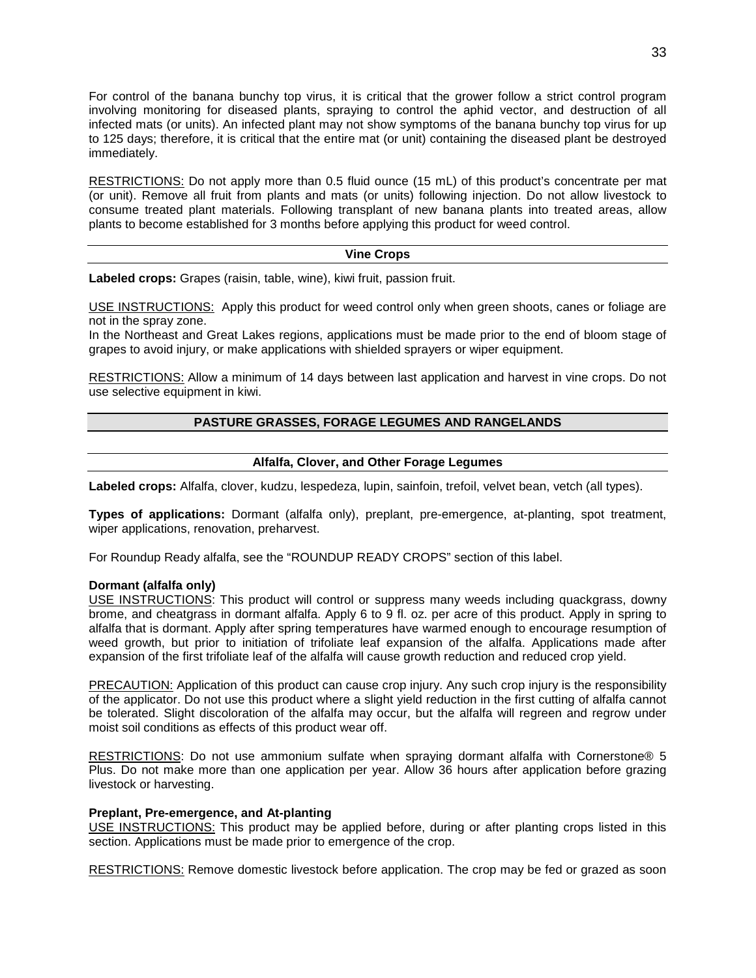For control of the banana bunchy top virus, it is critical that the grower follow a strict control program involving monitoring for diseased plants, spraying to control the aphid vector, and destruction of all infected mats (or units). An infected plant may not show symptoms of the banana bunchy top virus for up to 125 days; therefore, it is critical that the entire mat (or unit) containing the diseased plant be destroyed immediately.

RESTRICTIONS: Do not apply more than 0.5 fluid ounce (15 mL) of this product's concentrate per mat (or unit). Remove all fruit from plants and mats (or units) following injection. Do not allow livestock to consume treated plant materials. Following transplant of new banana plants into treated areas, allow plants to become established for 3 months before applying this product for weed control.

## **Vine Crops**

**Labeled crops:** Grapes (raisin, table, wine), kiwi fruit, passion fruit.

USE INSTRUCTIONS: Apply this product for weed control only when green shoots, canes or foliage are not in the spray zone.

In the Northeast and Great Lakes regions, applications must be made prior to the end of bloom stage of grapes to avoid injury, or make applications with shielded sprayers or wiper equipment.

RESTRICTIONS: Allow a minimum of 14 days between last application and harvest in vine crops. Do not use selective equipment in kiwi.

## **PASTURE GRASSES, FORAGE LEGUMES AND RANGELANDS**

## **Alfalfa, Clover, and Other Forage Legumes**

**Labeled crops:** Alfalfa, clover, kudzu, lespedeza, lupin, sainfoin, trefoil, velvet bean, vetch (all types).

**Types of applications:** Dormant (alfalfa only), preplant, pre-emergence, at-planting, spot treatment, wiper applications, renovation, preharvest.

For Roundup Ready alfalfa, see the "ROUNDUP READY CROPS" section of this label.

#### **Dormant (alfalfa only)**

USE INSTRUCTIONS: This product will control or suppress many weeds including quackgrass, downy brome, and cheatgrass in dormant alfalfa. Apply 6 to 9 fl. oz. per acre of this product. Apply in spring to alfalfa that is dormant. Apply after spring temperatures have warmed enough to encourage resumption of weed growth, but prior to initiation of trifoliate leaf expansion of the alfalfa. Applications made after expansion of the first trifoliate leaf of the alfalfa will cause growth reduction and reduced crop yield.

PRECAUTION: Application of this product can cause crop injury. Any such crop injury is the responsibility of the applicator. Do not use this product where a slight yield reduction in the first cutting of alfalfa cannot be tolerated. Slight discoloration of the alfalfa may occur, but the alfalfa will regreen and regrow under moist soil conditions as effects of this product wear off.

RESTRICTIONS: Do not use ammonium sulfate when spraying dormant alfalfa with Cornerstone® 5 Plus. Do not make more than one application per year. Allow 36 hours after application before grazing livestock or harvesting.

## **Preplant, Pre-emergence, and At-planting**

USE INSTRUCTIONS: This product may be applied before, during or after planting crops listed in this section. Applications must be made prior to emergence of the crop.

RESTRICTIONS: Remove domestic livestock before application. The crop may be fed or grazed as soon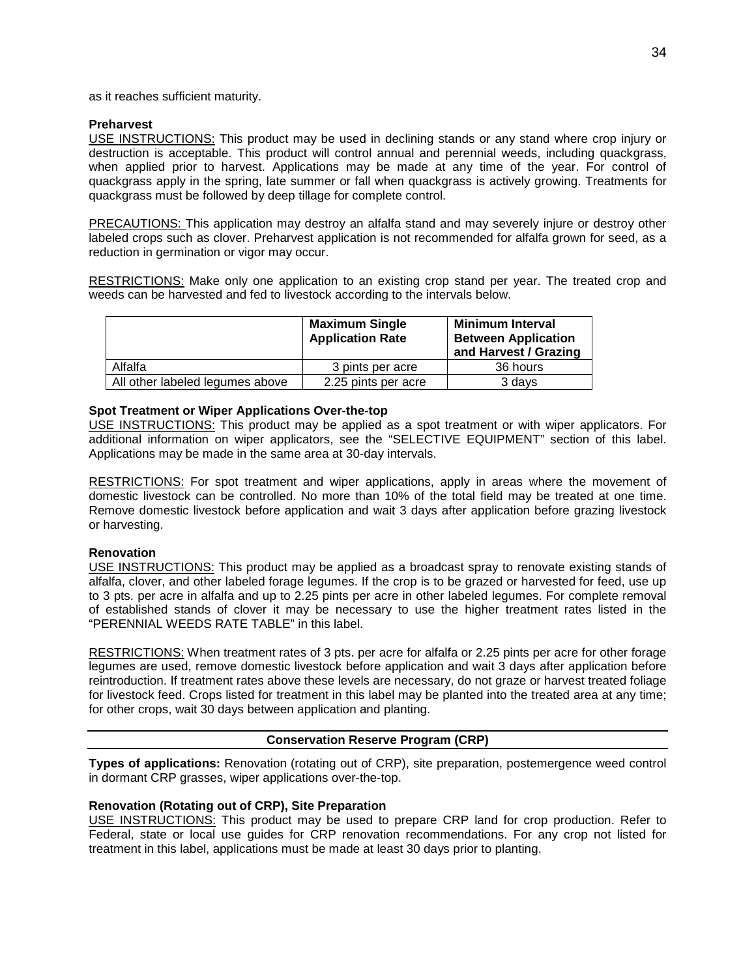as it reaches sufficient maturity.

## **Preharvest**

USE INSTRUCTIONS: This product may be used in declining stands or any stand where crop injury or destruction is acceptable. This product will control annual and perennial weeds, including quackgrass, when applied prior to harvest. Applications may be made at any time of the year. For control of quackgrass apply in the spring, late summer or fall when quackgrass is actively growing. Treatments for quackgrass must be followed by deep tillage for complete control.

PRECAUTIONS: This application may destroy an alfalfa stand and may severely injure or destroy other labeled crops such as clover. Preharvest application is not recommended for alfalfa grown for seed, as a reduction in germination or vigor may occur.

RESTRICTIONS: Make only one application to an existing crop stand per year. The treated crop and weeds can be harvested and fed to livestock according to the intervals below.

|                                 | <b>Maximum Single</b><br><b>Application Rate</b> | <b>Minimum Interval</b><br><b>Between Application</b><br>and Harvest / Grazing |
|---------------------------------|--------------------------------------------------|--------------------------------------------------------------------------------|
| Alfalfa                         | 3 pints per acre                                 | 36 hours                                                                       |
| All other labeled legumes above | 2.25 pints per acre                              | 3 days                                                                         |

## **Spot Treatment or Wiper Applications Over-the-top**

USE INSTRUCTIONS: This product may be applied as a spot treatment or with wiper applicators. For additional information on wiper applicators, see the "SELECTIVE EQUIPMENT" section of this label. Applications may be made in the same area at 30-day intervals.

RESTRICTIONS: For spot treatment and wiper applications, apply in areas where the movement of domestic livestock can be controlled. No more than 10% of the total field may be treated at one time. Remove domestic livestock before application and wait 3 days after application before grazing livestock or harvesting.

#### **Renovation**

USE INSTRUCTIONS: This product may be applied as a broadcast spray to renovate existing stands of alfalfa, clover, and other labeled forage legumes. If the crop is to be grazed or harvested for feed, use up to 3 pts. per acre in alfalfa and up to 2.25 pints per acre in other labeled legumes. For complete removal of established stands of clover it may be necessary to use the higher treatment rates listed in the "PERENNIAL WEEDS RATE TABLE" in this label.

RESTRICTIONS: When treatment rates of 3 pts. per acre for alfalfa or 2.25 pints per acre for other forage legumes are used, remove domestic livestock before application and wait 3 days after application before reintroduction. If treatment rates above these levels are necessary, do not graze or harvest treated foliage for livestock feed. Crops listed for treatment in this label may be planted into the treated area at any time; for other crops, wait 30 days between application and planting.

## **Conservation Reserve Program (CRP)**

**Types of applications:** Renovation (rotating out of CRP), site preparation, postemergence weed control in dormant CRP grasses, wiper applications over-the-top.

## **Renovation (Rotating out of CRP), Site Preparation**

USE INSTRUCTIONS: This product may be used to prepare CRP land for crop production. Refer to Federal, state or local use guides for CRP renovation recommendations. For any crop not listed for treatment in this label, applications must be made at least 30 days prior to planting.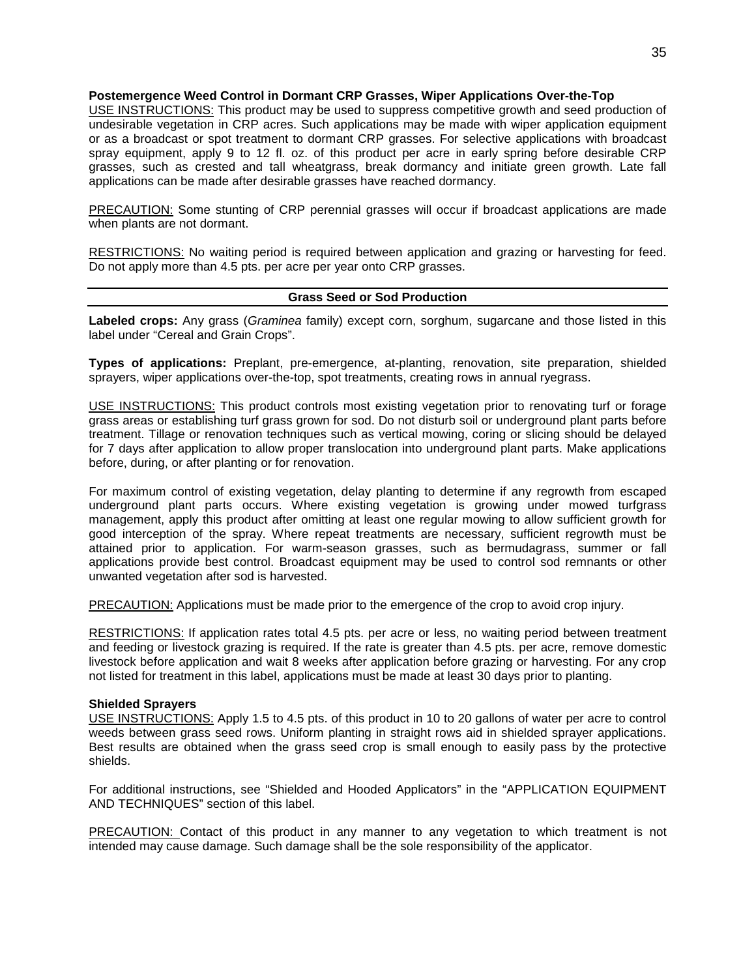#### **Postemergence Weed Control in Dormant CRP Grasses, Wiper Applications Over-the-Top**

USE INSTRUCTIONS: This product may be used to suppress competitive growth and seed production of undesirable vegetation in CRP acres. Such applications may be made with wiper application equipment or as a broadcast or spot treatment to dormant CRP grasses. For selective applications with broadcast spray equipment, apply 9 to 12 fl. oz. of this product per acre in early spring before desirable CRP grasses, such as crested and tall wheatgrass, break dormancy and initiate green growth. Late fall applications can be made after desirable grasses have reached dormancy.

PRECAUTION: Some stunting of CRP perennial grasses will occur if broadcast applications are made when plants are not dormant.

RESTRICTIONS: No waiting period is required between application and grazing or harvesting for feed. Do not apply more than 4.5 pts. per acre per year onto CRP grasses.

## **Grass Seed or Sod Production**

**Labeled crops:** Any grass (*Graminea* family) except corn, sorghum, sugarcane and those listed in this label under "Cereal and Grain Crops".

**Types of applications:** Preplant, pre-emergence, at-planting, renovation, site preparation, shielded sprayers, wiper applications over-the-top, spot treatments, creating rows in annual ryegrass.

USE INSTRUCTIONS: This product controls most existing vegetation prior to renovating turf or forage grass areas or establishing turf grass grown for sod. Do not disturb soil or underground plant parts before treatment. Tillage or renovation techniques such as vertical mowing, coring or slicing should be delayed for 7 days after application to allow proper translocation into underground plant parts. Make applications before, during, or after planting or for renovation.

For maximum control of existing vegetation, delay planting to determine if any regrowth from escaped underground plant parts occurs. Where existing vegetation is growing under mowed turfgrass management, apply this product after omitting at least one regular mowing to allow sufficient growth for good interception of the spray. Where repeat treatments are necessary, sufficient regrowth must be attained prior to application. For warm-season grasses, such as bermudagrass, summer or fall applications provide best control. Broadcast equipment may be used to control sod remnants or other unwanted vegetation after sod is harvested.

PRECAUTION: Applications must be made prior to the emergence of the crop to avoid crop injury.

RESTRICTIONS: If application rates total 4.5 pts. per acre or less, no waiting period between treatment and feeding or livestock grazing is required. If the rate is greater than 4.5 pts. per acre, remove domestic livestock before application and wait 8 weeks after application before grazing or harvesting. For any crop not listed for treatment in this label, applications must be made at least 30 days prior to planting.

#### **Shielded Sprayers**

USE INSTRUCTIONS: Apply 1.5 to 4.5 pts. of this product in 10 to 20 gallons of water per acre to control weeds between grass seed rows. Uniform planting in straight rows aid in shielded sprayer applications. Best results are obtained when the grass seed crop is small enough to easily pass by the protective shields.

For additional instructions, see "Shielded and Hooded Applicators" in the "APPLICATION EQUIPMENT AND TECHNIQUES" section of this label.

PRECAUTION: Contact of this product in any manner to any vegetation to which treatment is not intended may cause damage. Such damage shall be the sole responsibility of the applicator.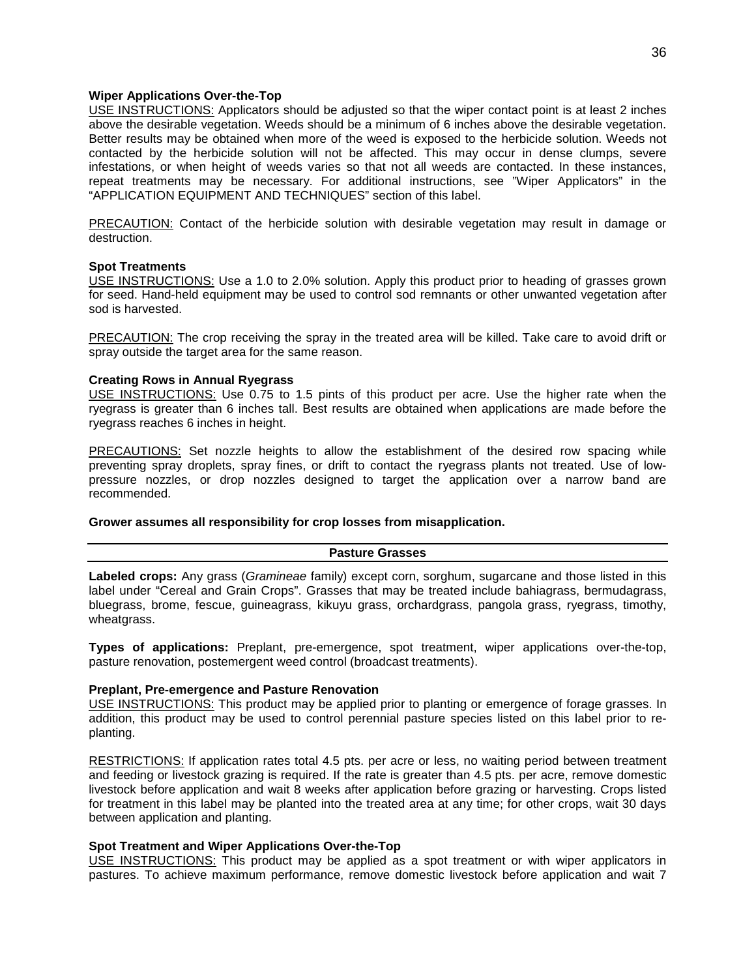#### **Wiper Applications Over-the-Top**

USE INSTRUCTIONS: Applicators should be adjusted so that the wiper contact point is at least 2 inches above the desirable vegetation. Weeds should be a minimum of 6 inches above the desirable vegetation. Better results may be obtained when more of the weed is exposed to the herbicide solution. Weeds not contacted by the herbicide solution will not be affected. This may occur in dense clumps, severe infestations, or when height of weeds varies so that not all weeds are contacted. In these instances, repeat treatments may be necessary. For additional instructions, see "Wiper Applicators" in the "APPLICATION EQUIPMENT AND TECHNIQUES" section of this label.

PRECAUTION: Contact of the herbicide solution with desirable vegetation may result in damage or destruction.

#### **Spot Treatments**

USE INSTRUCTIONS: Use a 1.0 to 2.0% solution. Apply this product prior to heading of grasses grown for seed. Hand-held equipment may be used to control sod remnants or other unwanted vegetation after sod is harvested.

PRECAUTION: The crop receiving the spray in the treated area will be killed. Take care to avoid drift or spray outside the target area for the same reason.

#### **Creating Rows in Annual Ryegrass**

USE INSTRUCTIONS: Use 0.75 to 1.5 pints of this product per acre. Use the higher rate when the ryegrass is greater than 6 inches tall. Best results are obtained when applications are made before the ryegrass reaches 6 inches in height.

PRECAUTIONS: Set nozzle heights to allow the establishment of the desired row spacing while preventing spray droplets, spray fines, or drift to contact the ryegrass plants not treated. Use of lowpressure nozzles, or drop nozzles designed to target the application over a narrow band are recommended.

#### **Grower assumes all responsibility for crop losses from misapplication.**

#### **Pasture Grasses**

**Labeled crops:** Any grass (*Gramineae* family) except corn, sorghum, sugarcane and those listed in this label under "Cereal and Grain Crops". Grasses that may be treated include bahiagrass, bermudagrass, bluegrass, brome, fescue, guineagrass, kikuyu grass, orchardgrass, pangola grass, ryegrass, timothy, wheatgrass.

**Types of applications:** Preplant, pre-emergence, spot treatment, wiper applications over-the-top, pasture renovation, postemergent weed control (broadcast treatments).

#### **Preplant, Pre-emergence and Pasture Renovation**

USE INSTRUCTIONS: This product may be applied prior to planting or emergence of forage grasses. In addition, this product may be used to control perennial pasture species listed on this label prior to replanting.

RESTRICTIONS: If application rates total 4.5 pts. per acre or less, no waiting period between treatment and feeding or livestock grazing is required. If the rate is greater than 4.5 pts. per acre, remove domestic livestock before application and wait 8 weeks after application before grazing or harvesting. Crops listed for treatment in this label may be planted into the treated area at any time; for other crops, wait 30 days between application and planting.

#### **Spot Treatment and Wiper Applications Over-the-Top**

USE INSTRUCTIONS: This product may be applied as a spot treatment or with wiper applicators in pastures. To achieve maximum performance, remove domestic livestock before application and wait 7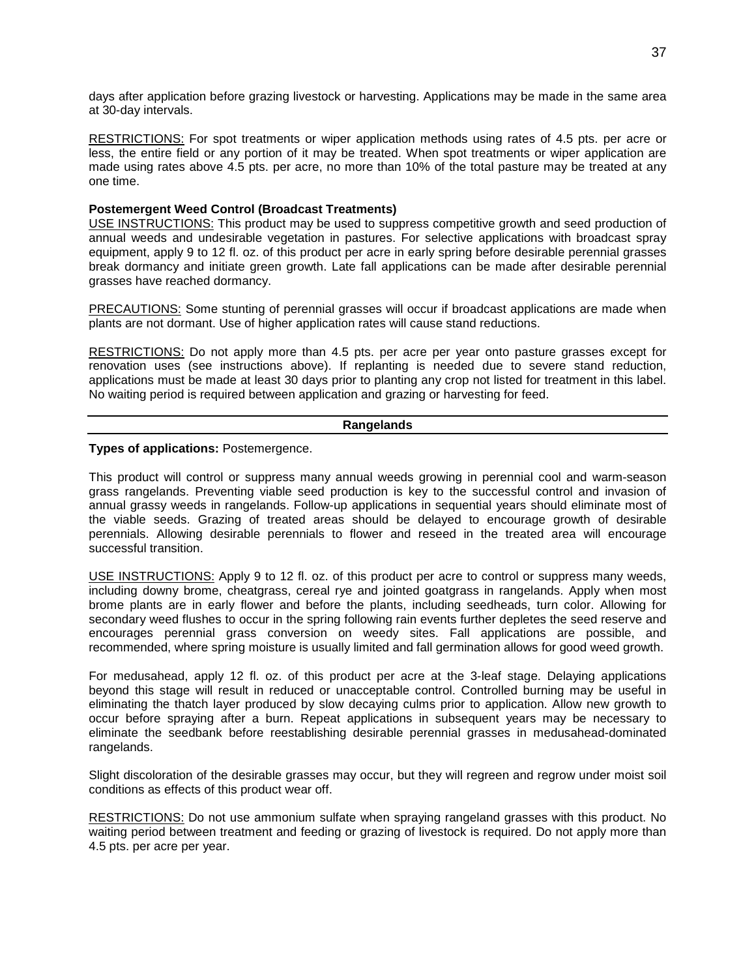days after application before grazing livestock or harvesting. Applications may be made in the same area at 30-day intervals.

RESTRICTIONS: For spot treatments or wiper application methods using rates of 4.5 pts. per acre or less, the entire field or any portion of it may be treated. When spot treatments or wiper application are made using rates above 4.5 pts. per acre, no more than 10% of the total pasture may be treated at any one time.

## **Postemergent Weed Control (Broadcast Treatments)**

USE INSTRUCTIONS: This product may be used to suppress competitive growth and seed production of annual weeds and undesirable vegetation in pastures. For selective applications with broadcast spray equipment, apply 9 to 12 fl. oz. of this product per acre in early spring before desirable perennial grasses break dormancy and initiate green growth. Late fall applications can be made after desirable perennial grasses have reached dormancy.

PRECAUTIONS: Some stunting of perennial grasses will occur if broadcast applications are made when plants are not dormant. Use of higher application rates will cause stand reductions.

RESTRICTIONS: Do not apply more than 4.5 pts. per acre per year onto pasture grasses except for renovation uses (see instructions above). If replanting is needed due to severe stand reduction, applications must be made at least 30 days prior to planting any crop not listed for treatment in this label. No waiting period is required between application and grazing or harvesting for feed.

#### **Rangelands**

**Types of applications:** Postemergence.

This product will control or suppress many annual weeds growing in perennial cool and warm-season grass rangelands. Preventing viable seed production is key to the successful control and invasion of annual grassy weeds in rangelands. Follow-up applications in sequential years should eliminate most of the viable seeds. Grazing of treated areas should be delayed to encourage growth of desirable perennials. Allowing desirable perennials to flower and reseed in the treated area will encourage successful transition.

USE INSTRUCTIONS: Apply 9 to 12 fl. oz. of this product per acre to control or suppress many weeds, including downy brome, cheatgrass, cereal rye and jointed goatgrass in rangelands. Apply when most brome plants are in early flower and before the plants, including seedheads, turn color. Allowing for secondary weed flushes to occur in the spring following rain events further depletes the seed reserve and encourages perennial grass conversion on weedy sites. Fall applications are possible, and recommended, where spring moisture is usually limited and fall germination allows for good weed growth.

For medusahead, apply 12 fl. oz. of this product per acre at the 3-leaf stage. Delaying applications beyond this stage will result in reduced or unacceptable control. Controlled burning may be useful in eliminating the thatch layer produced by slow decaying culms prior to application. Allow new growth to occur before spraying after a burn. Repeat applications in subsequent years may be necessary to eliminate the seedbank before reestablishing desirable perennial grasses in medusahead-dominated rangelands.

Slight discoloration of the desirable grasses may occur, but they will regreen and regrow under moist soil conditions as effects of this product wear off.

RESTRICTIONS: Do not use ammonium sulfate when spraying rangeland grasses with this product. No waiting period between treatment and feeding or grazing of livestock is required. Do not apply more than 4.5 pts. per acre per year.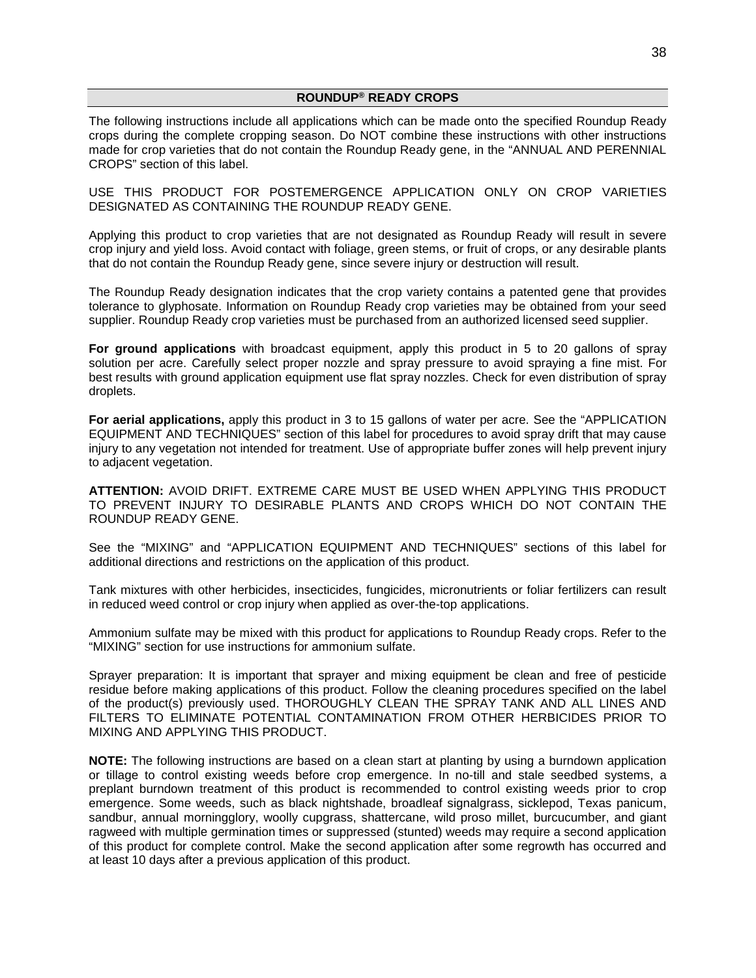#### **ROUNDUP® READY CROPS**

The following instructions include all applications which can be made onto the specified Roundup Ready crops during the complete cropping season. Do NOT combine these instructions with other instructions made for crop varieties that do not contain the Roundup Ready gene, in the "ANNUAL AND PERENNIAL CROPS" section of this label.

USE THIS PRODUCT FOR POSTEMERGENCE APPLICATION ONLY ON CROP VARIETIES DESIGNATED AS CONTAINING THE ROUNDUP READY GENE.

Applying this product to crop varieties that are not designated as Roundup Ready will result in severe crop injury and yield loss. Avoid contact with foliage, green stems, or fruit of crops, or any desirable plants that do not contain the Roundup Ready gene, since severe injury or destruction will result.

The Roundup Ready designation indicates that the crop variety contains a patented gene that provides tolerance to glyphosate. Information on Roundup Ready crop varieties may be obtained from your seed supplier. Roundup Ready crop varieties must be purchased from an authorized licensed seed supplier.

**For ground applications** with broadcast equipment, apply this product in 5 to 20 gallons of spray solution per acre. Carefully select proper nozzle and spray pressure to avoid spraying a fine mist. For best results with ground application equipment use flat spray nozzles. Check for even distribution of spray droplets.

**For aerial applications,** apply this product in 3 to 15 gallons of water per acre. See the "APPLICATION EQUIPMENT AND TECHNIQUES" section of this label for procedures to avoid spray drift that may cause injury to any vegetation not intended for treatment. Use of appropriate buffer zones will help prevent injury to adjacent vegetation.

**ATTENTION:** AVOID DRIFT. EXTREME CARE MUST BE USED WHEN APPLYING THIS PRODUCT TO PREVENT INJURY TO DESIRABLE PLANTS AND CROPS WHICH DO NOT CONTAIN THE ROUNDUP READY GENE.

See the "MIXING" and "APPLICATION EQUIPMENT AND TECHNIQUES" sections of this label for additional directions and restrictions on the application of this product.

Tank mixtures with other herbicides, insecticides, fungicides, micronutrients or foliar fertilizers can result in reduced weed control or crop injury when applied as over-the-top applications.

Ammonium sulfate may be mixed with this product for applications to Roundup Ready crops. Refer to the "MIXING" section for use instructions for ammonium sulfate.

Sprayer preparation: It is important that sprayer and mixing equipment be clean and free of pesticide residue before making applications of this product. Follow the cleaning procedures specified on the label of the product(s) previously used. THOROUGHLY CLEAN THE SPRAY TANK AND ALL LINES AND FILTERS TO ELIMINATE POTENTIAL CONTAMINATION FROM OTHER HERBICIDES PRIOR TO MIXING AND APPLYING THIS PRODUCT.

**NOTE:** The following instructions are based on a clean start at planting by using a burndown application or tillage to control existing weeds before crop emergence. In no-till and stale seedbed systems, a preplant burndown treatment of this product is recommended to control existing weeds prior to crop emergence. Some weeds, such as black nightshade, broadleaf signalgrass, sicklepod, Texas panicum, sandbur, annual morningglory, woolly cupgrass, shattercane, wild proso millet, burcucumber, and giant ragweed with multiple germination times or suppressed (stunted) weeds may require a second application of this product for complete control. Make the second application after some regrowth has occurred and at least 10 days after a previous application of this product.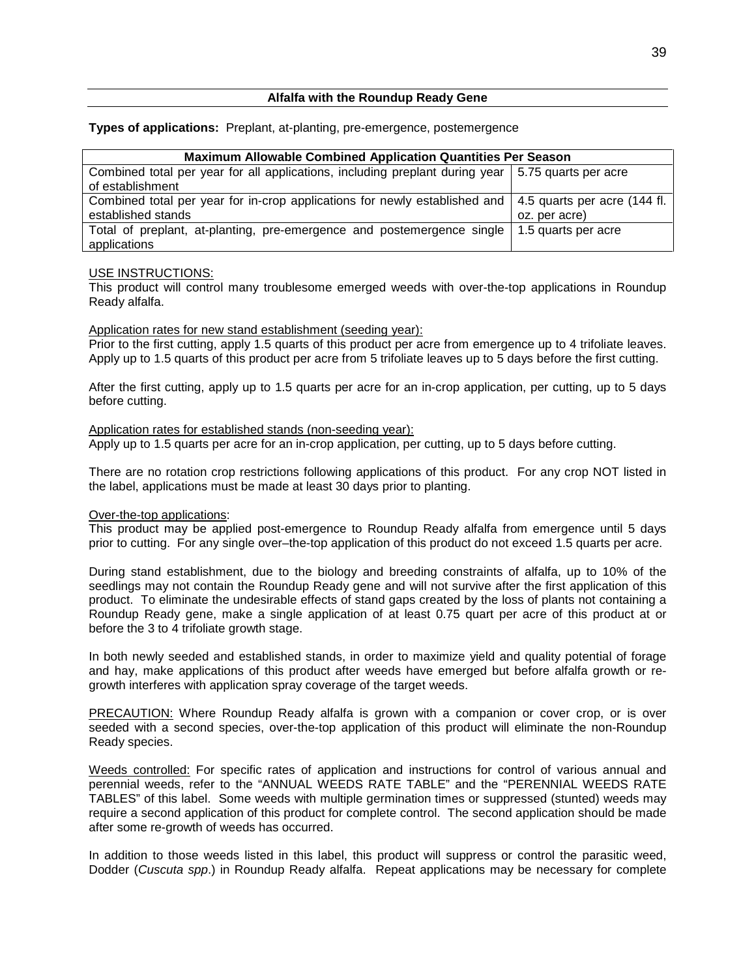## **Alfalfa with the Roundup Ready Gene**

#### **Types of applications:** Preplant, at-planting, pre-emergence, postemergence

| <b>Maximum Allowable Combined Application Quantities Per Season</b>                                       |                     |  |  |
|-----------------------------------------------------------------------------------------------------------|---------------------|--|--|
| Combined total per year for all applications, including preplant during year 5.75 quarts per acre         |                     |  |  |
| of establishment                                                                                          |                     |  |  |
| Combined total per year for in-crop applications for newly established and   4.5 quarts per acre (144 fl. |                     |  |  |
| established stands                                                                                        | oz. per acre)       |  |  |
| Total of preplant, at-planting, pre-emergence and postemergence single                                    | 1.5 quarts per acre |  |  |
| applications                                                                                              |                     |  |  |

#### USE INSTRUCTIONS:

This product will control many troublesome emerged weeds with over-the-top applications in Roundup Ready alfalfa.

#### Application rates for new stand establishment (seeding year):

Prior to the first cutting, apply 1.5 quarts of this product per acre from emergence up to 4 trifoliate leaves. Apply up to 1.5 quarts of this product per acre from 5 trifoliate leaves up to 5 days before the first cutting.

After the first cutting, apply up to 1.5 quarts per acre for an in-crop application, per cutting, up to 5 days before cutting.

#### Application rates for established stands (non-seeding year):

Apply up to 1.5 quarts per acre for an in-crop application, per cutting, up to 5 days before cutting.

There are no rotation crop restrictions following applications of this product. For any crop NOT listed in the label, applications must be made at least 30 days prior to planting.

## Over-the-top applications:

This product may be applied post-emergence to Roundup Ready alfalfa from emergence until 5 days prior to cutting. For any single over–the-top application of this product do not exceed 1.5 quarts per acre.

During stand establishment, due to the biology and breeding constraints of alfalfa, up to 10% of the seedlings may not contain the Roundup Ready gene and will not survive after the first application of this product. To eliminate the undesirable effects of stand gaps created by the loss of plants not containing a Roundup Ready gene, make a single application of at least 0.75 quart per acre of this product at or before the 3 to 4 trifoliate growth stage.

In both newly seeded and established stands, in order to maximize yield and quality potential of forage and hay, make applications of this product after weeds have emerged but before alfalfa growth or regrowth interferes with application spray coverage of the target weeds.

PRECAUTION: Where Roundup Ready alfalfa is grown with a companion or cover crop, or is over seeded with a second species, over-the-top application of this product will eliminate the non-Roundup Ready species.

Weeds controlled: For specific rates of application and instructions for control of various annual and perennial weeds, refer to the "ANNUAL WEEDS RATE TABLE" and the "PERENNIAL WEEDS RATE TABLES" of this label. Some weeds with multiple germination times or suppressed (stunted) weeds may require a second application of this product for complete control. The second application should be made after some re-growth of weeds has occurred.

In addition to those weeds listed in this label, this product will suppress or control the parasitic weed, Dodder (*Cuscuta spp*.) in Roundup Ready alfalfa. Repeat applications may be necessary for complete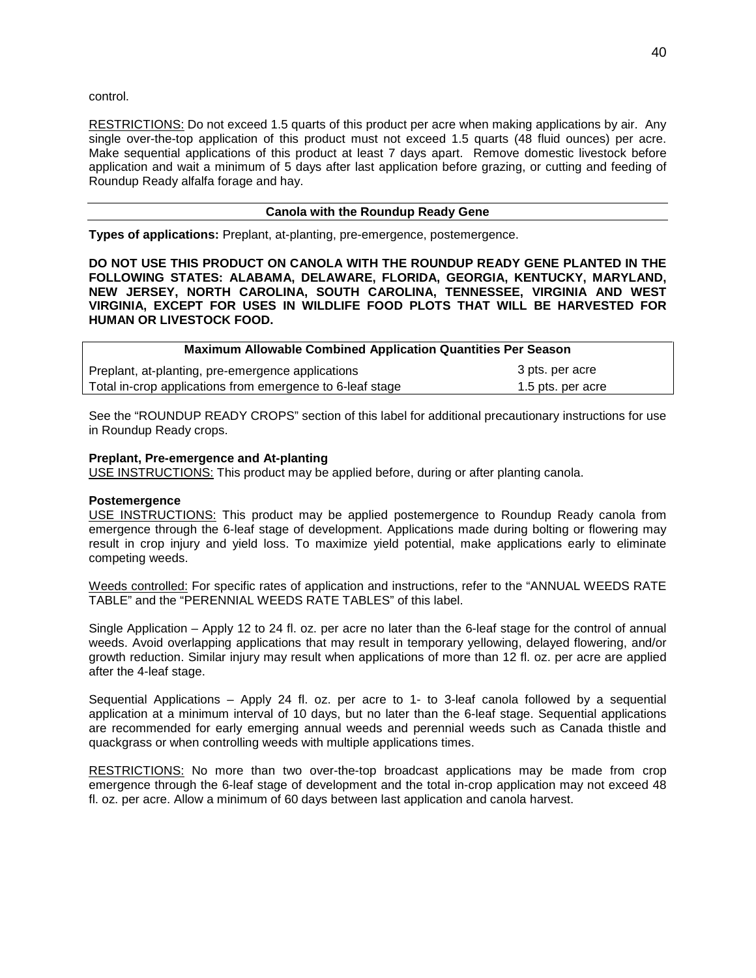control.

RESTRICTIONS: Do not exceed 1.5 quarts of this product per acre when making applications by air. Any single over-the-top application of this product must not exceed 1.5 quarts (48 fluid ounces) per acre. Make sequential applications of this product at least 7 days apart. Remove domestic livestock before application and wait a minimum of 5 days after last application before grazing, or cutting and feeding of Roundup Ready alfalfa forage and hay.

## **Canola with the Roundup Ready Gene**

**Types of applications:** Preplant, at-planting, pre-emergence, postemergence.

**DO NOT USE THIS PRODUCT ON CANOLA WITH THE ROUNDUP READY GENE PLANTED IN THE FOLLOWING STATES: ALABAMA, DELAWARE, FLORIDA, GEORGIA, KENTUCKY, MARYLAND, NEW JERSEY, NORTH CAROLINA, SOUTH CAROLINA, TENNESSEE, VIRGINIA AND WEST VIRGINIA, EXCEPT FOR USES IN WILDLIFE FOOD PLOTS THAT WILL BE HARVESTED FOR HUMAN OR LIVESTOCK FOOD.**

| <b>Maximum Allowable Combined Application Quantities Per Season</b> |                   |  |
|---------------------------------------------------------------------|-------------------|--|
| Preplant, at-planting, pre-emergence applications                   | 3 pts. per acre   |  |
| Total in-crop applications from emergence to 6-leaf stage           | 1.5 pts. per acre |  |

See the "ROUNDUP READY CROPS" section of this label for additional precautionary instructions for use in Roundup Ready crops.

## **Preplant, Pre-emergence and At-planting**

USE INSTRUCTIONS: This product may be applied before, during or after planting canola.

#### **Postemergence**

USE INSTRUCTIONS: This product may be applied postemergence to Roundup Ready canola from emergence through the 6-leaf stage of development. Applications made during bolting or flowering may result in crop injury and yield loss. To maximize yield potential, make applications early to eliminate competing weeds.

Weeds controlled: For specific rates of application and instructions, refer to the "ANNUAL WEEDS RATE TABLE" and the "PERENNIAL WEEDS RATE TABLES" of this label.

Single Application – Apply 12 to 24 fl. oz. per acre no later than the 6-leaf stage for the control of annual weeds. Avoid overlapping applications that may result in temporary yellowing, delayed flowering, and/or growth reduction. Similar injury may result when applications of more than 12 fl. oz. per acre are applied after the 4-leaf stage.

Sequential Applications – Apply 24 fl. oz. per acre to 1- to 3-leaf canola followed by a sequential application at a minimum interval of 10 days, but no later than the 6-leaf stage. Sequential applications are recommended for early emerging annual weeds and perennial weeds such as Canada thistle and quackgrass or when controlling weeds with multiple applications times.

RESTRICTIONS: No more than two over-the-top broadcast applications may be made from crop emergence through the 6-leaf stage of development and the total in-crop application may not exceed 48 fl. oz. per acre. Allow a minimum of 60 days between last application and canola harvest.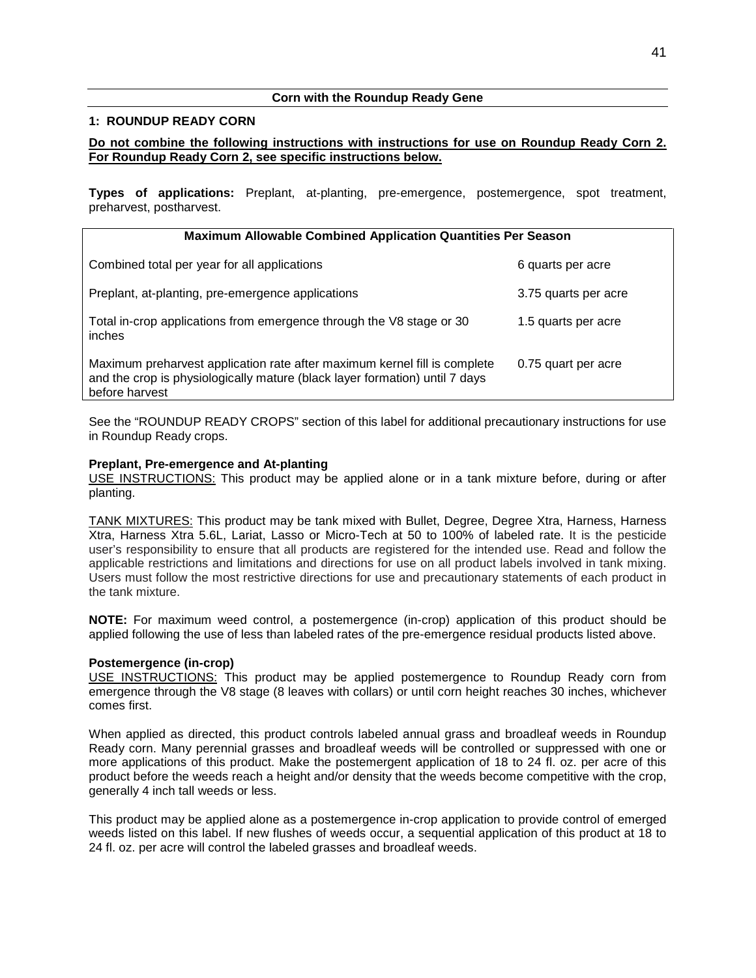## **Corn with the Roundup Ready Gene**

## **1: ROUNDUP READY CORN**

## **Do not combine the following instructions with instructions for use on Roundup Ready Corn 2. For Roundup Ready Corn 2, see specific instructions below.**

**Types of applications:** Preplant, at-planting, pre-emergence, postemergence, spot treatment, preharvest, postharvest.

| <b>Maximum Allowable Combined Application Quantities Per Season</b>                                                                                                        |                      |  |
|----------------------------------------------------------------------------------------------------------------------------------------------------------------------------|----------------------|--|
| Combined total per year for all applications                                                                                                                               | 6 quarts per acre    |  |
| Preplant, at-planting, pre-emergence applications                                                                                                                          | 3.75 quarts per acre |  |
| Total in-crop applications from emergence through the V8 stage or 30<br>inches                                                                                             | 1.5 quarts per acre  |  |
| Maximum preharvest application rate after maximum kernel fill is complete<br>and the crop is physiologically mature (black layer formation) until 7 days<br>before harvest | 0.75 quart per acre  |  |

See the "ROUNDUP READY CROPS" section of this label for additional precautionary instructions for use in Roundup Ready crops.

## **Preplant, Pre-emergence and At-planting**

USE INSTRUCTIONS: This product may be applied alone or in a tank mixture before, during or after planting.

TANK MIXTURES: This product may be tank mixed with Bullet, Degree, Degree Xtra, Harness, Harness Xtra, Harness Xtra 5.6L, Lariat, Lasso or Micro-Tech at 50 to 100% of labeled rate. It is the pesticide user's responsibility to ensure that all products are registered for the intended use. Read and follow the applicable restrictions and limitations and directions for use on all product labels involved in tank mixing. Users must follow the most restrictive directions for use and precautionary statements of each product in the tank mixture.

**NOTE:** For maximum weed control, a postemergence (in-crop) application of this product should be applied following the use of less than labeled rates of the pre-emergence residual products listed above.

## **Postemergence (in-crop)**

USE INSTRUCTIONS: This product may be applied postemergence to Roundup Ready corn from emergence through the V8 stage (8 leaves with collars) or until corn height reaches 30 inches, whichever comes first.

When applied as directed, this product controls labeled annual grass and broadleaf weeds in Roundup Ready corn. Many perennial grasses and broadleaf weeds will be controlled or suppressed with one or more applications of this product. Make the postemergent application of 18 to 24 fl. oz. per acre of this product before the weeds reach a height and/or density that the weeds become competitive with the crop, generally 4 inch tall weeds or less.

This product may be applied alone as a postemergence in-crop application to provide control of emerged weeds listed on this label. If new flushes of weeds occur, a sequential application of this product at 18 to 24 fl. oz. per acre will control the labeled grasses and broadleaf weeds.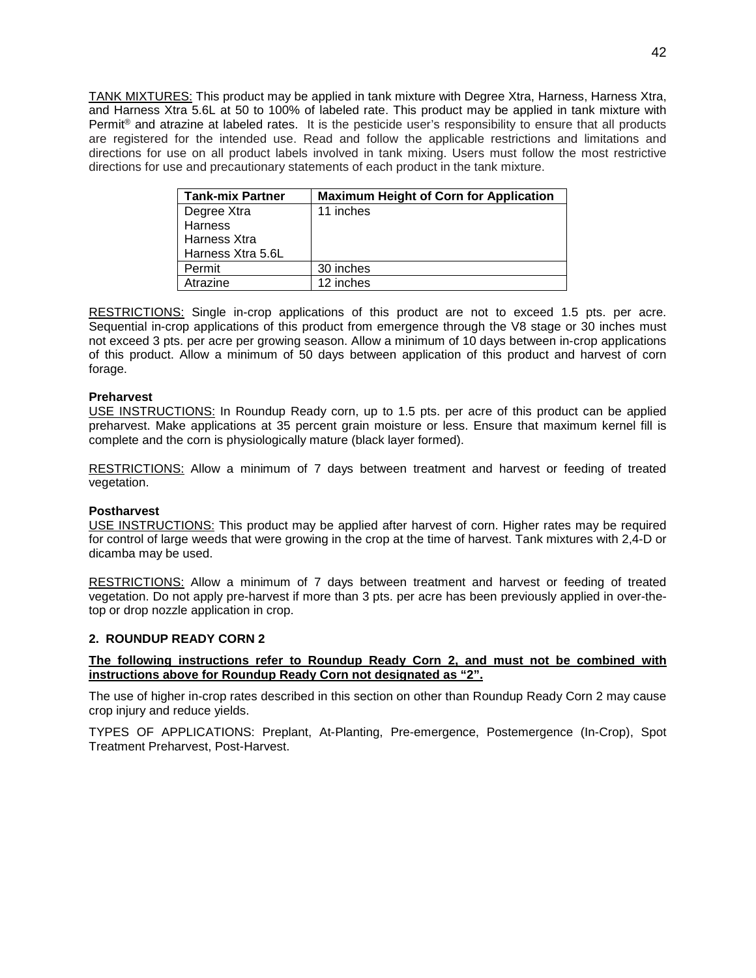TANK MIXTURES: This product may be applied in tank mixture with Degree Xtra, Harness, Harness Xtra, and Harness Xtra 5.6L at 50 to 100% of labeled rate. This product may be applied in tank mixture with Permit<sup>®</sup> and atrazine at labeled rates. It is the pesticide user's responsibility to ensure that all products are registered for the intended use. Read and follow the applicable restrictions and limitations and directions for use on all product labels involved in tank mixing. Users must follow the most restrictive directions for use and precautionary statements of each product in the tank mixture.

| <b>Tank-mix Partner</b> | <b>Maximum Height of Corn for Application</b> |
|-------------------------|-----------------------------------------------|
| Degree Xtra             | 11 inches                                     |
| Harness                 |                                               |
| Harness Xtra            |                                               |
| Harness Xtra 5.6L       |                                               |
| Permit                  | 30 inches                                     |
| Atrazine                | 12 inches                                     |

RESTRICTIONS: Single in-crop applications of this product are not to exceed 1.5 pts. per acre. Sequential in-crop applications of this product from emergence through the V8 stage or 30 inches must not exceed 3 pts. per acre per growing season. Allow a minimum of 10 days between in-crop applications of this product. Allow a minimum of 50 days between application of this product and harvest of corn forage.

## **Preharvest**

USE INSTRUCTIONS: In Roundup Ready corn, up to 1.5 pts. per acre of this product can be applied preharvest. Make applications at 35 percent grain moisture or less. Ensure that maximum kernel fill is complete and the corn is physiologically mature (black layer formed).

RESTRICTIONS: Allow a minimum of 7 days between treatment and harvest or feeding of treated vegetation.

#### **Postharvest**

USE INSTRUCTIONS: This product may be applied after harvest of corn. Higher rates may be required for control of large weeds that were growing in the crop at the time of harvest. Tank mixtures with 2,4-D or dicamba may be used.

RESTRICTIONS: Allow a minimum of 7 days between treatment and harvest or feeding of treated vegetation. Do not apply pre-harvest if more than 3 pts. per acre has been previously applied in over-thetop or drop nozzle application in crop.

## **2. ROUNDUP READY CORN 2**

## **The following instructions refer to Roundup Ready Corn 2, and must not be combined with instructions above for Roundup Ready Corn not designated as "2".**

The use of higher in-crop rates described in this section on other than Roundup Ready Corn 2 may cause crop injury and reduce yields.

TYPES OF APPLICATIONS: Preplant, At-Planting, Pre-emergence, Postemergence (In-Crop), Spot Treatment Preharvest, Post-Harvest.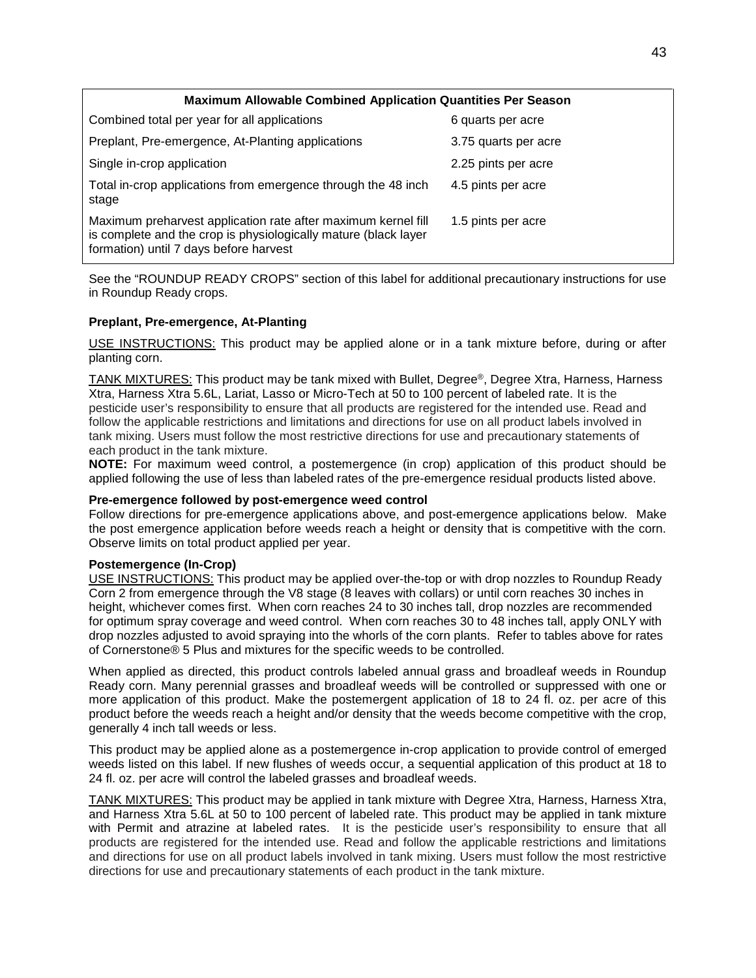| <b>Maximum Allowable Combined Application Quantities Per Season</b>                                                                                                        |                      |
|----------------------------------------------------------------------------------------------------------------------------------------------------------------------------|----------------------|
| Combined total per year for all applications                                                                                                                               | 6 quarts per acre    |
| Preplant, Pre-emergence, At-Planting applications                                                                                                                          | 3.75 quarts per acre |
| Single in-crop application                                                                                                                                                 | 2.25 pints per acre  |
| Total in-crop applications from emergence through the 48 inch<br>stage                                                                                                     | 4.5 pints per acre   |
| Maximum preharvest application rate after maximum kernel fill<br>is complete and the crop is physiologically mature (black layer<br>formation) until 7 days before harvest | 1.5 pints per acre   |

See the "ROUNDUP READY CROPS" section of this label for additional precautionary instructions for use in Roundup Ready crops.

## **Preplant, Pre-emergence, At-Planting**

USE INSTRUCTIONS: This product may be applied alone or in a tank mixture before, during or after planting corn.

TANK MIXTURES: This product may be tank mixed with Bullet, Degree®, Degree Xtra, Harness, Harness Xtra, Harness Xtra 5.6L, Lariat, Lasso or Micro-Tech at 50 to 100 percent of labeled rate. It is the pesticide user's responsibility to ensure that all products are registered for the intended use. Read and follow the applicable restrictions and limitations and directions for use on all product labels involved in tank mixing. Users must follow the most restrictive directions for use and precautionary statements of each product in the tank mixture.

**NOTE:** For maximum weed control, a postemergence (in crop) application of this product should be applied following the use of less than labeled rates of the pre-emergence residual products listed above.

#### **Pre-emergence followed by post-emergence weed control**

Follow directions for pre-emergence applications above, and post-emergence applications below. Make the post emergence application before weeds reach a height or density that is competitive with the corn. Observe limits on total product applied per year.

## **Postemergence (In-Crop)**

USE INSTRUCTIONS: This product may be applied over-the-top or with drop nozzles to Roundup Ready Corn 2 from emergence through the V8 stage (8 leaves with collars) or until corn reaches 30 inches in height, whichever comes first. When corn reaches 24 to 30 inches tall, drop nozzles are recommended for optimum spray coverage and weed control. When corn reaches 30 to 48 inches tall, apply ONLY with drop nozzles adjusted to avoid spraying into the whorls of the corn plants. Refer to tables above for rates of Cornerstone® 5 Plus and mixtures for the specific weeds to be controlled.

When applied as directed, this product controls labeled annual grass and broadleaf weeds in Roundup Ready corn. Many perennial grasses and broadleaf weeds will be controlled or suppressed with one or more application of this product. Make the postemergent application of 18 to 24 fl. oz. per acre of this product before the weeds reach a height and/or density that the weeds become competitive with the crop, generally 4 inch tall weeds or less.

This product may be applied alone as a postemergence in-crop application to provide control of emerged weeds listed on this label. If new flushes of weeds occur, a sequential application of this product at 18 to 24 fl. oz. per acre will control the labeled grasses and broadleaf weeds.

TANK MIXTURES: This product may be applied in tank mixture with Degree Xtra, Harness, Harness Xtra, and Harness Xtra 5.6L at 50 to 100 percent of labeled rate. This product may be applied in tank mixture with Permit and atrazine at labeled rates. It is the pesticide user's responsibility to ensure that all products are registered for the intended use. Read and follow the applicable restrictions and limitations and directions for use on all product labels involved in tank mixing. Users must follow the most restrictive directions for use and precautionary statements of each product in the tank mixture.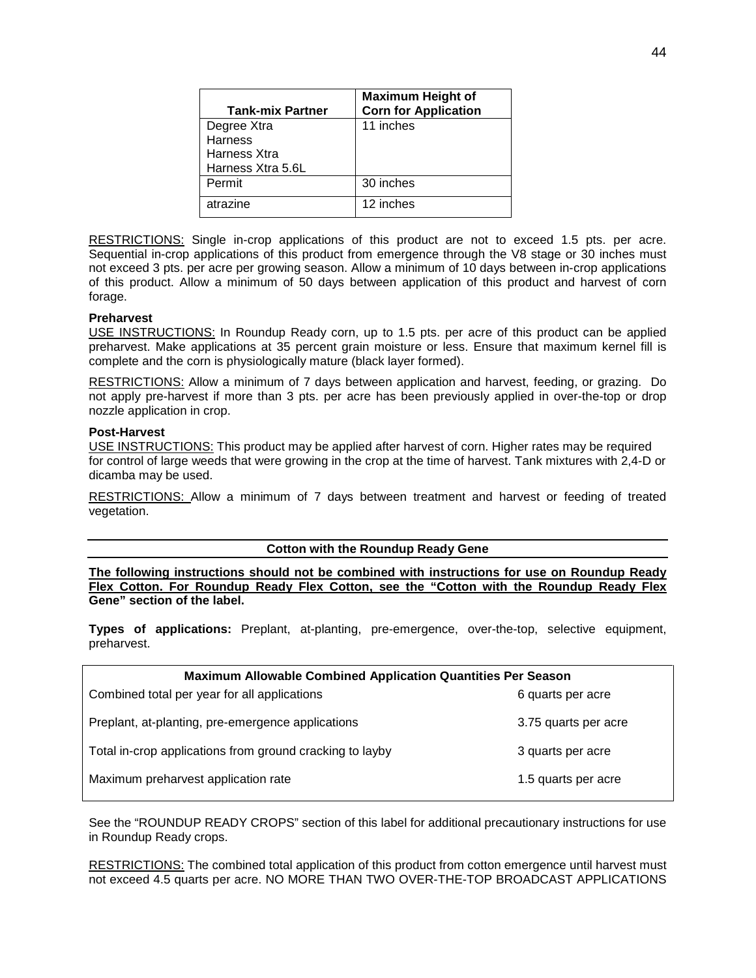|                         | <b>Maximum Height of</b>    |
|-------------------------|-----------------------------|
| <b>Tank-mix Partner</b> | <b>Corn for Application</b> |
| Degree Xtra             | 11 inches                   |
| <b>Harness</b>          |                             |
| Harness Xtra            |                             |
| Harness Xtra 5.6L       |                             |
| Permit                  | 30 inches                   |
| atrazine                | 12 inches                   |

RESTRICTIONS: Single in-crop applications of this product are not to exceed 1.5 pts. per acre. Sequential in-crop applications of this product from emergence through the V8 stage or 30 inches must not exceed 3 pts. per acre per growing season. Allow a minimum of 10 days between in-crop applications of this product. Allow a minimum of 50 days between application of this product and harvest of corn forage.

## **Preharvest**

USE INSTRUCTIONS: In Roundup Ready corn, up to 1.5 pts. per acre of this product can be applied preharvest. Make applications at 35 percent grain moisture or less. Ensure that maximum kernel fill is complete and the corn is physiologically mature (black layer formed).

RESTRICTIONS: Allow a minimum of 7 days between application and harvest, feeding, or grazing. Do not apply pre-harvest if more than 3 pts. per acre has been previously applied in over-the-top or drop nozzle application in crop.

#### **Post-Harvest**

USE INSTRUCTIONS: This product may be applied after harvest of corn. Higher rates may be required for control of large weeds that were growing in the crop at the time of harvest. Tank mixtures with 2,4-D or dicamba may be used.

RESTRICTIONS: Allow a minimum of 7 days between treatment and harvest or feeding of treated vegetation.

## **Cotton with the Roundup Ready Gene**

**The following instructions should not be combined with instructions for use on Roundup Ready Flex Cotton. For Roundup Ready Flex Cotton, see the "Cotton with the Roundup Ready Flex Gene" section of the label.**

**Types of applications:** Preplant, at-planting, pre-emergence, over-the-top, selective equipment, preharvest.

| Maximum Allowable Combined Application Quantities Per Season |                      |
|--------------------------------------------------------------|----------------------|
| Combined total per year for all applications                 | 6 quarts per acre    |
| Preplant, at-planting, pre-emergence applications            | 3.75 quarts per acre |
| Total in-crop applications from ground cracking to layby     | 3 quarts per acre    |
| Maximum preharvest application rate                          | 1.5 quarts per acre  |

See the "ROUNDUP READY CROPS" section of this label for additional precautionary instructions for use in Roundup Ready crops.

RESTRICTIONS: The combined total application of this product from cotton emergence until harvest must not exceed 4.5 quarts per acre. NO MORE THAN TWO OVER-THE-TOP BROADCAST APPLICATIONS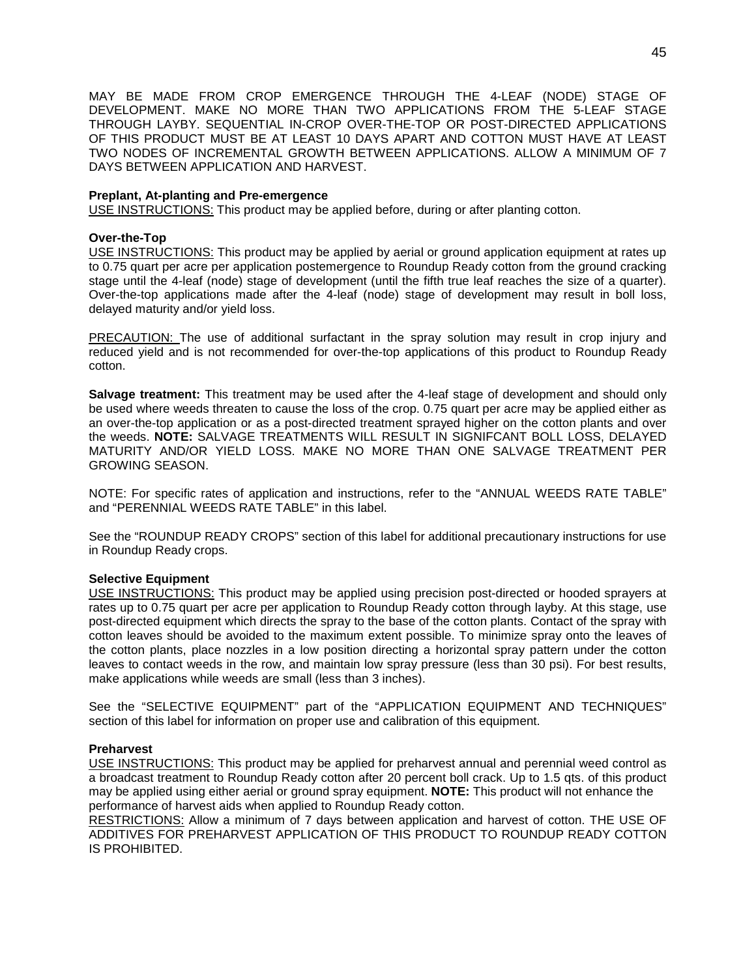MAY BE MADE FROM CROP EMERGENCE THROUGH THE 4-LEAF (NODE) STAGE OF DEVELOPMENT. MAKE NO MORE THAN TWO APPLICATIONS FROM THE 5-LEAF STAGE THROUGH LAYBY. SEQUENTIAL IN-CROP OVER-THE-TOP OR POST-DIRECTED APPLICATIONS OF THIS PRODUCT MUST BE AT LEAST 10 DAYS APART AND COTTON MUST HAVE AT LEAST TWO NODES OF INCREMENTAL GROWTH BETWEEN APPLICATIONS. ALLOW A MINIMUM OF 7 DAYS BETWEEN APPLICATION AND HARVEST.

## **Preplant, At-planting and Pre-emergence**

USE INSTRUCTIONS: This product may be applied before, during or after planting cotton.

## **Over-the-Top**

USE INSTRUCTIONS: This product may be applied by aerial or ground application equipment at rates up to 0.75 quart per acre per application postemergence to Roundup Ready cotton from the ground cracking stage until the 4-leaf (node) stage of development (until the fifth true leaf reaches the size of a quarter). Over-the-top applications made after the 4-leaf (node) stage of development may result in boll loss, delayed maturity and/or yield loss.

PRECAUTION: The use of additional surfactant in the spray solution may result in crop injury and reduced yield and is not recommended for over-the-top applications of this product to Roundup Ready cotton.

**Salvage treatment:** This treatment may be used after the 4-leaf stage of development and should only be used where weeds threaten to cause the loss of the crop. 0.75 quart per acre may be applied either as an over-the-top application or as a post-directed treatment sprayed higher on the cotton plants and over the weeds. **NOTE:** SALVAGE TREATMENTS WILL RESULT IN SIGNIFCANT BOLL LOSS, DELAYED MATURITY AND/OR YIELD LOSS. MAKE NO MORE THAN ONE SALVAGE TREATMENT PER GROWING SEASON.

NOTE: For specific rates of application and instructions, refer to the "ANNUAL WEEDS RATE TABLE" and "PERENNIAL WEEDS RATE TABLE" in this label.

See the "ROUNDUP READY CROPS" section of this label for additional precautionary instructions for use in Roundup Ready crops.

## **Selective Equipment**

USE INSTRUCTIONS: This product may be applied using precision post-directed or hooded sprayers at rates up to 0.75 quart per acre per application to Roundup Ready cotton through layby. At this stage, use post-directed equipment which directs the spray to the base of the cotton plants. Contact of the spray with cotton leaves should be avoided to the maximum extent possible. To minimize spray onto the leaves of the cotton plants, place nozzles in a low position directing a horizontal spray pattern under the cotton leaves to contact weeds in the row, and maintain low spray pressure (less than 30 psi). For best results, make applications while weeds are small (less than 3 inches).

See the "SELECTIVE EQUIPMENT" part of the "APPLICATION EQUIPMENT AND TECHNIQUES" section of this label for information on proper use and calibration of this equipment.

## **Preharvest**

USE INSTRUCTIONS: This product may be applied for preharvest annual and perennial weed control as a broadcast treatment to Roundup Ready cotton after 20 percent boll crack. Up to 1.5 qts. of this product may be applied using either aerial or ground spray equipment. **NOTE:** This product will not enhance the performance of harvest aids when applied to Roundup Ready cotton.

RESTRICTIONS: Allow a minimum of 7 days between application and harvest of cotton. THE USE OF ADDITIVES FOR PREHARVEST APPLICATION OF THIS PRODUCT TO ROUNDUP READY COTTON IS PROHIBITED.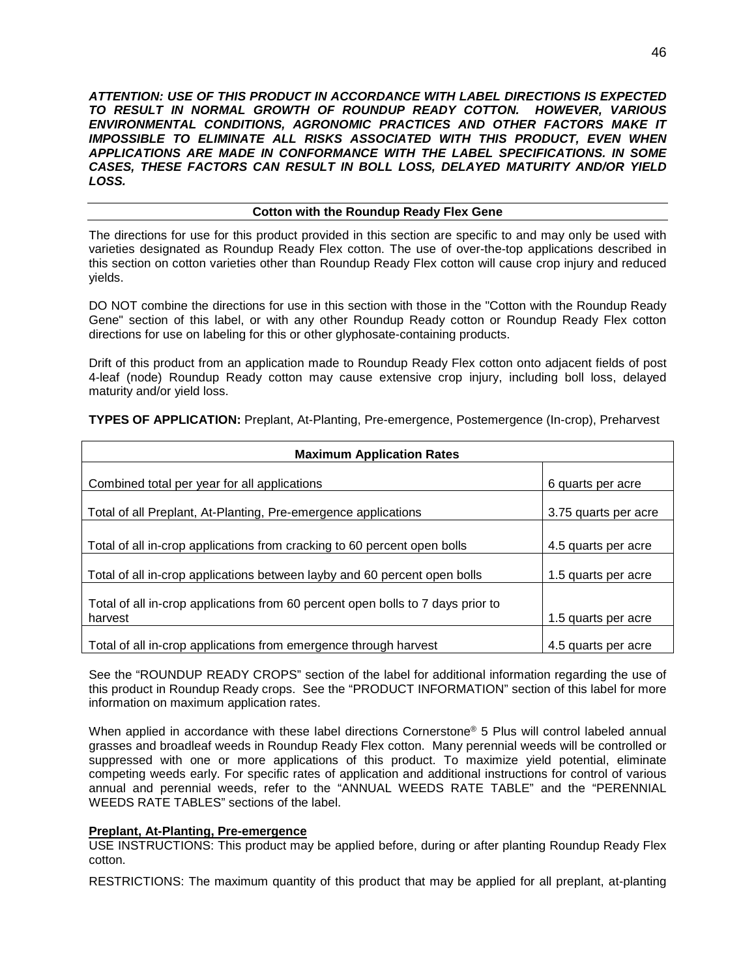*ATTENTION: USE OF THIS PRODUCT IN ACCORDANCE WITH LABEL DIRECTIONS IS EXPECTED TO RESULT IN NORMAL GROWTH OF ROUNDUP READY COTTON. HOWEVER, VARIOUS ENVIRONMENTAL CONDITIONS, AGRONOMIC PRACTICES AND OTHER FACTORS MAKE IT IMPOSSIBLE TO ELIMINATE ALL RISKS ASSOCIATED WITH THIS PRODUCT, EVEN WHEN APPLICATIONS ARE MADE IN CONFORMANCE WITH THE LABEL SPECIFICATIONS. IN SOME CASES, THESE FACTORS CAN RESULT IN BOLL LOSS, DELAYED MATURITY AND/OR YIELD LOSS.*

## **Cotton with the Roundup Ready Flex Gene**

The directions for use for this product provided in this section are specific to and may only be used with varieties designated as Roundup Ready Flex cotton. The use of over-the-top applications described in this section on cotton varieties other than Roundup Ready Flex cotton will cause crop injury and reduced yields.

DO NOT combine the directions for use in this section with those in the "Cotton with the Roundup Ready Gene" section of this label, or with any other Roundup Ready cotton or Roundup Ready Flex cotton directions for use on labeling for this or other glyphosate-containing products.

Drift of this product from an application made to Roundup Ready Flex cotton onto adjacent fields of post 4-leaf (node) Roundup Ready cotton may cause extensive crop injury, including boll loss, delayed maturity and/or yield loss.

| <b>Maximum Application Rates</b>                                                           |                      |
|--------------------------------------------------------------------------------------------|----------------------|
| Combined total per year for all applications                                               | 6 quarts per acre    |
| Total of all Preplant, At-Planting, Pre-emergence applications                             | 3.75 quarts per acre |
| Total of all in-crop applications from cracking to 60 percent open bolls                   | 4.5 quarts per acre  |
| Total of all in-crop applications between layby and 60 percent open bolls                  | 1.5 quarts per acre  |
| Total of all in-crop applications from 60 percent open bolls to 7 days prior to<br>harvest | 1.5 quarts per acre  |
| Total of all in-crop applications from emergence through harvest                           | 4.5 quarts per acre  |

**TYPES OF APPLICATION:** Preplant, At-Planting, Pre-emergence, Postemergence (In-crop), Preharvest

See the "ROUNDUP READY CROPS" section of the label for additional information regarding the use of this product in Roundup Ready crops. See the "PRODUCT INFORMATION" section of this label for more information on maximum application rates.

When applied in accordance with these label directions Cornerstone<sup>®</sup> 5 Plus will control labeled annual grasses and broadleaf weeds in Roundup Ready Flex cotton. Many perennial weeds will be controlled or suppressed with one or more applications of this product. To maximize yield potential, eliminate competing weeds early. For specific rates of application and additional instructions for control of various annual and perennial weeds, refer to the "ANNUAL WEEDS RATE TABLE" and the "PERENNIAL WEEDS RATE TABLES" sections of the label.

## **Preplant, At-Planting, Pre-emergence**

USE INSTRUCTIONS: This product may be applied before, during or after planting Roundup Ready Flex cotton.

RESTRICTIONS: The maximum quantity of this product that may be applied for all preplant, at-planting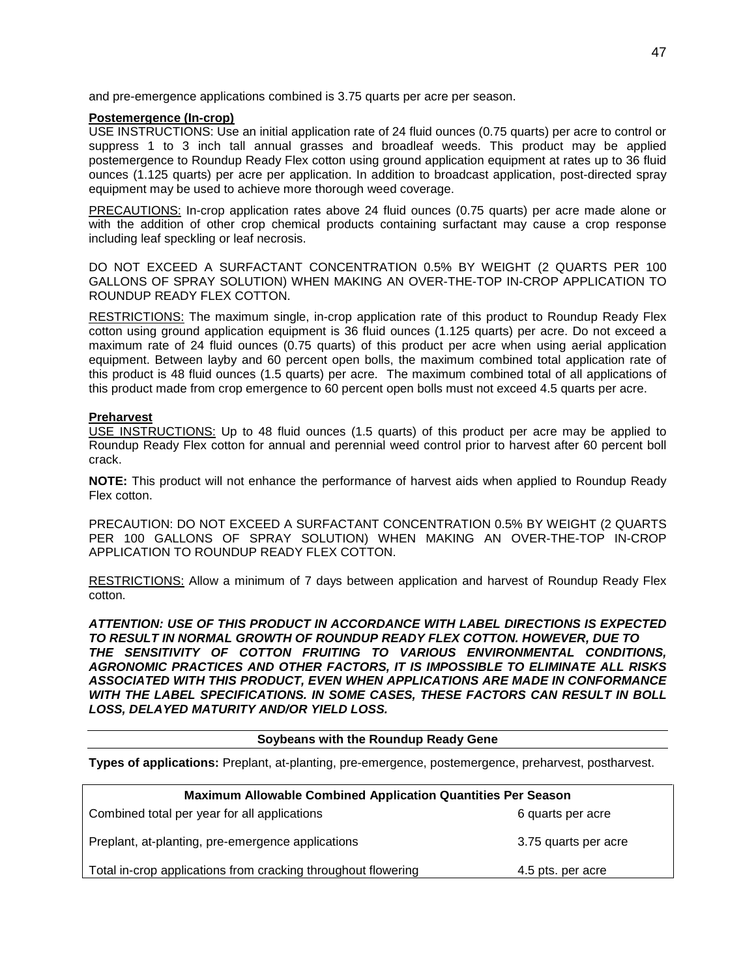and pre-emergence applications combined is 3.75 quarts per acre per season.

## **Postemergence (In-crop)**

USE INSTRUCTIONS: Use an initial application rate of 24 fluid ounces (0.75 quarts) per acre to control or suppress 1 to 3 inch tall annual grasses and broadleaf weeds. This product may be applied postemergence to Roundup Ready Flex cotton using ground application equipment at rates up to 36 fluid ounces (1.125 quarts) per acre per application. In addition to broadcast application, post-directed spray equipment may be used to achieve more thorough weed coverage.

PRECAUTIONS: In-crop application rates above 24 fluid ounces (0.75 quarts) per acre made alone or with the addition of other crop chemical products containing surfactant may cause a crop response including leaf speckling or leaf necrosis.

DO NOT EXCEED A SURFACTANT CONCENTRATION 0.5% BY WEIGHT (2 QUARTS PER 100 GALLONS OF SPRAY SOLUTION) WHEN MAKING AN OVER-THE-TOP IN-CROP APPLICATION TO ROUNDUP READY FLEX COTTON.

RESTRICTIONS: The maximum single, in-crop application rate of this product to Roundup Ready Flex cotton using ground application equipment is 36 fluid ounces (1.125 quarts) per acre. Do not exceed a maximum rate of 24 fluid ounces (0.75 quarts) of this product per acre when using aerial application equipment. Between layby and 60 percent open bolls, the maximum combined total application rate of this product is 48 fluid ounces (1.5 quarts) per acre. The maximum combined total of all applications of this product made from crop emergence to 60 percent open bolls must not exceed 4.5 quarts per acre.

## **Preharvest**

USE INSTRUCTIONS: Up to 48 fluid ounces (1.5 quarts) of this product per acre may be applied to Roundup Ready Flex cotton for annual and perennial weed control prior to harvest after 60 percent boll crack.

**NOTE:** This product will not enhance the performance of harvest aids when applied to Roundup Ready Flex cotton.

PRECAUTION: DO NOT EXCEED A SURFACTANT CONCENTRATION 0.5% BY WEIGHT (2 QUARTS PER 100 GALLONS OF SPRAY SOLUTION) WHEN MAKING AN OVER-THE-TOP IN-CROP APPLICATION TO ROUNDUP READY FLEX COTTON.

RESTRICTIONS: Allow a minimum of 7 days between application and harvest of Roundup Ready Flex cotton.

*ATTENTION: USE OF THIS PRODUCT IN ACCORDANCE WITH LABEL DIRECTIONS IS EXPECTED TO RESULT IN NORMAL GROWTH OF ROUNDUP READY FLEX COTTON. HOWEVER, DUE TO THE SENSITIVITY OF COTTON FRUITING TO VARIOUS ENVIRONMENTAL CONDITIONS, AGRONOMIC PRACTICES AND OTHER FACTORS, IT IS IMPOSSIBLE TO ELIMINATE ALL RISKS ASSOCIATED WITH THIS PRODUCT, EVEN WHEN APPLICATIONS ARE MADE IN CONFORMANCE WITH THE LABEL SPECIFICATIONS. IN SOME CASES, THESE FACTORS CAN RESULT IN BOLL LOSS, DELAYED MATURITY AND/OR YIELD LOSS.*

## **Soybeans with the Roundup Ready Gene**

**Types of applications:** Preplant, at-planting, pre-emergence, postemergence, preharvest, postharvest.

| <b>Maximum Allowable Combined Application Quantities Per Season</b> |                      |
|---------------------------------------------------------------------|----------------------|
| Combined total per year for all applications                        | 6 quarts per acre    |
| Preplant, at-planting, pre-emergence applications                   | 3.75 quarts per acre |
| Total in-crop applications from cracking throughout flowering       | 4.5 pts. per acre    |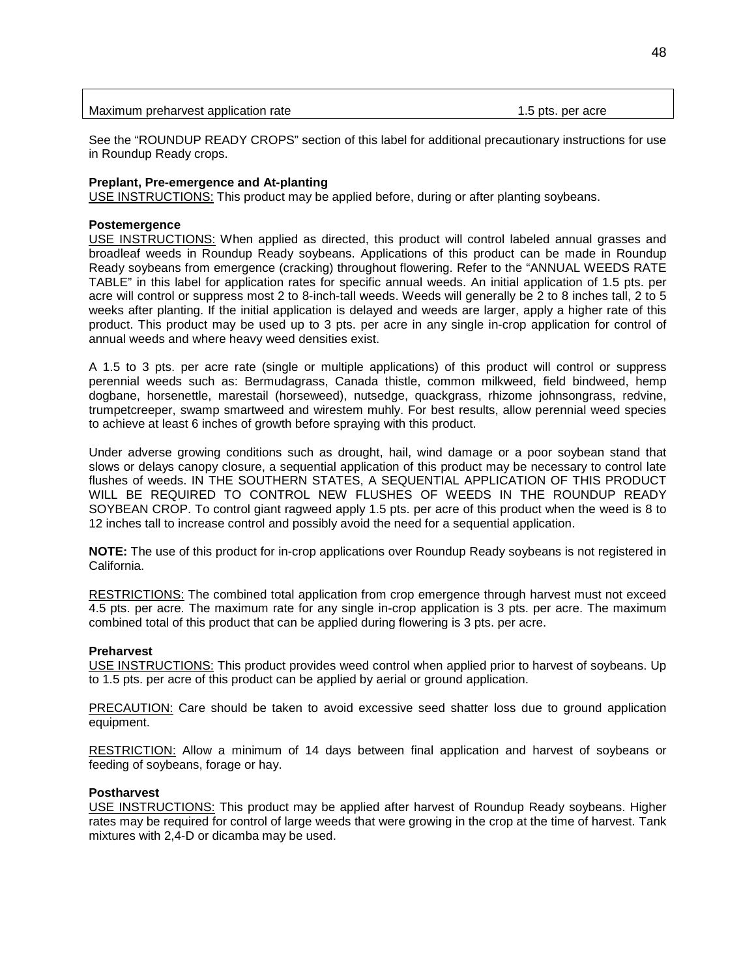| Maximum preharvest application rate | 1.5 pts. per acre |
|-------------------------------------|-------------------|
|                                     |                   |

See the "ROUNDUP READY CROPS" section of this label for additional precautionary instructions for use in Roundup Ready crops.

## **Preplant, Pre-emergence and At-planting**

USE INSTRUCTIONS: This product may be applied before, during or after planting soybeans.

#### **Postemergence**

USE INSTRUCTIONS: When applied as directed, this product will control labeled annual grasses and broadleaf weeds in Roundup Ready soybeans. Applications of this product can be made in Roundup Ready soybeans from emergence (cracking) throughout flowering. Refer to the "ANNUAL WEEDS RATE TABLE" in this label for application rates for specific annual weeds. An initial application of 1.5 pts. per acre will control or suppress most 2 to 8-inch-tall weeds. Weeds will generally be 2 to 8 inches tall, 2 to 5 weeks after planting. If the initial application is delayed and weeds are larger, apply a higher rate of this product. This product may be used up to 3 pts. per acre in any single in-crop application for control of annual weeds and where heavy weed densities exist.

A 1.5 to 3 pts. per acre rate (single or multiple applications) of this product will control or suppress perennial weeds such as: Bermudagrass, Canada thistle, common milkweed, field bindweed, hemp dogbane, horsenettle, marestail (horseweed), nutsedge, quackgrass, rhizome johnsongrass, redvine, trumpetcreeper, swamp smartweed and wirestem muhly. For best results, allow perennial weed species to achieve at least 6 inches of growth before spraying with this product.

Under adverse growing conditions such as drought, hail, wind damage or a poor soybean stand that slows or delays canopy closure, a sequential application of this product may be necessary to control late flushes of weeds. IN THE SOUTHERN STATES, A SEQUENTIAL APPLICATION OF THIS PRODUCT WILL BE REQUIRED TO CONTROL NEW FLUSHES OF WEEDS IN THE ROUNDUP READY SOYBEAN CROP. To control giant ragweed apply 1.5 pts. per acre of this product when the weed is 8 to 12 inches tall to increase control and possibly avoid the need for a sequential application.

**NOTE:** The use of this product for in-crop applications over Roundup Ready soybeans is not registered in California.

RESTRICTIONS: The combined total application from crop emergence through harvest must not exceed 4.5 pts. per acre. The maximum rate for any single in-crop application is 3 pts. per acre. The maximum combined total of this product that can be applied during flowering is 3 pts. per acre.

#### **Preharvest**

USE INSTRUCTIONS: This product provides weed control when applied prior to harvest of soybeans. Up to 1.5 pts. per acre of this product can be applied by aerial or ground application.

PRECAUTION: Care should be taken to avoid excessive seed shatter loss due to ground application equipment.

RESTRICTION: Allow a minimum of 14 days between final application and harvest of soybeans or feeding of soybeans, forage or hay.

#### **Postharvest**

USE INSTRUCTIONS: This product may be applied after harvest of Roundup Ready soybeans. Higher rates may be required for control of large weeds that were growing in the crop at the time of harvest. Tank mixtures with 2,4-D or dicamba may be used.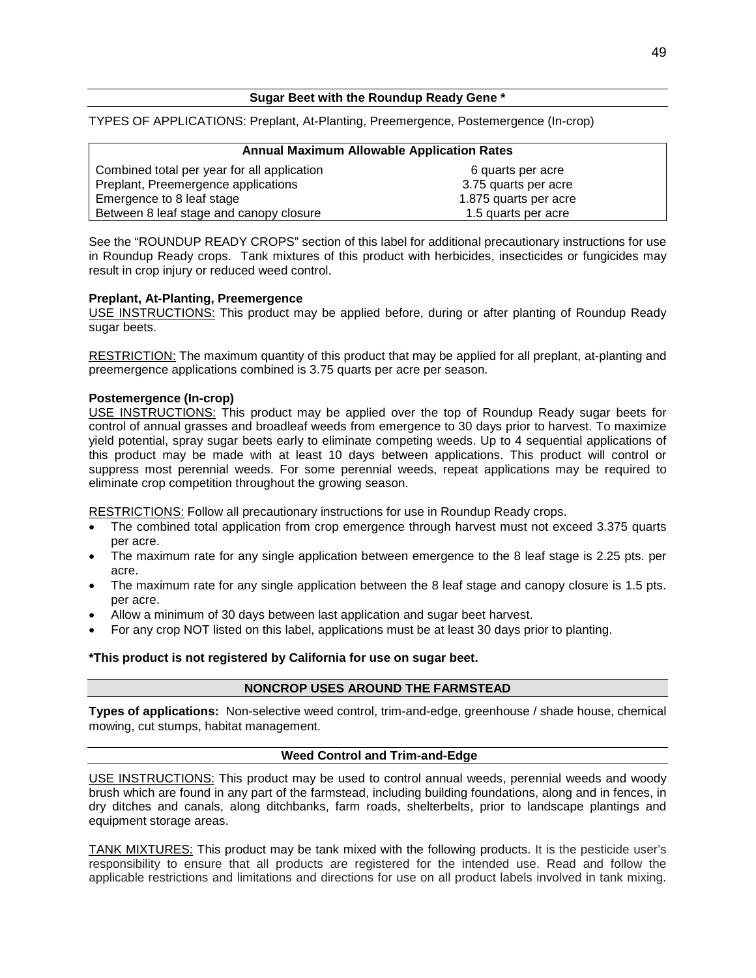## **Sugar Beet with the Roundup Ready Gene \***

TYPES OF APPLICATIONS: Preplant, At-Planting, Preemergence, Postemergence (In-crop)

| <b>Annual Maximum Allowable Application Rates</b> |                       |
|---------------------------------------------------|-----------------------|
| Combined total per year for all application       | 6 quarts per acre     |
| Preplant, Preemergence applications               | 3.75 quarts per acre  |
| Emergence to 8 leaf stage                         | 1.875 quarts per acre |
| Between 8 leaf stage and canopy closure           | 1.5 quarts per acre   |

See the "ROUNDUP READY CROPS" section of this label for additional precautionary instructions for use in Roundup Ready crops. Tank mixtures of this product with herbicides, insecticides or fungicides may result in crop injury or reduced weed control.

## **Preplant, At-Planting, Preemergence**

USE INSTRUCTIONS: This product may be applied before, during or after planting of Roundup Ready sugar beets.

RESTRICTION: The maximum quantity of this product that may be applied for all preplant, at-planting and preemergence applications combined is 3.75 quarts per acre per season.

## **Postemergence (In-crop)**

USE INSTRUCTIONS: This product may be applied over the top of Roundup Ready sugar beets for control of annual grasses and broadleaf weeds from emergence to 30 days prior to harvest. To maximize yield potential, spray sugar beets early to eliminate competing weeds. Up to 4 sequential applications of this product may be made with at least 10 days between applications. This product will control or suppress most perennial weeds. For some perennial weeds, repeat applications may be required to eliminate crop competition throughout the growing season.

RESTRICTIONS: Follow all precautionary instructions for use in Roundup Ready crops.

- The combined total application from crop emergence through harvest must not exceed 3.375 quarts per acre.
- The maximum rate for any single application between emergence to the 8 leaf stage is 2.25 pts. per acre.
- The maximum rate for any single application between the 8 leaf stage and canopy closure is 1.5 pts. per acre.
- Allow a minimum of 30 days between last application and sugar beet harvest.
- For any crop NOT listed on this label, applications must be at least 30 days prior to planting.

#### **\*This product is not registered by California for use on sugar beet.**

#### **NONCROP USES AROUND THE FARMSTEAD**

**Types of applications:** Non-selective weed control, trim-and-edge, greenhouse / shade house, chemical mowing, cut stumps, habitat management.

#### **Weed Control and Trim-and-Edge**

USE INSTRUCTIONS: This product may be used to control annual weeds, perennial weeds and woody brush which are found in any part of the farmstead, including building foundations, along and in fences, in dry ditches and canals, along ditchbanks, farm roads, shelterbelts, prior to landscape plantings and equipment storage areas.

TANK MIXTURES: This product may be tank mixed with the following products. It is the pesticide user's responsibility to ensure that all products are registered for the intended use. Read and follow the applicable restrictions and limitations and directions for use on all product labels involved in tank mixing.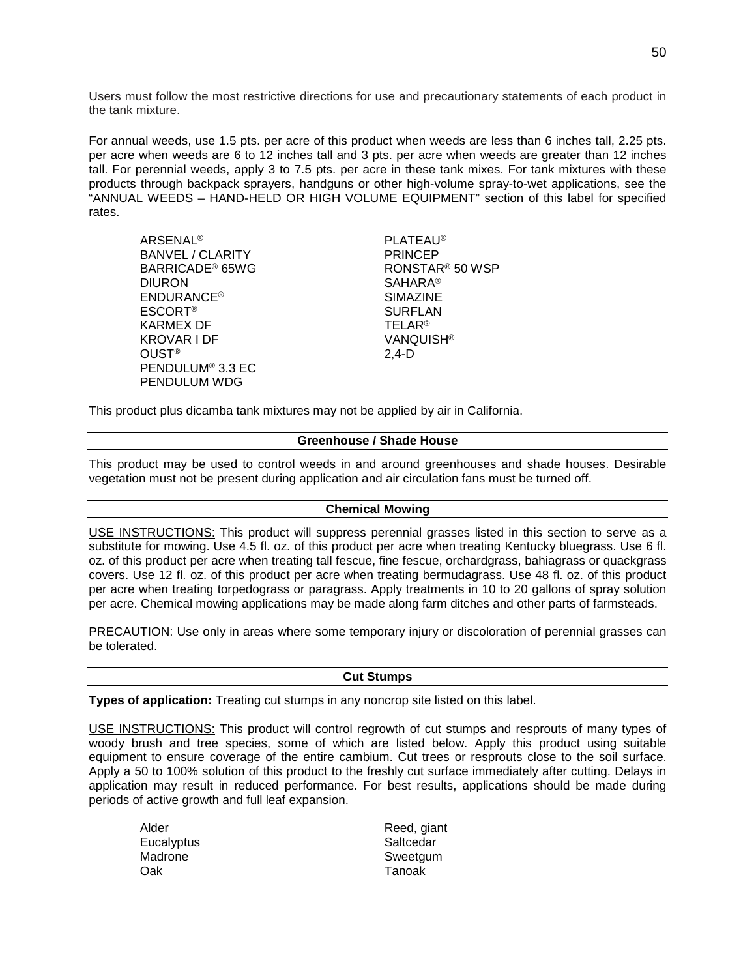Users must follow the most restrictive directions for use and precautionary statements of each product in the tank mixture.

For annual weeds, use 1.5 pts. per acre of this product when weeds are less than 6 inches tall, 2.25 pts. per acre when weeds are 6 to 12 inches tall and 3 pts. per acre when weeds are greater than 12 inches tall. For perennial weeds, apply 3 to 7.5 pts. per acre in these tank mixes. For tank mixtures with these products through backpack sprayers, handguns or other high-volume spray-to-wet applications, see the "ANNUAL WEEDS – HAND-HELD OR HIGH VOLUME EQUIPMENT" section of this label for specified rates.

| <b>ARSENAL<sup>®</sup></b>   | <b>PLATEAU®</b>             |
|------------------------------|-----------------------------|
| <b>BANVEL / CLARITY</b>      | <b>PRINCEP</b>              |
| BARRICADE <sup>®</sup> 65WG  | RONSTAR <sup>®</sup> 50 WSP |
| <b>DIURON</b>                | <b>SAHARA®</b>              |
| <b>ENDURANCE<sup>®</sup></b> | <b>SIMAZINE</b>             |
| <b>ESCORT®</b>               | <b>SURFLAN</b>              |
| <b>KARMEX DF</b>             | <b>TELAR<sup>®</sup></b>    |
| KROVAR I DF                  | VANQUISH <sup>®</sup>       |
| <b>OUST<sup>®</sup></b>      | $2,4-D$                     |
| PENDULUM <sup>®</sup> 3.3 EC |                             |
| PENDULUM WDG                 |                             |

This product plus dicamba tank mixtures may not be applied by air in California.

## **Greenhouse / Shade House**

This product may be used to control weeds in and around greenhouses and shade houses. Desirable vegetation must not be present during application and air circulation fans must be turned off.

## **Chemical Mowing**

USE INSTRUCTIONS: This product will suppress perennial grasses listed in this section to serve as a substitute for mowing. Use 4.5 fl. oz. of this product per acre when treating Kentucky bluegrass. Use 6 fl. oz. of this product per acre when treating tall fescue, fine fescue, orchardgrass, bahiagrass or quackgrass covers. Use 12 fl. oz. of this product per acre when treating bermudagrass. Use 48 fl. oz. of this product per acre when treating torpedograss or paragrass. Apply treatments in 10 to 20 gallons of spray solution per acre. Chemical mowing applications may be made along farm ditches and other parts of farmsteads.

PRECAUTION: Use only in areas where some temporary injury or discoloration of perennial grasses can be tolerated.

#### **Cut Stumps**

**Types of application:** Treating cut stumps in any noncrop site listed on this label.

USE INSTRUCTIONS: This product will control regrowth of cut stumps and resprouts of many types of woody brush and tree species, some of which are listed below. Apply this product using suitable equipment to ensure coverage of the entire cambium. Cut trees or resprouts close to the soil surface. Apply a 50 to 100% solution of this product to the freshly cut surface immediately after cutting. Delays in application may result in reduced performance. For best results, applications should be made during periods of active growth and full leaf expansion.

- Eucalyptus **Saltcedar**<br>
Madrone Sweetaun<br>
Sweetaun Oak Tanoak
- Alder Reed, giant Sweetgum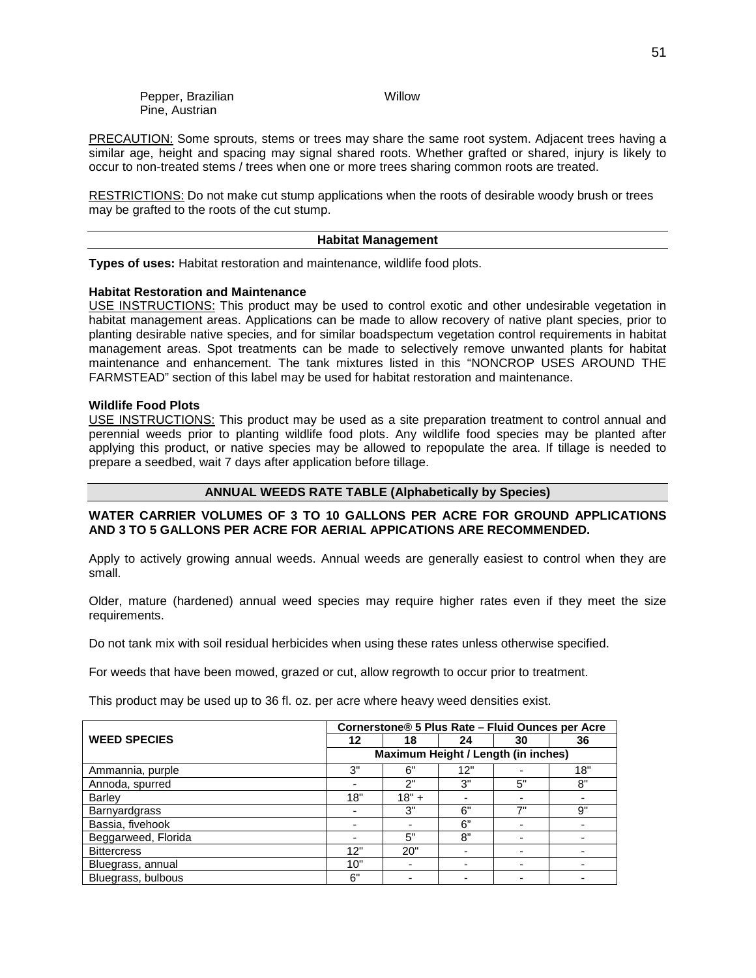PRECAUTION: Some sprouts, stems or trees may share the same root system. Adjacent trees having a similar age, height and spacing may signal shared roots. Whether grafted or shared, injury is likely to occur to non-treated stems / trees when one or more trees sharing common roots are treated.

RESTRICTIONS: Do not make cut stump applications when the roots of desirable woody brush or trees may be grafted to the roots of the cut stump.

#### **Habitat Management**

**Types of uses:** Habitat restoration and maintenance, wildlife food plots.

## **Habitat Restoration and Maintenance**

USE INSTRUCTIONS: This product may be used to control exotic and other undesirable vegetation in habitat management areas. Applications can be made to allow recovery of native plant species, prior to planting desirable native species, and for similar boadspectum vegetation control requirements in habitat management areas. Spot treatments can be made to selectively remove unwanted plants for habitat maintenance and enhancement. The tank mixtures listed in this "NONCROP USES AROUND THE FARMSTEAD" section of this label may be used for habitat restoration and maintenance.

## **Wildlife Food Plots**

USE INSTRUCTIONS: This product may be used as a site preparation treatment to control annual and perennial weeds prior to planting wildlife food plots. Any wildlife food species may be planted after applying this product, or native species may be allowed to repopulate the area. If tillage is needed to prepare a seedbed, wait 7 days after application before tillage.

## **ANNUAL WEEDS RATE TABLE (Alphabetically by Species)**

## **WATER CARRIER VOLUMES OF 3 TO 10 GALLONS PER ACRE FOR GROUND APPLICATIONS AND 3 TO 5 GALLONS PER ACRE FOR AERIAL APPICATIONS ARE RECOMMENDED.**

Apply to actively growing annual weeds. Annual weeds are generally easiest to control when they are small.

Older, mature (hardened) annual weed species may require higher rates even if they meet the size requirements.

Do not tank mix with soil residual herbicides when using these rates unless otherwise specified.

For weeds that have been mowed, grazed or cut, allow regrowth to occur prior to treatment.

This product may be used up to 36 fl. oz. per acre where heavy weed densities exist.

|                      | Cornerstone® 5 Plus Rate - Fluid Ounces per Acre                            |    |                                     |    |    |
|----------------------|-----------------------------------------------------------------------------|----|-------------------------------------|----|----|
| <b>WEED SPECIES</b>  | 12                                                                          | 18 | 24                                  | 30 | 36 |
|                      |                                                                             |    | Maximum Height / Length (in inches) |    |    |
| Ammannia, purple     | 3"<br>6"<br>18"<br>12"                                                      |    |                                     |    |    |
| Annoda, spurred      | 8"<br>3"<br>5"<br>2"                                                        |    |                                     |    |    |
| <b>Barley</b>        | 18"<br>$18" +$<br>3"<br>6"<br>7"<br>9"<br>6"<br>8"<br>5"<br>20"<br>12"<br>- |    |                                     |    |    |
| <b>Barnyardgrass</b> |                                                                             |    |                                     |    |    |
| Bassia, fivehook     |                                                                             |    |                                     |    |    |
| Beggarweed, Florida  |                                                                             |    |                                     |    |    |
| <b>Bittercress</b>   |                                                                             |    |                                     |    |    |
| Bluegrass, annual    | 10"<br>6"                                                                   |    |                                     |    |    |
| Bluegrass, bulbous   |                                                                             |    |                                     |    |    |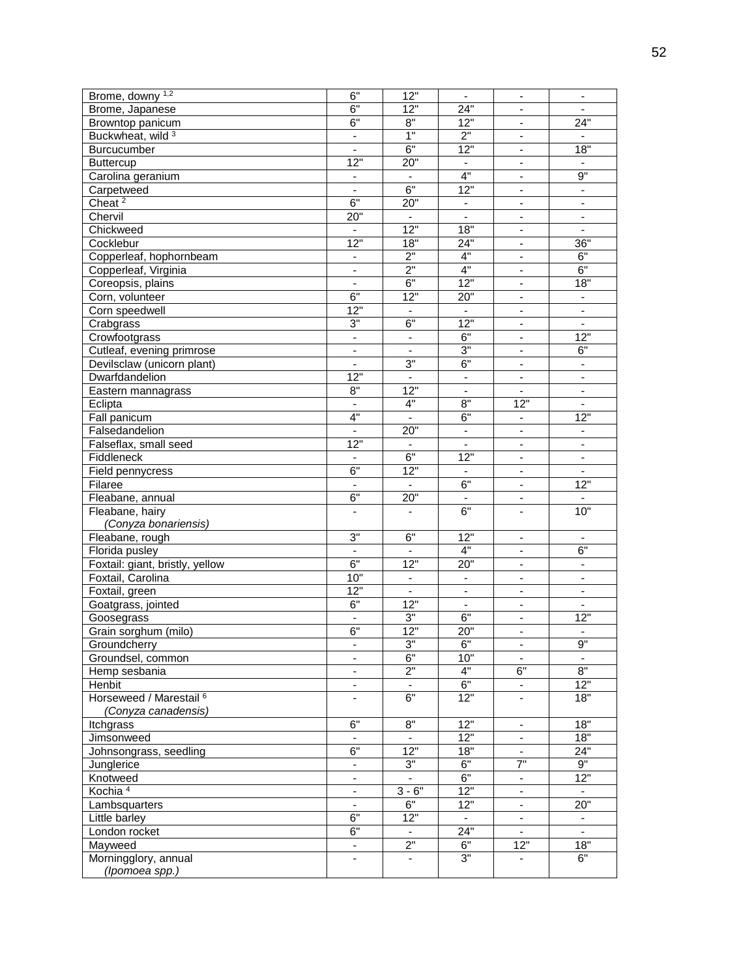| Brome, downy 1,2                | 6"                              | 12"                      | $\overline{\phantom{a}}$     | $\overline{\phantom{a}}$     | $\overline{\phantom{a}}$ |
|---------------------------------|---------------------------------|--------------------------|------------------------------|------------------------------|--------------------------|
| Brome, Japanese                 | 6"                              | 12"                      | 24"                          | $\blacksquare$               |                          |
| Browntop panicum                | 6"                              | $8^{\circ}$              | 12"                          | $\overline{\phantom{a}}$     | 24"                      |
| Buckwheat, wild 3               | $\overline{\phantom{a}}$        | 1"                       | 2"                           | $\qquad \qquad \blacksquare$ |                          |
| Burcucumber                     | $\overline{\phantom{a}}$        | 6"                       | 12"                          | $\blacksquare$               | 18"                      |
| <b>Buttercup</b>                | $\overline{12}$ "               | 20"                      | $\overline{\phantom{a}}$     | $\overline{\phantom{a}}$     |                          |
| Carolina geranium               | $\blacksquare$                  |                          | 4"                           | $\omega$                     | 9"                       |
| Carpetweed                      | $\overline{\phantom{a}}$        | 6"                       | $\overline{12}$              | $\overline{\phantom{a}}$     | $\blacksquare$           |
| Cheat <sup>2</sup>              | 6"                              | $20^{\frac{1}{1}}$       | $\overline{\phantom{a}}$     | $\overline{\phantom{a}}$     | $\overline{\phantom{a}}$ |
| Chervil                         | 20"                             | $\blacksquare$           | $\blacksquare$               | $\overline{\phantom{a}}$     |                          |
| Chickweed                       |                                 | $\overline{12}$          | 18"                          |                              |                          |
|                                 | $\overline{\phantom{a}}$<br>12" |                          |                              | $\blacksquare$               |                          |
| Cocklebur                       |                                 | 18"                      | 24"                          | ÷,                           | 36"                      |
| Copperleaf, hophornbeam         | $\blacksquare$                  | $\overline{2}$           | 4"                           | $\blacksquare$               | 6"                       |
| Copperleaf, Virginia            | $\overline{\phantom{a}}$        | 2"                       | 4"                           | $\overline{\phantom{a}}$     | 6"                       |
| Coreopsis, plains               | ÷,                              | 6"                       | 12"                          | $\blacksquare$               | 18"                      |
| Corn, volunteer                 | 6"                              | 12"                      | 20"                          | $\blacksquare$               | $\overline{\phantom{a}}$ |
| Corn speedwell                  | $\overline{12}$                 | $\overline{\phantom{a}}$ | $\qquad \qquad \blacksquare$ | $\overline{\phantom{a}}$     | $\blacksquare$           |
| Crabgrass                       | 3"                              | 6"                       | 12"                          | $\blacksquare$               | $\mathbf{r}$             |
| Crowfootgrass                   | $\overline{\phantom{a}}$        | $\overline{\phantom{a}}$ | 6"                           | $\overline{\phantom{a}}$     | 12"                      |
| Cutleaf, evening primrose       | $\overline{\phantom{a}}$        | $\blacksquare$           | 3"                           | $\blacksquare$               | 6"                       |
| Devilsclaw (unicorn plant)      | $\overline{\phantom{a}}$        | 3"                       | 6"                           | $\blacksquare$               |                          |
| Dwarfdandelion                  | $\overline{12}$                 | $\overline{\phantom{a}}$ | $\blacksquare$               | $\blacksquare$               |                          |
| Eastern mannagrass              | $8^{\circ}$                     | $\overline{12}$ "        | $\blacksquare$               | $\blacksquare$               | $\blacksquare$           |
| Eclipta                         | $\blacksquare$                  | 4"                       | 8"                           | 12"                          | $\blacksquare$           |
| Fall panicum                    | 4"                              |                          | 6"                           | $\overline{\phantom{a}}$     | $\overline{12}$          |
| Falsedandelion                  | $\overline{\phantom{a}}$        | 20"                      | $\overline{\phantom{a}}$     | $\overline{\phantom{a}}$     | $\overline{\phantom{a}}$ |
| Falseflax, small seed           | $\overline{12}$ "               | $\overline{\phantom{a}}$ |                              | $\overline{\phantom{a}}$     |                          |
| Fiddleneck                      | $\blacksquare$                  | 6"                       | $\overline{12}$              | $\omega$                     | $\blacksquare$           |
|                                 | 6"                              | $\overline{12}$          |                              |                              |                          |
| Field pennycress                |                                 |                          | $\blacksquare$               | $\overline{\phantom{a}}$     | $\overline{\phantom{a}}$ |
| Filaree                         | $\overline{\phantom{a}}$        | $\overline{\phantom{a}}$ | 6"                           | $\overline{\phantom{a}}$     | 12"                      |
| Fleabane, annual                | 6"                              | 20"                      |                              | $\blacksquare$               |                          |
| Fleabane, hairy                 |                                 |                          | 6"                           | ä,                           | 10"                      |
| (Conyza bonariensis)            |                                 |                          |                              |                              |                          |
| Fleabane, rough                 | 3"                              | 6"                       | 12"                          | $\overline{\phantom{a}}$     | $\overline{\phantom{a}}$ |
| Florida pusley                  |                                 |                          | 4"                           | -                            | 6"                       |
| Foxtail: giant, bristly, yellow | 6"                              | $\overline{12}$ "        | 20"                          | $\overline{\phantom{a}}$     | $\overline{\phantom{a}}$ |
| Foxtail, Carolina               | 10"                             | $\overline{\phantom{a}}$ | $\centerdot$                 | $\overline{\phantom{a}}$     |                          |
| Foxtail, green                  | 12"                             | $\mathbf{r}$             | $\Box$                       | $\omega$                     | ÷.                       |
| Goatgrass, jointed              | 6"                              | $\overline{12}$          | $\overline{\phantom{a}}$     | $\overline{\phantom{a}}$     | $\overline{\phantom{a}}$ |
| Goosegrass                      |                                 | 3"                       | 6"                           | $\overline{\phantom{a}}$     | 12"                      |
| Grain sorghum (milo)            | 6"                              | 12"                      | 20"                          | ÷,                           | $\overline{\phantom{a}}$ |
| Groundcherry                    |                                 | 3"                       | 6"                           |                              | 9"                       |
| Groundsel, common               | ä,                              | 6"                       | 10"                          | $\omega$                     | $\mathbf{r}$             |
| Hemp sesbania                   |                                 | $\overline{2}$           | 4"                           | 6"                           | $8^{\circ}$              |
| Henbit                          | $\overline{\phantom{a}}$        | $\overline{\phantom{a}}$ | 6"                           | ۰.                           | 12"                      |
| Horseweed / Marestail 6         |                                 | 6"                       | 12"                          | $\overline{\phantom{a}}$     | 18"                      |
| (Conyza canadensis)             |                                 |                          |                              |                              |                          |
| Itchgrass                       | 6"                              | $8^{\circ}$              | 12"                          | $\blacksquare$               | 18"                      |
| Jimsonweed                      | $\blacksquare$                  | $\blacksquare$           | 12"                          | $\blacksquare$               | 18"                      |
| Johnsongrass, seedling          | 6"                              | 12"                      | 18"                          |                              | 24"                      |
| Junglerice                      |                                 | $3"$                     | $6"$                         | ۰<br>7"                      | 9"                       |
|                                 | -                               |                          | 6"                           |                              | 12"                      |
| Knotweed                        | $\overline{\phantom{a}}$        | $3 - 6"$                 | 12"                          | $\blacksquare$<br>÷.         |                          |
| Kochia <sup>4</sup>             | ä,                              |                          |                              |                              | $\blacksquare$           |
| Lambsquarters                   | $\overline{\phantom{a}}$        | 6"                       | 12"                          | $\blacksquare$               | 20"                      |
| Little barley                   | 6"                              | 12"                      | $\blacksquare$               | $\overline{\phantom{a}}$     |                          |
| London rocket                   | 6"                              | $\blacksquare$           | 24"                          | $\overline{\phantom{a}}$     | $\blacksquare$           |
| Mayweed                         | $\blacksquare$                  | 2"                       | 6"                           | 12"                          | 18"                      |
| Morningglory, annual            |                                 | ä,                       | 3"                           |                              | 6"                       |
| (Ipomoea spp.)                  |                                 |                          |                              |                              |                          |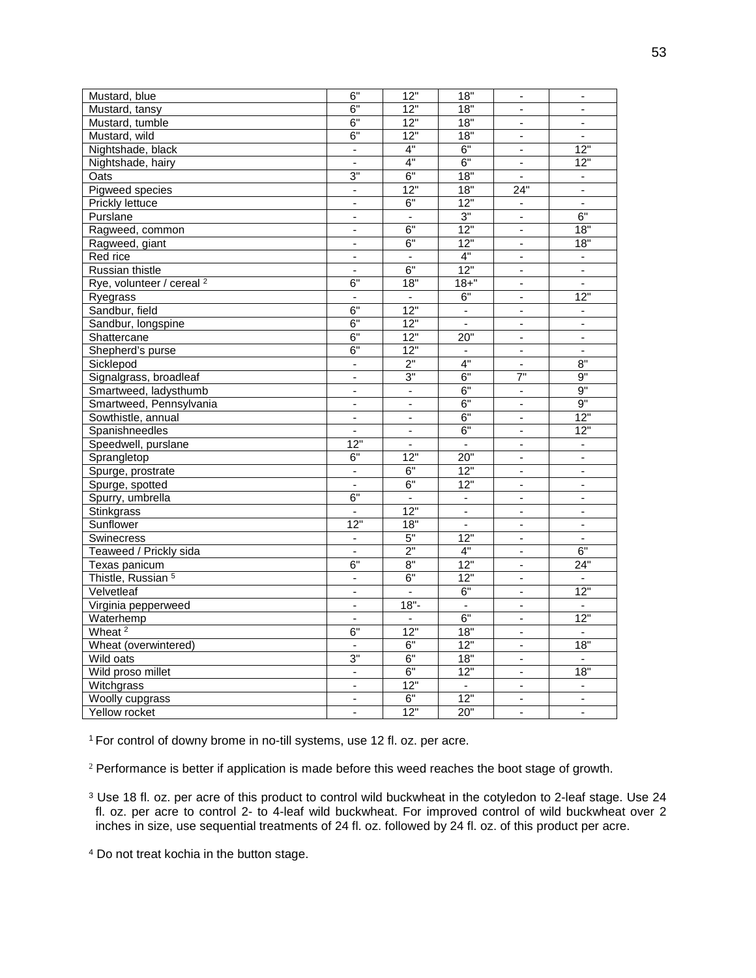| 6"<br>18"<br>12"<br>Mustard, tansy<br>$\overline{a}$<br>$\blacksquare$<br>6"<br>12"<br>18"<br>Mustard, tumble<br>6"<br>12"<br>18"<br>Mustard, wild<br>$\overline{\phantom{0}}$<br>6"<br>4"<br>$\overline{12}$<br>Nightshade, black<br>$\overline{a}$<br>÷<br>4"<br>6"<br>12"<br>$\Box$<br>÷.<br>Nightshade, hairy<br>3"<br>6"<br>18"<br>Oats<br>$\blacksquare$<br>12"<br>18"<br>24"<br>Pigweed species<br>÷,<br>$\overline{a}$<br><b>Prickly lettuce</b><br>6"<br>12"<br>$\overline{\phantom{a}}$<br>-<br>3"<br>6"<br>Purslane<br>$\blacksquare$<br>$\overline{\phantom{0}}$<br>$\overline{\phantom{a}}$ |
|----------------------------------------------------------------------------------------------------------------------------------------------------------------------------------------------------------------------------------------------------------------------------------------------------------------------------------------------------------------------------------------------------------------------------------------------------------------------------------------------------------------------------------------------------------------------------------------------------------|
|                                                                                                                                                                                                                                                                                                                                                                                                                                                                                                                                                                                                          |
|                                                                                                                                                                                                                                                                                                                                                                                                                                                                                                                                                                                                          |
|                                                                                                                                                                                                                                                                                                                                                                                                                                                                                                                                                                                                          |
|                                                                                                                                                                                                                                                                                                                                                                                                                                                                                                                                                                                                          |
|                                                                                                                                                                                                                                                                                                                                                                                                                                                                                                                                                                                                          |
|                                                                                                                                                                                                                                                                                                                                                                                                                                                                                                                                                                                                          |
|                                                                                                                                                                                                                                                                                                                                                                                                                                                                                                                                                                                                          |
|                                                                                                                                                                                                                                                                                                                                                                                                                                                                                                                                                                                                          |
|                                                                                                                                                                                                                                                                                                                                                                                                                                                                                                                                                                                                          |
| 6"<br>12"<br>18"<br>÷.<br>Ragweed, common<br>$\mathbf{r}$                                                                                                                                                                                                                                                                                                                                                                                                                                                                                                                                                |
| 6"<br>12"<br>18"<br>Ragweed, giant<br>ä,<br>$\overline{a}$                                                                                                                                                                                                                                                                                                                                                                                                                                                                                                                                               |
| 4"<br>Red rice<br>÷,<br>L.<br>$\overline{a}$                                                                                                                                                                                                                                                                                                                                                                                                                                                                                                                                                             |
| 6"<br>12"<br>Russian thistle<br>$\overline{\phantom{a}}$<br>-<br>$\overline{\phantom{a}}$                                                                                                                                                                                                                                                                                                                                                                                                                                                                                                                |
| 6"<br>18"<br>$18 +$ "<br>Rye, volunteer / cereal <sup>2</sup><br>÷,                                                                                                                                                                                                                                                                                                                                                                                                                                                                                                                                      |
| 6"<br>12"<br>Ryegrass<br>÷,<br>ä,<br>÷,                                                                                                                                                                                                                                                                                                                                                                                                                                                                                                                                                                  |
| 6"<br>12"<br>Sandbur, field<br>$\blacksquare$<br>÷,                                                                                                                                                                                                                                                                                                                                                                                                                                                                                                                                                      |
| 6"<br>12"<br>Sandbur, longspine<br>÷,<br>$\blacksquare$<br>$\overline{\phantom{a}}$                                                                                                                                                                                                                                                                                                                                                                                                                                                                                                                      |
| 6"<br>12"<br>20"<br>Shattercane<br>$\overline{\phantom{0}}$<br>$\blacksquare$                                                                                                                                                                                                                                                                                                                                                                                                                                                                                                                            |
| 6"<br>$\overline{12}$ "<br>Shepherd's purse                                                                                                                                                                                                                                                                                                                                                                                                                                                                                                                                                              |
| 2"<br>4"<br>8"<br>Sicklepod<br>$\overline{\phantom{a}}$<br>$\overline{\phantom{a}}$                                                                                                                                                                                                                                                                                                                                                                                                                                                                                                                      |
| $\overline{7}$ "<br>6"<br>9"<br>3"<br>Signalgrass, broadleaf<br>$\blacksquare$                                                                                                                                                                                                                                                                                                                                                                                                                                                                                                                           |
| 9"<br>6"<br>Smartweed, ladysthumb<br>ä,<br>ä,<br>$\blacksquare$                                                                                                                                                                                                                                                                                                                                                                                                                                                                                                                                          |
| 6"<br>9"<br>Smartweed, Pennsylvania<br>÷,<br>$\overline{a}$<br>$\blacksquare$                                                                                                                                                                                                                                                                                                                                                                                                                                                                                                                            |
| 12"<br>6"<br>Sowthistle, annual<br>$\blacksquare$<br>٠<br>٠                                                                                                                                                                                                                                                                                                                                                                                                                                                                                                                                              |
| 6"<br>12"<br>Spanishneedles<br>$\overline{\phantom{a}}$<br>$\frac{1}{2}$<br>$\overline{\phantom{a}}$                                                                                                                                                                                                                                                                                                                                                                                                                                                                                                     |
| Speedwell, purslane<br>12"<br>$\frac{1}{2}$<br>$\blacksquare$<br>ä,<br>$\blacksquare$                                                                                                                                                                                                                                                                                                                                                                                                                                                                                                                    |
| 6"<br>12"<br>20"<br>Sprangletop<br>ä,<br>$\overline{\phantom{a}}$                                                                                                                                                                                                                                                                                                                                                                                                                                                                                                                                        |
| 6"<br>12"<br>Spurge, prostrate<br>÷,<br>$\overline{a}$<br>$\overline{a}$                                                                                                                                                                                                                                                                                                                                                                                                                                                                                                                                 |
| 6"<br>12"<br>Spurge, spotted<br>٠                                                                                                                                                                                                                                                                                                                                                                                                                                                                                                                                                                        |
| 6"<br>Spurry, umbrella<br>$\blacksquare$<br>$\overline{\phantom{a}}$<br>$\blacksquare$<br>$\blacksquare$                                                                                                                                                                                                                                                                                                                                                                                                                                                                                                 |
| 12"<br>Stinkgrass<br>ä,<br>ä,<br>ä,<br>$\overline{a}$                                                                                                                                                                                                                                                                                                                                                                                                                                                                                                                                                    |
| 12"<br>18"<br>Sunflower<br>÷,<br>÷,<br>$\blacksquare$                                                                                                                                                                                                                                                                                                                                                                                                                                                                                                                                                    |
| 5"<br>12"<br><b>Swinecress</b><br>L.                                                                                                                                                                                                                                                                                                                                                                                                                                                                                                                                                                     |
| 2"<br>4"<br>6"<br>Teaweed / Prickly sida<br>÷,                                                                                                                                                                                                                                                                                                                                                                                                                                                                                                                                                           |
| 6"<br>8"<br>12"<br>24"<br>Texas panicum<br>÷,                                                                                                                                                                                                                                                                                                                                                                                                                                                                                                                                                            |
| Thistle, Russian <sup>5</sup><br>6"<br>12"<br>$\blacksquare$<br>$\overline{a}$<br>$\blacksquare$                                                                                                                                                                                                                                                                                                                                                                                                                                                                                                         |
| 6"<br>12"<br>Velvetleaf<br>L.<br>÷,<br>$\blacksquare$                                                                                                                                                                                                                                                                                                                                                                                                                                                                                                                                                    |
| $18 -$<br>Virginia pepperweed<br>ä,<br>$\blacksquare$<br>ä,                                                                                                                                                                                                                                                                                                                                                                                                                                                                                                                                              |
| 6"<br>12"<br>Waterhemp<br>÷,                                                                                                                                                                                                                                                                                                                                                                                                                                                                                                                                                                             |
| Wheat $2$<br>6"<br>12"<br>18"<br>ä,<br>÷,                                                                                                                                                                                                                                                                                                                                                                                                                                                                                                                                                                |
| 6"<br>12"<br>18"<br>Wheat (overwintered)<br>$\overline{\phantom{a}}$<br>$\overline{a}$                                                                                                                                                                                                                                                                                                                                                                                                                                                                                                                   |
| 3"<br>6"<br>18"<br>Wild oats<br>$\blacksquare$<br>$\blacksquare$                                                                                                                                                                                                                                                                                                                                                                                                                                                                                                                                         |
| 6"<br>12"<br>18"<br>Wild proso millet<br>$\qquad \qquad \blacksquare$                                                                                                                                                                                                                                                                                                                                                                                                                                                                                                                                    |
| 12"<br>Witchgrass<br>$\overline{a}$<br>$\overline{a}$<br>$\mathbf{r}$<br>$\overline{a}$                                                                                                                                                                                                                                                                                                                                                                                                                                                                                                                  |
| 6"<br>12"<br>Woolly cupgrass<br>$\blacksquare$<br>$\blacksquare$<br>$\overline{\phantom{a}}$                                                                                                                                                                                                                                                                                                                                                                                                                                                                                                             |
| 12"<br>20"<br>Yellow rocket<br>$\overline{a}$<br>$\overline{\phantom{a}}$<br>$\blacksquare$                                                                                                                                                                                                                                                                                                                                                                                                                                                                                                              |

1 For control of downy brome in no-till systems, use 12 fl. oz. per acre.

<sup>2</sup> Performance is better if application is made before this weed reaches the boot stage of growth.

 $3$  Use 18 fl. oz. per acre of this product to control wild buckwheat in the cotyledon to 2-leaf stage. Use 24 fl. oz. per acre to control 2- to 4-leaf wild buckwheat. For improved control of wild buckwheat over 2 inches in size, use sequential treatments of 24 fl. oz. followed by 24 fl. oz. of this product per acre.

<sup>4</sup> Do not treat kochia in the button stage.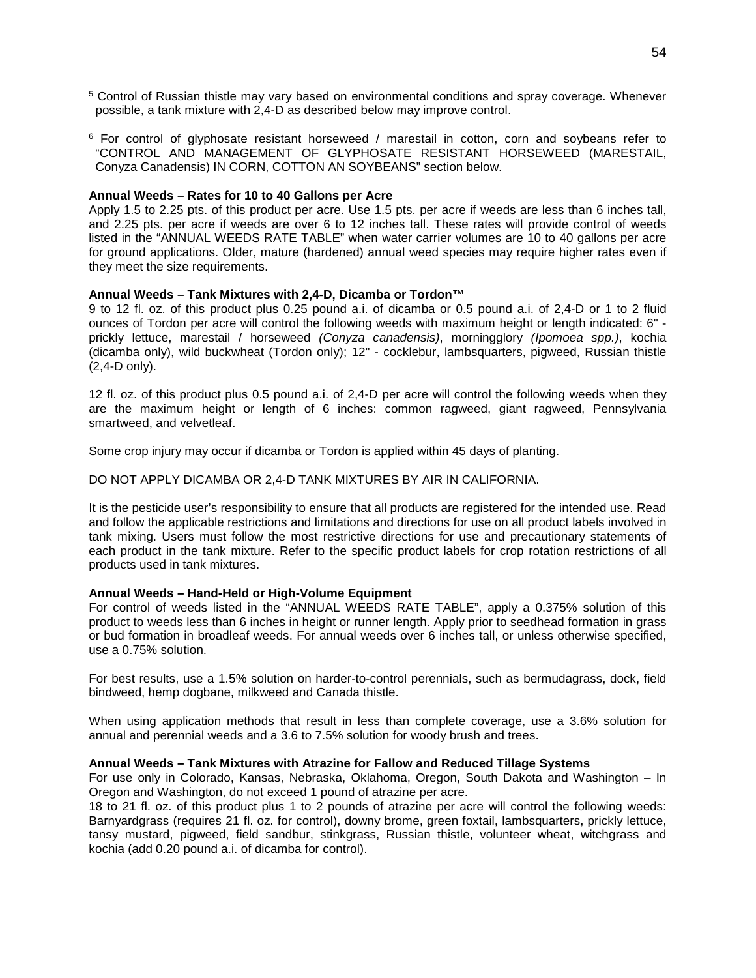- <sup>5</sup> Control of Russian thistle may vary based on environmental conditions and spray coverage. Whenever possible, a tank mixture with 2,4-D as described below may improve control.
- $6$  For control of glyphosate resistant horseweed / marestail in cotton, corn and soybeans refer to "CONTROL AND MANAGEMENT OF GLYPHOSATE RESISTANT HORSEWEED (MARESTAIL, Conyza Canadensis) IN CORN, COTTON AN SOYBEANS" section below.

## **Annual Weeds – Rates for 10 to 40 Gallons per Acre**

Apply 1.5 to 2.25 pts. of this product per acre. Use 1.5 pts. per acre if weeds are less than 6 inches tall, and 2.25 pts. per acre if weeds are over 6 to 12 inches tall. These rates will provide control of weeds listed in the "ANNUAL WEEDS RATE TABLE" when water carrier volumes are 10 to 40 gallons per acre for ground applications. Older, mature (hardened) annual weed species may require higher rates even if they meet the size requirements.

## **Annual Weeds – Tank Mixtures with 2,4-D, Dicamba or Tordon™**

9 to 12 fl. oz. of this product plus 0.25 pound a.i. of dicamba or 0.5 pound a.i. of 2,4-D or 1 to 2 fluid ounces of Tordon per acre will control the following weeds with maximum height or length indicated: 6" prickly lettuce, marestail / horseweed *(Conyza canadensis)*, morningglory *(Ipomoea spp.)*, kochia (dicamba only), wild buckwheat (Tordon only); 12" - cocklebur, lambsquarters, pigweed, Russian thistle (2,4-D only).

12 fl. oz. of this product plus 0.5 pound a.i. of 2,4-D per acre will control the following weeds when they are the maximum height or length of 6 inches: common ragweed, giant ragweed, Pennsylvania smartweed, and velvetleaf.

Some crop injury may occur if dicamba or Tordon is applied within 45 days of planting.

DO NOT APPLY DICAMBA OR 2,4-D TANK MIXTURES BY AIR IN CALIFORNIA.

It is the pesticide user's responsibility to ensure that all products are registered for the intended use. Read and follow the applicable restrictions and limitations and directions for use on all product labels involved in tank mixing. Users must follow the most restrictive directions for use and precautionary statements of each product in the tank mixture. Refer to the specific product labels for crop rotation restrictions of all products used in tank mixtures.

## **Annual Weeds – Hand-Held or High-Volume Equipment**

For control of weeds listed in the "ANNUAL WEEDS RATE TABLE", apply a 0.375% solution of this product to weeds less than 6 inches in height or runner length. Apply prior to seedhead formation in grass or bud formation in broadleaf weeds. For annual weeds over 6 inches tall, or unless otherwise specified, use a 0.75% solution.

For best results, use a 1.5% solution on harder-to-control perennials, such as bermudagrass, dock, field bindweed, hemp dogbane, milkweed and Canada thistle.

When using application methods that result in less than complete coverage, use a 3.6% solution for annual and perennial weeds and a 3.6 to 7.5% solution for woody brush and trees.

#### **Annual Weeds – Tank Mixtures with Atrazine for Fallow and Reduced Tillage Systems**

For use only in Colorado, Kansas, Nebraska, Oklahoma, Oregon, South Dakota and Washington – In Oregon and Washington, do not exceed 1 pound of atrazine per acre.

18 to 21 fl. oz. of this product plus 1 to 2 pounds of atrazine per acre will control the following weeds: Barnyardgrass (requires 21 fl. oz. for control), downy brome, green foxtail, lambsquarters, prickly lettuce, tansy mustard, pigweed, field sandbur, stinkgrass, Russian thistle, volunteer wheat, witchgrass and kochia (add 0.20 pound a.i. of dicamba for control).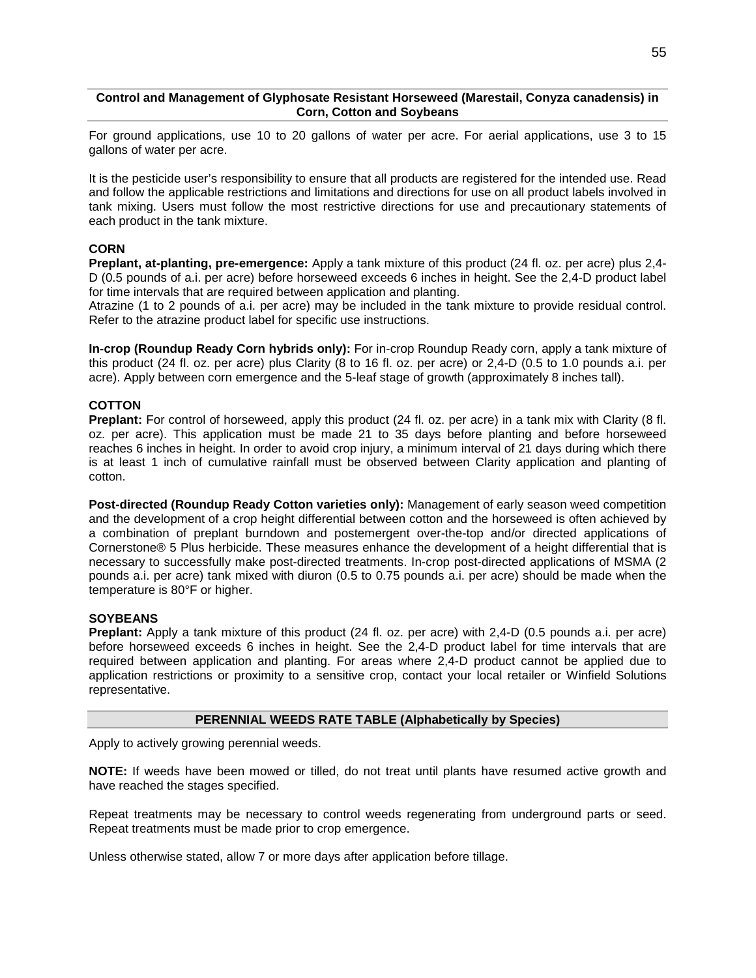## **Control and Management of Glyphosate Resistant Horseweed (Marestail, Conyza canadensis) in Corn, Cotton and Soybeans**

For ground applications, use 10 to 20 gallons of water per acre. For aerial applications, use 3 to 15 gallons of water per acre.

It is the pesticide user's responsibility to ensure that all products are registered for the intended use. Read and follow the applicable restrictions and limitations and directions for use on all product labels involved in tank mixing. Users must follow the most restrictive directions for use and precautionary statements of each product in the tank mixture.

## **CORN**

**Preplant, at-planting, pre-emergence:** Apply a tank mixture of this product (24 fl. oz. per acre) plus 2,4- D (0.5 pounds of a.i. per acre) before horseweed exceeds 6 inches in height. See the 2,4-D product label for time intervals that are required between application and planting.

Atrazine (1 to 2 pounds of a.i. per acre) may be included in the tank mixture to provide residual control. Refer to the atrazine product label for specific use instructions.

**In-crop (Roundup Ready Corn hybrids only):** For in-crop Roundup Ready corn, apply a tank mixture of this product (24 fl. oz. per acre) plus Clarity (8 to 16 fl. oz. per acre) or 2,4-D (0.5 to 1.0 pounds a.i. per acre). Apply between corn emergence and the 5-leaf stage of growth (approximately 8 inches tall).

## **COTTON**

**Preplant:** For control of horseweed, apply this product (24 fl. oz. per acre) in a tank mix with Clarity (8 fl. oz. per acre). This application must be made 21 to 35 days before planting and before horseweed reaches 6 inches in height. In order to avoid crop injury, a minimum interval of 21 days during which there is at least 1 inch of cumulative rainfall must be observed between Clarity application and planting of cotton.

**Post-directed (Roundup Ready Cotton varieties only):** Management of early season weed competition and the development of a crop height differential between cotton and the horseweed is often achieved by a combination of preplant burndown and postemergent over-the-top and/or directed applications of Cornerstone® 5 Plus herbicide. These measures enhance the development of a height differential that is necessary to successfully make post-directed treatments. In-crop post-directed applications of MSMA (2 pounds a.i. per acre) tank mixed with diuron (0.5 to 0.75 pounds a.i. per acre) should be made when the temperature is 80°F or higher.

## **SOYBEANS**

**Preplant:** Apply a tank mixture of this product (24 fl. oz. per acre) with 2,4-D (0.5 pounds a.i. per acre) before horseweed exceeds 6 inches in height. See the 2,4-D product label for time intervals that are required between application and planting. For areas where 2,4-D product cannot be applied due to application restrictions or proximity to a sensitive crop, contact your local retailer or Winfield Solutions representative.

## **PERENNIAL WEEDS RATE TABLE (Alphabetically by Species)**

Apply to actively growing perennial weeds.

**NOTE:** If weeds have been mowed or tilled, do not treat until plants have resumed active growth and have reached the stages specified.

Repeat treatments may be necessary to control weeds regenerating from underground parts or seed. Repeat treatments must be made prior to crop emergence.

Unless otherwise stated, allow 7 or more days after application before tillage.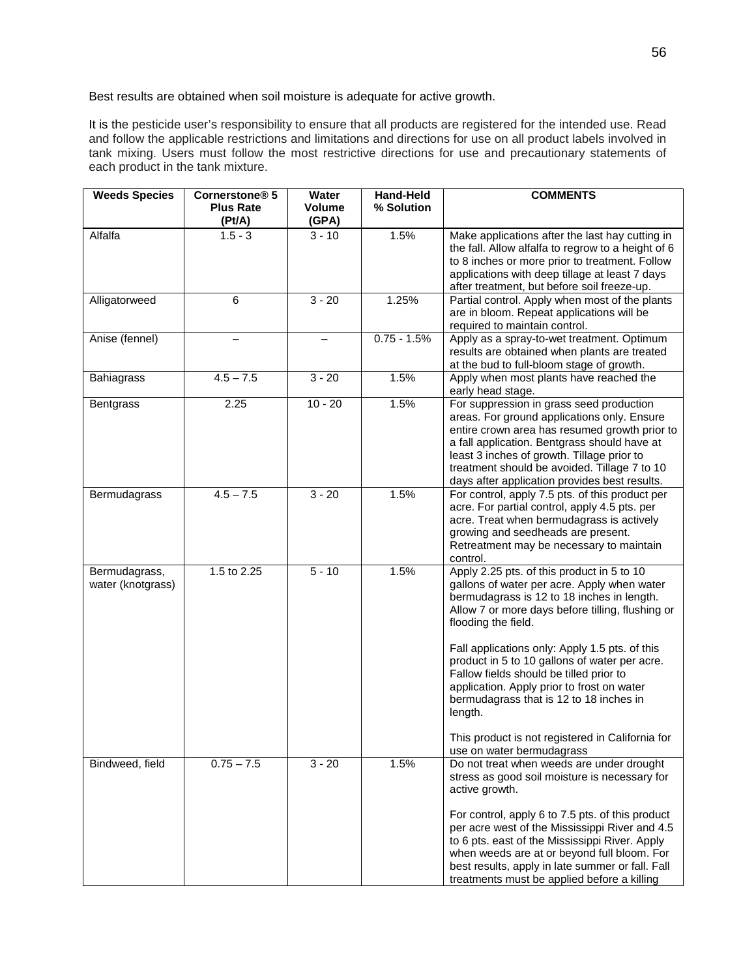Best results are obtained when soil moisture is adequate for active growth.

It is the pesticide user's responsibility to ensure that all products are registered for the intended use. Read and follow the applicable restrictions and limitations and directions for use on all product labels involved in tank mixing. Users must follow the most restrictive directions for use and precautionary statements of each product in the tank mixture.

| <b>Weeds Species</b>               | Cornerstone <sup>®</sup> 5 | <b>Water</b>    | <b>Hand-Held</b> | <b>COMMENTS</b>                                                                                                                                                                                                                                                                                                                                                                                                                                                                                                                                       |
|------------------------------------|----------------------------|-----------------|------------------|-------------------------------------------------------------------------------------------------------------------------------------------------------------------------------------------------------------------------------------------------------------------------------------------------------------------------------------------------------------------------------------------------------------------------------------------------------------------------------------------------------------------------------------------------------|
|                                    | <b>Plus Rate</b><br>(Pt/A) | Volume<br>(GPA) | % Solution       |                                                                                                                                                                                                                                                                                                                                                                                                                                                                                                                                                       |
| Alfalfa                            | $1.5 - 3$                  | $3 - 10$        | 1.5%             | Make applications after the last hay cutting in<br>the fall. Allow alfalfa to regrow to a height of 6<br>to 8 inches or more prior to treatment. Follow<br>applications with deep tillage at least 7 days<br>after treatment, but before soil freeze-up.                                                                                                                                                                                                                                                                                              |
| Alligatorweed                      | 6                          | $3 - 20$        | 1.25%            | Partial control. Apply when most of the plants<br>are in bloom. Repeat applications will be<br>required to maintain control.                                                                                                                                                                                                                                                                                                                                                                                                                          |
| Anise (fennel)                     |                            |                 | $0.75 - 1.5%$    | Apply as a spray-to-wet treatment. Optimum<br>results are obtained when plants are treated<br>at the bud to full-bloom stage of growth.                                                                                                                                                                                                                                                                                                                                                                                                               |
| <b>Bahiagrass</b>                  | $4.5 - 7.5$                | $3 - 20$        | 1.5%             | Apply when most plants have reached the<br>early head stage.                                                                                                                                                                                                                                                                                                                                                                                                                                                                                          |
| <b>Bentgrass</b>                   | 2.25                       | $10 - 20$       | 1.5%             | For suppression in grass seed production<br>areas. For ground applications only. Ensure<br>entire crown area has resumed growth prior to<br>a fall application. Bentgrass should have at<br>least 3 inches of growth. Tillage prior to<br>treatment should be avoided. Tillage 7 to 10<br>days after application provides best results.                                                                                                                                                                                                               |
| Bermudagrass                       | $4.5 - 7.5$                | $3 - 20$        | 1.5%             | For control, apply 7.5 pts. of this product per<br>acre. For partial control, apply 4.5 pts. per<br>acre. Treat when bermudagrass is actively<br>growing and seedheads are present.<br>Retreatment may be necessary to maintain<br>control.                                                                                                                                                                                                                                                                                                           |
| Bermudagrass,<br>water (knotgrass) | 1.5 to $2.25$              | $5 - 10$        | 1.5%             | Apply 2.25 pts. of this product in 5 to 10<br>gallons of water per acre. Apply when water<br>bermudagrass is 12 to 18 inches in length.<br>Allow 7 or more days before tilling, flushing or<br>flooding the field.<br>Fall applications only: Apply 1.5 pts. of this<br>product in 5 to 10 gallons of water per acre.<br>Fallow fields should be tilled prior to<br>application. Apply prior to frost on water<br>bermudagrass that is 12 to 18 inches in<br>length.<br>This product is not registered in California for<br>use on water bermudagrass |
| Bindweed, field                    | $0.75 - 7.5$               | $3 - 20$        | 1.5%             | Do not treat when weeds are under drought<br>stress as good soil moisture is necessary for<br>active growth.<br>For control, apply 6 to 7.5 pts. of this product<br>per acre west of the Mississippi River and 4.5<br>to 6 pts. east of the Mississippi River. Apply<br>when weeds are at or beyond full bloom. For<br>best results, apply in late summer or fall. Fall<br>treatments must be applied before a killing                                                                                                                                |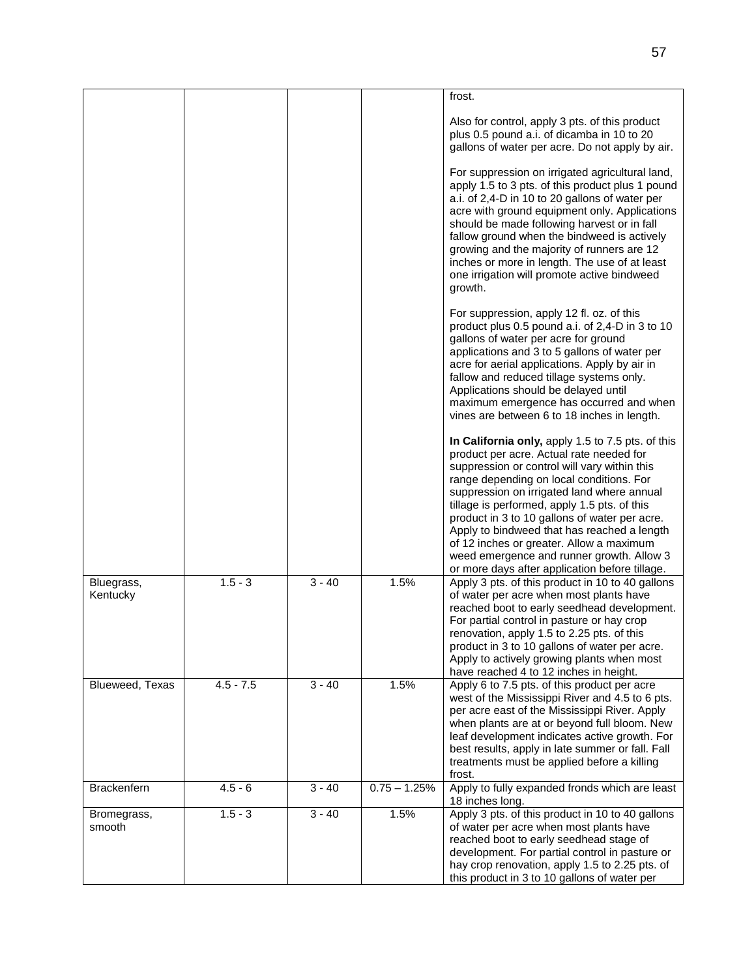|                        |             |          |                | frost.                                                                                                                                                                                                                                                                                                                                                                                                                                                                                                                             |
|------------------------|-------------|----------|----------------|------------------------------------------------------------------------------------------------------------------------------------------------------------------------------------------------------------------------------------------------------------------------------------------------------------------------------------------------------------------------------------------------------------------------------------------------------------------------------------------------------------------------------------|
|                        |             |          |                | Also for control, apply 3 pts. of this product<br>plus 0.5 pound a.i. of dicamba in 10 to 20<br>gallons of water per acre. Do not apply by air.                                                                                                                                                                                                                                                                                                                                                                                    |
|                        |             |          |                | For suppression on irrigated agricultural land,<br>apply 1.5 to 3 pts. of this product plus 1 pound<br>a.i. of 2,4-D in 10 to 20 gallons of water per<br>acre with ground equipment only. Applications<br>should be made following harvest or in fall<br>fallow ground when the bindweed is actively<br>growing and the majority of runners are 12<br>inches or more in length. The use of at least<br>one irrigation will promote active bindweed<br>growth.                                                                      |
|                        |             |          |                | For suppression, apply 12 fl. oz. of this<br>product plus 0.5 pound a.i. of 2,4-D in 3 to 10<br>gallons of water per acre for ground<br>applications and 3 to 5 gallons of water per<br>acre for aerial applications. Apply by air in<br>fallow and reduced tillage systems only.<br>Applications should be delayed until<br>maximum emergence has occurred and when<br>vines are between 6 to 18 inches in length.                                                                                                                |
|                        |             |          |                | In California only, apply 1.5 to 7.5 pts. of this<br>product per acre. Actual rate needed for<br>suppression or control will vary within this<br>range depending on local conditions. For<br>suppression on irrigated land where annual<br>tillage is performed, apply 1.5 pts. of this<br>product in 3 to 10 gallons of water per acre.<br>Apply to bindweed that has reached a length<br>of 12 inches or greater. Allow a maximum<br>weed emergence and runner growth. Allow 3<br>or more days after application before tillage. |
| Bluegrass,<br>Kentucky | $1.5 - 3$   | $3 - 40$ | 1.5%           | Apply 3 pts. of this product in 10 to 40 gallons<br>of water per acre when most plants have<br>reached boot to early seedhead development.<br>For partial control in pasture or hay crop<br>renovation, apply 1.5 to 2.25 pts. of this<br>product in 3 to 10 gallons of water per acre.<br>Apply to actively growing plants when most<br>have reached 4 to 12 inches in height.                                                                                                                                                    |
| Blueweed, Texas        | $4.5 - 7.5$ | $3 - 40$ | 1.5%           | Apply 6 to 7.5 pts. of this product per acre<br>west of the Mississippi River and 4.5 to 6 pts.<br>per acre east of the Mississippi River. Apply<br>when plants are at or beyond full bloom. New<br>leaf development indicates active growth. For<br>best results, apply in late summer or fall. Fall<br>treatments must be applied before a killing<br>frost.                                                                                                                                                                     |
| <b>Brackenfern</b>     | $4.5 - 6$   | $3 - 40$ | $0.75 - 1.25%$ | Apply to fully expanded fronds which are least<br>18 inches long.                                                                                                                                                                                                                                                                                                                                                                                                                                                                  |
| Bromegrass,<br>smooth  | $1.5 - 3$   | $3 - 40$ | 1.5%           | Apply 3 pts. of this product in 10 to 40 gallons<br>of water per acre when most plants have<br>reached boot to early seedhead stage of<br>development. For partial control in pasture or<br>hay crop renovation, apply 1.5 to 2.25 pts. of<br>this product in 3 to 10 gallons of water per                                                                                                                                                                                                                                         |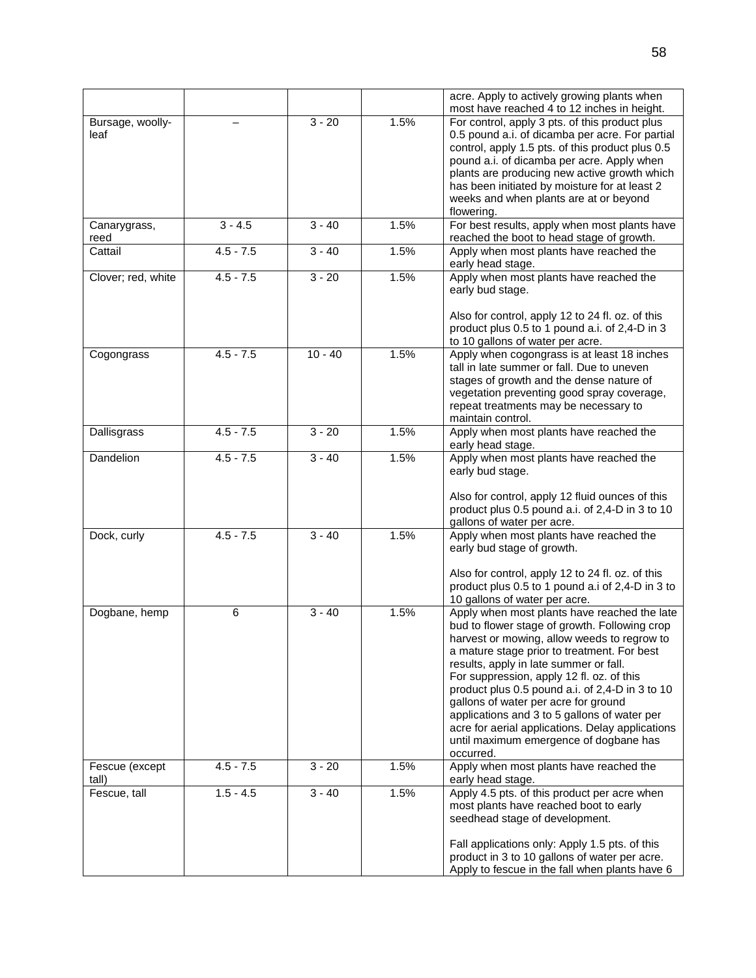|                          |             |           |      | acre. Apply to actively growing plants when<br>most have reached 4 to 12 inches in height.                                                                                                                                                                                                                                                                                                                                                                                                                                               |
|--------------------------|-------------|-----------|------|------------------------------------------------------------------------------------------------------------------------------------------------------------------------------------------------------------------------------------------------------------------------------------------------------------------------------------------------------------------------------------------------------------------------------------------------------------------------------------------------------------------------------------------|
| Bursage, woolly-<br>leaf |             | $3 - 20$  | 1.5% | For control, apply 3 pts. of this product plus<br>0.5 pound a.i. of dicamba per acre. For partial<br>control, apply 1.5 pts. of this product plus 0.5<br>pound a.i. of dicamba per acre. Apply when<br>plants are producing new active growth which<br>has been initiated by moisture for at least 2<br>weeks and when plants are at or beyond<br>flowering.                                                                                                                                                                             |
| Canarygrass,<br>reed     | $3 - 4.5$   | $3 - 40$  | 1.5% | For best results, apply when most plants have<br>reached the boot to head stage of growth.                                                                                                                                                                                                                                                                                                                                                                                                                                               |
| Cattail                  | $4.5 - 7.5$ | $3 - 40$  | 1.5% | Apply when most plants have reached the<br>early head stage.                                                                                                                                                                                                                                                                                                                                                                                                                                                                             |
| Clover; red, white       | $4.5 - 7.5$ | $3 - 20$  | 1.5% | Apply when most plants have reached the<br>early bud stage.<br>Also for control, apply 12 to 24 fl. oz. of this                                                                                                                                                                                                                                                                                                                                                                                                                          |
|                          |             |           |      | product plus 0.5 to 1 pound a.i. of 2,4-D in 3<br>to 10 gallons of water per acre.                                                                                                                                                                                                                                                                                                                                                                                                                                                       |
| Cogongrass               | $4.5 - 7.5$ | $10 - 40$ | 1.5% | Apply when cogongrass is at least 18 inches<br>tall in late summer or fall. Due to uneven<br>stages of growth and the dense nature of<br>vegetation preventing good spray coverage,<br>repeat treatments may be necessary to<br>maintain control.                                                                                                                                                                                                                                                                                        |
| Dallisgrass              | $4.5 - 7.5$ | $3 - 20$  | 1.5% | Apply when most plants have reached the<br>early head stage.                                                                                                                                                                                                                                                                                                                                                                                                                                                                             |
| Dandelion                | $4.5 - 7.5$ | $3 - 40$  | 1.5% | Apply when most plants have reached the<br>early bud stage.<br>Also for control, apply 12 fluid ounces of this<br>product plus 0.5 pound a.i. of 2,4-D in 3 to 10<br>gallons of water per acre.                                                                                                                                                                                                                                                                                                                                          |
| Dock, curly              | $4.5 - 7.5$ | $3 - 40$  | 1.5% | Apply when most plants have reached the<br>early bud stage of growth.<br>Also for control, apply 12 to 24 fl. oz. of this<br>product plus 0.5 to 1 pound a.i of 2,4-D in 3 to<br>10 gallons of water per acre.                                                                                                                                                                                                                                                                                                                           |
| Dogbane, hemp            | $\,6$       | $3 - 40$  | 1.5% | Apply when most plants have reached the late<br>bud to flower stage of growth. Following crop<br>harvest or mowing, allow weeds to regrow to<br>a mature stage prior to treatment. For best<br>results, apply in late summer or fall.<br>For suppression, apply 12 fl. oz. of this<br>product plus 0.5 pound a.i. of 2,4-D in 3 to 10<br>gallons of water per acre for ground<br>applications and 3 to 5 gallons of water per<br>acre for aerial applications. Delay applications<br>until maximum emergence of dogbane has<br>occurred. |
| Fescue (except<br>tall)  | $4.5 - 7.5$ | $3 - 20$  | 1.5% | Apply when most plants have reached the<br>early head stage.                                                                                                                                                                                                                                                                                                                                                                                                                                                                             |
| Fescue, tall             | $1.5 - 4.5$ | $3 - 40$  | 1.5% | Apply 4.5 pts. of this product per acre when<br>most plants have reached boot to early<br>seedhead stage of development.                                                                                                                                                                                                                                                                                                                                                                                                                 |
|                          |             |           |      | Fall applications only: Apply 1.5 pts. of this<br>product in 3 to 10 gallons of water per acre.<br>Apply to fescue in the fall when plants have 6                                                                                                                                                                                                                                                                                                                                                                                        |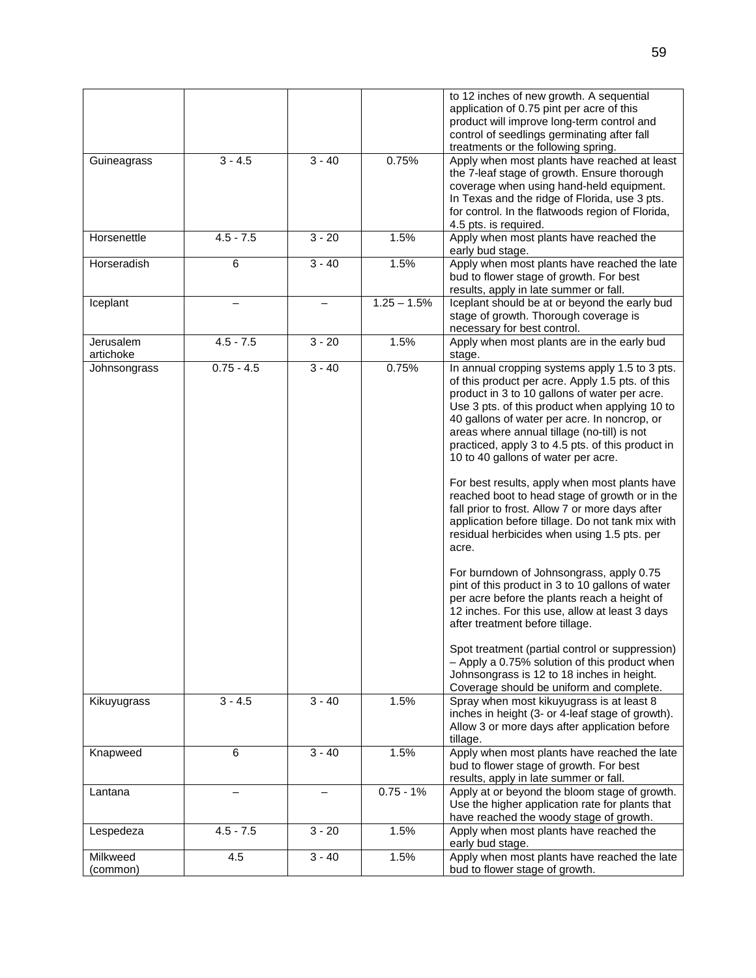|                        |              |          |               | to 12 inches of new growth. A sequential<br>application of 0.75 pint per acre of this<br>product will improve long-term control and<br>control of seedlings germinating after fall<br>treatments or the following spring.                                                                                                                                                                                                                                                                                                                                                                                                                                                                                                                                                                                                                                                                                                                                                                                                                                                                             |
|------------------------|--------------|----------|---------------|-------------------------------------------------------------------------------------------------------------------------------------------------------------------------------------------------------------------------------------------------------------------------------------------------------------------------------------------------------------------------------------------------------------------------------------------------------------------------------------------------------------------------------------------------------------------------------------------------------------------------------------------------------------------------------------------------------------------------------------------------------------------------------------------------------------------------------------------------------------------------------------------------------------------------------------------------------------------------------------------------------------------------------------------------------------------------------------------------------|
| Guineagrass            | $3 - 4.5$    | $3 - 40$ | 0.75%         | Apply when most plants have reached at least<br>the 7-leaf stage of growth. Ensure thorough<br>coverage when using hand-held equipment.<br>In Texas and the ridge of Florida, use 3 pts.<br>for control. In the flatwoods region of Florida,<br>4.5 pts. is required.                                                                                                                                                                                                                                                                                                                                                                                                                                                                                                                                                                                                                                                                                                                                                                                                                                 |
| Horsenettle            | $4.5 - 7.5$  | $3 - 20$ | 1.5%          | Apply when most plants have reached the<br>early bud stage.                                                                                                                                                                                                                                                                                                                                                                                                                                                                                                                                                                                                                                                                                                                                                                                                                                                                                                                                                                                                                                           |
| Horseradish            | 6            | $3 - 40$ | 1.5%          | Apply when most plants have reached the late<br>bud to flower stage of growth. For best<br>results, apply in late summer or fall.                                                                                                                                                                                                                                                                                                                                                                                                                                                                                                                                                                                                                                                                                                                                                                                                                                                                                                                                                                     |
| Iceplant               |              |          | $1.25 - 1.5%$ | Iceplant should be at or beyond the early bud<br>stage of growth. Thorough coverage is<br>necessary for best control.                                                                                                                                                                                                                                                                                                                                                                                                                                                                                                                                                                                                                                                                                                                                                                                                                                                                                                                                                                                 |
| Jerusalem<br>artichoke | $4.5 - 7.5$  | $3 - 20$ | 1.5%          | Apply when most plants are in the early bud<br>stage.                                                                                                                                                                                                                                                                                                                                                                                                                                                                                                                                                                                                                                                                                                                                                                                                                                                                                                                                                                                                                                                 |
| Johnsongrass           | $0.75 - 4.5$ | $3 - 40$ | 0.75%         | In annual cropping systems apply 1.5 to 3 pts.<br>of this product per acre. Apply 1.5 pts. of this<br>product in 3 to 10 gallons of water per acre.<br>Use 3 pts. of this product when applying 10 to<br>40 gallons of water per acre. In noncrop, or<br>areas where annual tillage (no-till) is not<br>practiced, apply 3 to 4.5 pts. of this product in<br>10 to 40 gallons of water per acre.<br>For best results, apply when most plants have<br>reached boot to head stage of growth or in the<br>fall prior to frost. Allow 7 or more days after<br>application before tillage. Do not tank mix with<br>residual herbicides when using 1.5 pts. per<br>acre.<br>For burndown of Johnsongrass, apply 0.75<br>pint of this product in 3 to 10 gallons of water<br>per acre before the plants reach a height of<br>12 inches. For this use, allow at least 3 days<br>after treatment before tillage.<br>Spot treatment (partial control or suppression)<br>- Apply a 0.75% solution of this product when<br>Johnsongrass is 12 to 18 inches in height.<br>Coverage should be uniform and complete. |
| Kikuyugrass            | $3 - 4.5$    | $3 - 40$ | 1.5%          | Spray when most kikuyugrass is at least 8<br>inches in height (3- or 4-leaf stage of growth).<br>Allow 3 or more days after application before<br>tillage.                                                                                                                                                                                                                                                                                                                                                                                                                                                                                                                                                                                                                                                                                                                                                                                                                                                                                                                                            |
| Knapweed               | 6            | $3 - 40$ | 1.5%          | Apply when most plants have reached the late<br>bud to flower stage of growth. For best<br>results, apply in late summer or fall.                                                                                                                                                                                                                                                                                                                                                                                                                                                                                                                                                                                                                                                                                                                                                                                                                                                                                                                                                                     |
| Lantana                |              |          | $0.75 - 1%$   | Apply at or beyond the bloom stage of growth.<br>Use the higher application rate for plants that<br>have reached the woody stage of growth.                                                                                                                                                                                                                                                                                                                                                                                                                                                                                                                                                                                                                                                                                                                                                                                                                                                                                                                                                           |
| Lespedeza              | $4.5 - 7.5$  | $3 - 20$ | 1.5%          | Apply when most plants have reached the<br>early bud stage.                                                                                                                                                                                                                                                                                                                                                                                                                                                                                                                                                                                                                                                                                                                                                                                                                                                                                                                                                                                                                                           |
| Milkweed<br>(common)   | 4.5          | $3 - 40$ | 1.5%          | Apply when most plants have reached the late<br>bud to flower stage of growth.                                                                                                                                                                                                                                                                                                                                                                                                                                                                                                                                                                                                                                                                                                                                                                                                                                                                                                                                                                                                                        |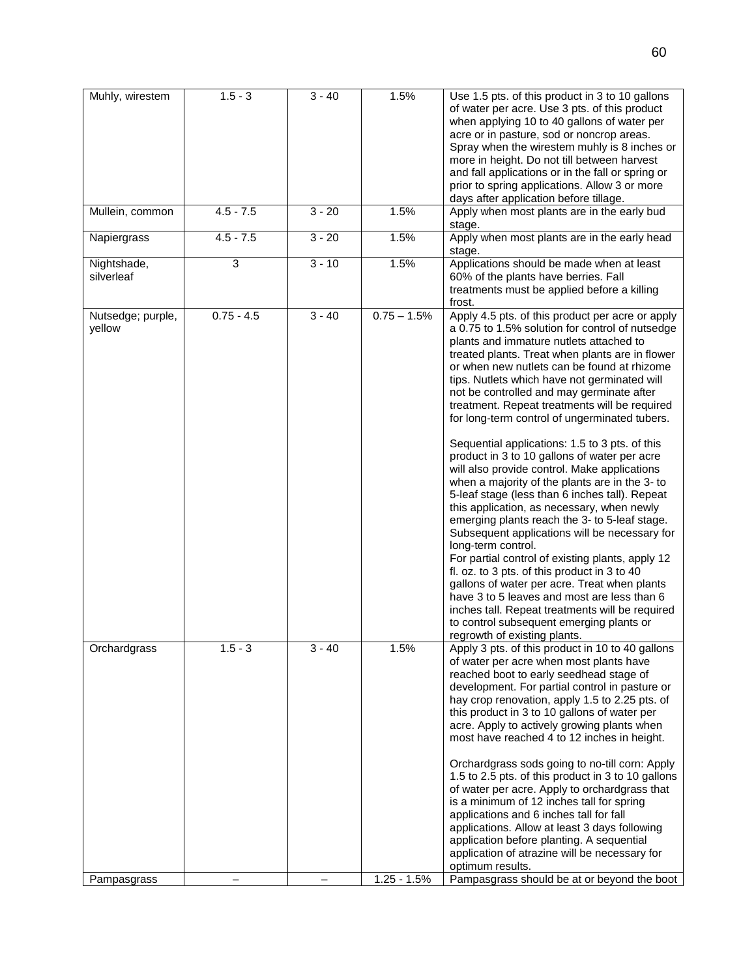| Muhly, wirestem             | $1.5 - 3$    | $3 - 40$ | 1.5%          | Use 1.5 pts. of this product in 3 to 10 gallons<br>of water per acre. Use 3 pts. of this product<br>when applying 10 to 40 gallons of water per<br>acre or in pasture, sod or noncrop areas.<br>Spray when the wirestem muhly is 8 inches or<br>more in height. Do not till between harvest<br>and fall applications or in the fall or spring or<br>prior to spring applications. Allow 3 or more<br>days after application before tillage.                                                                                                                                                                                                                                                                                                                                                                                                                                                                                                                                                                                                                                                                                                                                                                   |
|-----------------------------|--------------|----------|---------------|---------------------------------------------------------------------------------------------------------------------------------------------------------------------------------------------------------------------------------------------------------------------------------------------------------------------------------------------------------------------------------------------------------------------------------------------------------------------------------------------------------------------------------------------------------------------------------------------------------------------------------------------------------------------------------------------------------------------------------------------------------------------------------------------------------------------------------------------------------------------------------------------------------------------------------------------------------------------------------------------------------------------------------------------------------------------------------------------------------------------------------------------------------------------------------------------------------------|
| Mullein, common             | $4.5 - 7.5$  | $3 - 20$ | 1.5%          | Apply when most plants are in the early bud<br>stage.                                                                                                                                                                                                                                                                                                                                                                                                                                                                                                                                                                                                                                                                                                                                                                                                                                                                                                                                                                                                                                                                                                                                                         |
| Napiergrass                 | $4.5 - 7.5$  | $3 - 20$ | 1.5%          | Apply when most plants are in the early head<br>stage.                                                                                                                                                                                                                                                                                                                                                                                                                                                                                                                                                                                                                                                                                                                                                                                                                                                                                                                                                                                                                                                                                                                                                        |
| Nightshade,<br>silverleaf   | 3            | $3 - 10$ | 1.5%          | Applications should be made when at least<br>60% of the plants have berries. Fall<br>treatments must be applied before a killing<br>frost.                                                                                                                                                                                                                                                                                                                                                                                                                                                                                                                                                                                                                                                                                                                                                                                                                                                                                                                                                                                                                                                                    |
| Nutsedge; purple,<br>yellow | $0.75 - 4.5$ | $3 - 40$ | $0.75 - 1.5%$ | Apply 4.5 pts. of this product per acre or apply<br>a 0.75 to 1.5% solution for control of nutsedge<br>plants and immature nutlets attached to<br>treated plants. Treat when plants are in flower<br>or when new nutlets can be found at rhizome<br>tips. Nutlets which have not germinated will<br>not be controlled and may germinate after<br>treatment. Repeat treatments will be required<br>for long-term control of ungerminated tubers.<br>Sequential applications: 1.5 to 3 pts. of this<br>product in 3 to 10 gallons of water per acre<br>will also provide control. Make applications<br>when a majority of the plants are in the 3- to<br>5-leaf stage (less than 6 inches tall). Repeat<br>this application, as necessary, when newly<br>emerging plants reach the 3- to 5-leaf stage.<br>Subsequent applications will be necessary for<br>long-term control.<br>For partial control of existing plants, apply 12<br>fl. oz. to 3 pts. of this product in 3 to 40<br>gallons of water per acre. Treat when plants<br>have 3 to 5 leaves and most are less than 6<br>inches tall. Repeat treatments will be required<br>to control subsequent emerging plants or<br>regrowth of existing plants. |
| Orchardgrass                | $1.5 - 3$    | $3 - 40$ | 1.5%          | Apply 3 pts. of this product in 10 to 40 gallons<br>of water per acre when most plants have<br>reached boot to early seedhead stage of<br>development. For partial control in pasture or<br>hay crop renovation, apply 1.5 to 2.25 pts. of<br>this product in 3 to 10 gallons of water per<br>acre. Apply to actively growing plants when<br>most have reached 4 to 12 inches in height.                                                                                                                                                                                                                                                                                                                                                                                                                                                                                                                                                                                                                                                                                                                                                                                                                      |
|                             |              |          |               | Orchardgrass sods going to no-till corn: Apply<br>1.5 to 2.5 pts. of this product in 3 to 10 gallons<br>of water per acre. Apply to orchardgrass that<br>is a minimum of 12 inches tall for spring<br>applications and 6 inches tall for fall<br>applications. Allow at least 3 days following<br>application before planting. A sequential<br>application of atrazine will be necessary for<br>optimum results.                                                                                                                                                                                                                                                                                                                                                                                                                                                                                                                                                                                                                                                                                                                                                                                              |
| Pampasgrass                 |              |          | $1.25 - 1.5%$ | Pampasgrass should be at or beyond the boot                                                                                                                                                                                                                                                                                                                                                                                                                                                                                                                                                                                                                                                                                                                                                                                                                                                                                                                                                                                                                                                                                                                                                                   |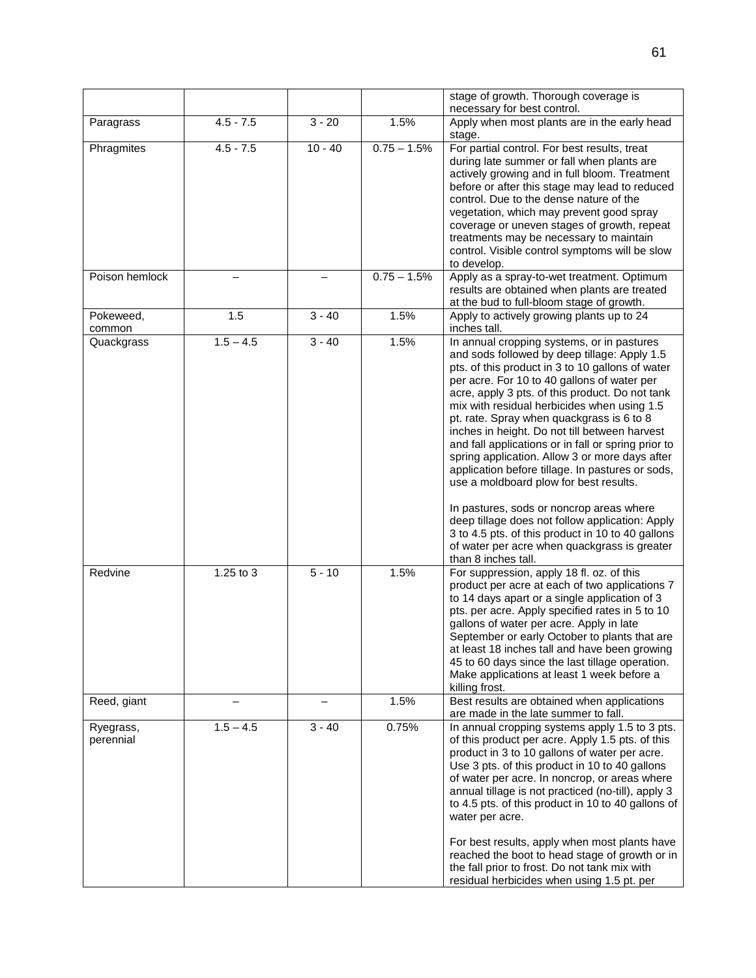|                        |             |           |               | stage of growth. Thorough coverage is<br>necessary for best control.                                                                                                                                                                                                                                                                                                                                                                                                                                                                                                                                                                                                                                                                                                                                                            |
|------------------------|-------------|-----------|---------------|---------------------------------------------------------------------------------------------------------------------------------------------------------------------------------------------------------------------------------------------------------------------------------------------------------------------------------------------------------------------------------------------------------------------------------------------------------------------------------------------------------------------------------------------------------------------------------------------------------------------------------------------------------------------------------------------------------------------------------------------------------------------------------------------------------------------------------|
| Paragrass              | $4.5 - 7.5$ | $3 - 20$  | 1.5%          | Apply when most plants are in the early head<br>stage.                                                                                                                                                                                                                                                                                                                                                                                                                                                                                                                                                                                                                                                                                                                                                                          |
| Phragmites             | $4.5 - 7.5$ | $10 - 40$ | $0.75 - 1.5%$ | For partial control. For best results, treat<br>during late summer or fall when plants are<br>actively growing and in full bloom. Treatment<br>before or after this stage may lead to reduced<br>control. Due to the dense nature of the<br>vegetation, which may prevent good spray<br>coverage or uneven stages of growth, repeat<br>treatments may be necessary to maintain<br>control. Visible control symptoms will be slow<br>to develop.                                                                                                                                                                                                                                                                                                                                                                                 |
| Poison hemlock         |             |           | $0.75 - 1.5%$ | Apply as a spray-to-wet treatment. Optimum<br>results are obtained when plants are treated<br>at the bud to full-bloom stage of growth.                                                                                                                                                                                                                                                                                                                                                                                                                                                                                                                                                                                                                                                                                         |
| Pokeweed,<br>common    | 1.5         | $3 - 40$  | 1.5%          | Apply to actively growing plants up to 24<br>inches tall.                                                                                                                                                                                                                                                                                                                                                                                                                                                                                                                                                                                                                                                                                                                                                                       |
| Quackgrass             | $1.5 - 4.5$ | $3 - 40$  | 1.5%          | In annual cropping systems, or in pastures<br>and sods followed by deep tillage: Apply 1.5<br>pts. of this product in 3 to 10 gallons of water<br>per acre. For 10 to 40 gallons of water per<br>acre, apply 3 pts. of this product. Do not tank<br>mix with residual herbicides when using 1.5<br>pt. rate. Spray when quackgrass is 6 to 8<br>inches in height. Do not till between harvest<br>and fall applications or in fall or spring prior to<br>spring application. Allow 3 or more days after<br>application before tillage. In pastures or sods,<br>use a moldboard plow for best results.<br>In pastures, sods or noncrop areas where<br>deep tillage does not follow application: Apply<br>3 to 4.5 pts. of this product in 10 to 40 gallons<br>of water per acre when quackgrass is greater<br>than 8 inches tall. |
| Redvine                | 1.25 to 3   | $5 - 10$  | 1.5%          | For suppression, apply 18 fl. oz. of this<br>product per acre at each of two applications 7<br>to 14 days apart or a single application of 3<br>pts. per acre. Apply specified rates in 5 to 10<br>gallons of water per acre. Apply in late<br>September or early October to plants that are<br>at least 18 inches tall and have been growing<br>45 to 60 days since the last tillage operation.<br>Make applications at least 1 week before a<br>killing frost.                                                                                                                                                                                                                                                                                                                                                                |
| Reed, giant            |             |           | 1.5%          | Best results are obtained when applications<br>are made in the late summer to fall.                                                                                                                                                                                                                                                                                                                                                                                                                                                                                                                                                                                                                                                                                                                                             |
| Ryegrass,<br>perennial | $1.5 - 4.5$ | $3 - 40$  | 0.75%         | In annual cropping systems apply 1.5 to 3 pts.<br>of this product per acre. Apply 1.5 pts. of this<br>product in 3 to 10 gallons of water per acre.<br>Use 3 pts. of this product in 10 to 40 gallons<br>of water per acre. In noncrop, or areas where<br>annual tillage is not practiced (no-till), apply 3<br>to 4.5 pts. of this product in 10 to 40 gallons of<br>water per acre.<br>For best results, apply when most plants have<br>reached the boot to head stage of growth or in<br>the fall prior to frost. Do not tank mix with<br>residual herbicides when using 1.5 pt. per                                                                                                                                                                                                                                         |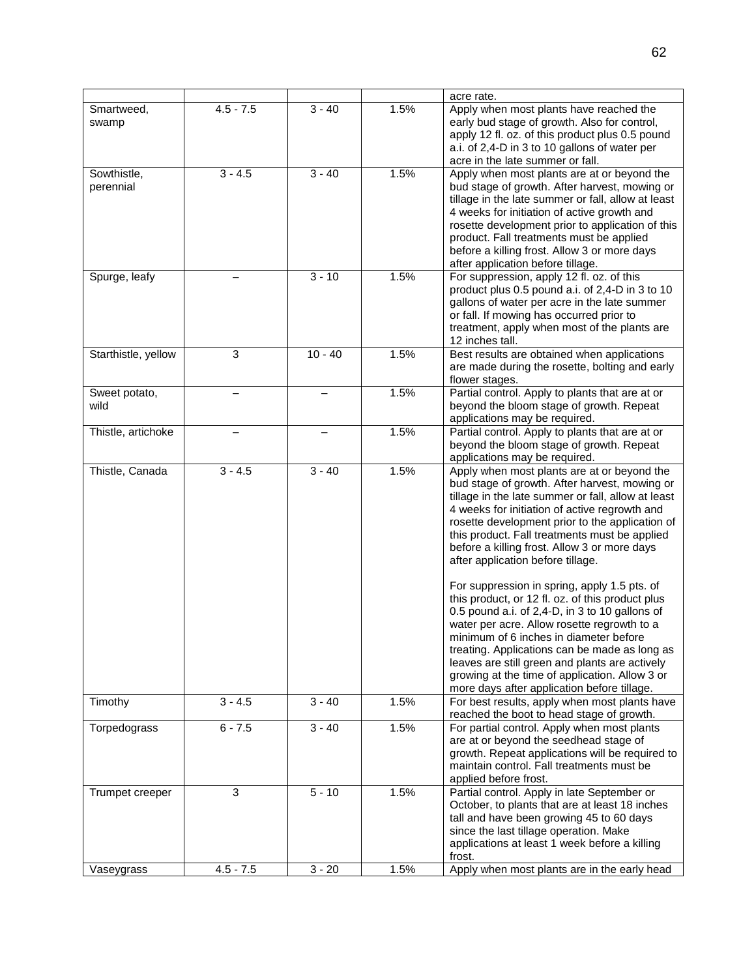|                          |             |           |      | acre rate.                                                                                                                                                                                                                                                                                                                                                                                                                                      |
|--------------------------|-------------|-----------|------|-------------------------------------------------------------------------------------------------------------------------------------------------------------------------------------------------------------------------------------------------------------------------------------------------------------------------------------------------------------------------------------------------------------------------------------------------|
| Smartweed,<br>swamp      | $4.5 - 7.5$ | $3 - 40$  | 1.5% | Apply when most plants have reached the<br>early bud stage of growth. Also for control,<br>apply 12 fl. oz. of this product plus 0.5 pound<br>a.i. of 2,4-D in 3 to 10 gallons of water per<br>acre in the late summer or fall.                                                                                                                                                                                                                 |
| Sowthistle,<br>perennial | $3 - 4.5$   | $3 - 40$  | 1.5% | Apply when most plants are at or beyond the<br>bud stage of growth. After harvest, mowing or<br>tillage in the late summer or fall, allow at least<br>4 weeks for initiation of active growth and<br>rosette development prior to application of this<br>product. Fall treatments must be applied<br>before a killing frost. Allow 3 or more days<br>after application before tillage.                                                          |
| Spurge, leafy            |             | $3 - 10$  | 1.5% | For suppression, apply 12 fl. oz. of this<br>product plus 0.5 pound a.i. of 2,4-D in 3 to 10<br>gallons of water per acre in the late summer<br>or fall. If mowing has occurred prior to<br>treatment, apply when most of the plants are<br>12 inches tall.                                                                                                                                                                                     |
| Starthistle, yellow      | 3           | $10 - 40$ | 1.5% | Best results are obtained when applications<br>are made during the rosette, bolting and early<br>flower stages.                                                                                                                                                                                                                                                                                                                                 |
| Sweet potato,<br>wild    |             |           | 1.5% | Partial control. Apply to plants that are at or<br>beyond the bloom stage of growth. Repeat<br>applications may be required.                                                                                                                                                                                                                                                                                                                    |
| Thistle, artichoke       |             |           | 1.5% | Partial control. Apply to plants that are at or<br>beyond the bloom stage of growth. Repeat<br>applications may be required.                                                                                                                                                                                                                                                                                                                    |
| Thistle, Canada          | $3 - 4.5$   | $3 - 40$  | 1.5% | Apply when most plants are at or beyond the<br>bud stage of growth. After harvest, mowing or<br>tillage in the late summer or fall, allow at least<br>4 weeks for initiation of active regrowth and<br>rosette development prior to the application of<br>this product. Fall treatments must be applied<br>before a killing frost. Allow 3 or more days<br>after application before tillage.                                                    |
|                          |             |           |      | For suppression in spring, apply 1.5 pts. of<br>this product, or 12 fl. oz. of this product plus<br>0.5 pound a.i. of 2,4-D, in 3 to 10 gallons of<br>water per acre. Allow rosette regrowth to a<br>minimum of 6 inches in diameter before<br>treating. Applications can be made as long as<br>leaves are still green and plants are actively<br>growing at the time of application. Allow 3 or<br>more days after application before tillage. |
| Timothy                  | $3 - 4.5$   | $3 - 40$  | 1.5% | For best results, apply when most plants have<br>reached the boot to head stage of growth.                                                                                                                                                                                                                                                                                                                                                      |
| Torpedograss             | $6 - 7.5$   | $3 - 40$  | 1.5% | For partial control. Apply when most plants<br>are at or beyond the seedhead stage of<br>growth. Repeat applications will be required to<br>maintain control. Fall treatments must be<br>applied before frost.                                                                                                                                                                                                                                  |
| Trumpet creeper          | 3           | $5 - 10$  | 1.5% | Partial control. Apply in late September or<br>October, to plants that are at least 18 inches<br>tall and have been growing 45 to 60 days<br>since the last tillage operation. Make<br>applications at least 1 week before a killing<br>frost.                                                                                                                                                                                                  |
| Vaseygrass               | $4.5 - 7.5$ | $3 - 20$  | 1.5% | Apply when most plants are in the early head                                                                                                                                                                                                                                                                                                                                                                                                    |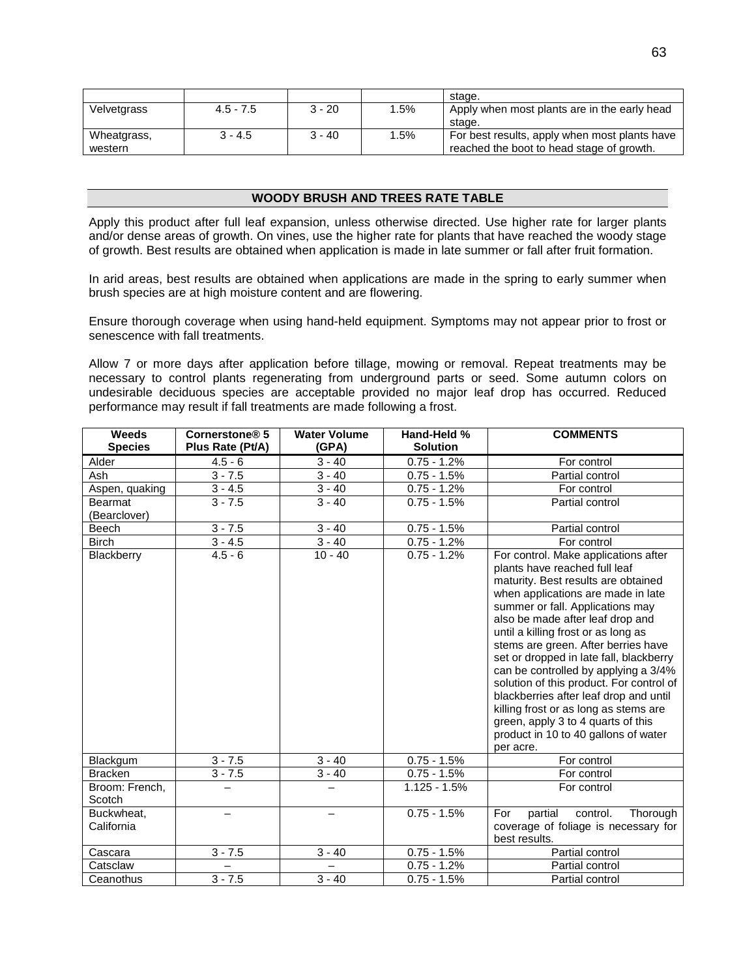|             |             |          |      | stage.                                        |
|-------------|-------------|----------|------|-----------------------------------------------|
| Velvetgrass | $4.5 - 7.5$ | $3 - 20$ | 1.5% | Apply when most plants are in the early head  |
|             |             |          |      | stage.                                        |
| Wheatgrass, | $3 - 4.5$   | 3 - 40   | 1.5% | For best results, apply when most plants have |
| western     |             |          |      | reached the boot to head stage of growth.     |

## **WOODY BRUSH AND TREES RATE TABLE**

Apply this product after full leaf expansion, unless otherwise directed. Use higher rate for larger plants and/or dense areas of growth. On vines, use the higher rate for plants that have reached the woody stage of growth. Best results are obtained when application is made in late summer or fall after fruit formation.

In arid areas, best results are obtained when applications are made in the spring to early summer when brush species are at high moisture content and are flowering.

Ensure thorough coverage when using hand-held equipment. Symptoms may not appear prior to frost or senescence with fall treatments.

Allow 7 or more days after application before tillage, mowing or removal. Repeat treatments may be necessary to control plants regenerating from underground parts or seed. Some autumn colors on undesirable deciduous species are acceptable provided no major leaf drop has occurred. Reduced performance may result if fall treatments are made following a frost.

| <b>Weeds</b><br><b>Species</b> | Cornerstone <sup>®</sup> 5<br>Plus Rate (Pt/A) | <b>Water Volume</b><br>(GPA) | Hand-Held %<br><b>Solution</b> | <b>COMMENTS</b>                                                                                                                                                                                                                                                                                                                                                                                                                                                                                                                                                                                                       |
|--------------------------------|------------------------------------------------|------------------------------|--------------------------------|-----------------------------------------------------------------------------------------------------------------------------------------------------------------------------------------------------------------------------------------------------------------------------------------------------------------------------------------------------------------------------------------------------------------------------------------------------------------------------------------------------------------------------------------------------------------------------------------------------------------------|
| Alder                          | $4.5 - 6$                                      | $3 - 40$                     | $0.75 - 1.2%$                  | For control                                                                                                                                                                                                                                                                                                                                                                                                                                                                                                                                                                                                           |
| Ash                            | $3 - 7.5$                                      | $3 - 40$                     | $0.75 - 1.5%$                  | Partial control                                                                                                                                                                                                                                                                                                                                                                                                                                                                                                                                                                                                       |
| Aspen, quaking                 | $3 - 4.5$                                      | $3 - 40$                     | $0.75 - 1.2%$                  | For control                                                                                                                                                                                                                                                                                                                                                                                                                                                                                                                                                                                                           |
| Bearmat                        | $3 - 7.5$                                      | $3 - 40$                     | $0.75 - 1.5%$                  | Partial control                                                                                                                                                                                                                                                                                                                                                                                                                                                                                                                                                                                                       |
| (Bearclover)                   |                                                |                              |                                |                                                                                                                                                                                                                                                                                                                                                                                                                                                                                                                                                                                                                       |
| Beech                          | $3 - 7.5$                                      | $3 - 40$                     | $0.75 - 1.5%$                  | Partial control                                                                                                                                                                                                                                                                                                                                                                                                                                                                                                                                                                                                       |
| <b>Birch</b>                   | $3 - 4.5$                                      | $3 - 40$                     | $0.75 - 1.2%$                  | For control                                                                                                                                                                                                                                                                                                                                                                                                                                                                                                                                                                                                           |
| Blackberry                     | $4.5 - 6$                                      | $10 - 40$                    | $0.75 - 1.2%$                  | For control. Make applications after<br>plants have reached full leaf<br>maturity. Best results are obtained<br>when applications are made in late<br>summer or fall. Applications may<br>also be made after leaf drop and<br>until a killing frost or as long as<br>stems are green. After berries have<br>set or dropped in late fall, blackberry<br>can be controlled by applying a 3/4%<br>solution of this product. For control of<br>blackberries after leaf drop and until<br>killing frost or as long as stems are<br>green, apply 3 to 4 quarts of this<br>product in 10 to 40 gallons of water<br>per acre. |
| Blackgum                       | $3 - 7.5$                                      | $3 - 40$                     | $0.75 - 1.5%$                  | For control                                                                                                                                                                                                                                                                                                                                                                                                                                                                                                                                                                                                           |
| <b>Bracken</b>                 | $3 - 7.5$                                      | $3 - 40$                     | $0.75 - 1.5%$                  | For control                                                                                                                                                                                                                                                                                                                                                                                                                                                                                                                                                                                                           |
| Broom: French,<br>Scotch       |                                                |                              | $1.125 - 1.5%$                 | For control                                                                                                                                                                                                                                                                                                                                                                                                                                                                                                                                                                                                           |
| Buckwheat.<br>California       |                                                |                              | $0.75 - 1.5%$                  | partial<br>control.<br>For<br>Thorough<br>coverage of foliage is necessary for<br>best results.                                                                                                                                                                                                                                                                                                                                                                                                                                                                                                                       |
| Cascara                        | $3 - 7.5$                                      | $3 - 40$                     | $0.75 - 1.5%$                  | Partial control                                                                                                                                                                                                                                                                                                                                                                                                                                                                                                                                                                                                       |
| Catsclaw                       |                                                |                              | $0.75 - 1.2%$                  | Partial control                                                                                                                                                                                                                                                                                                                                                                                                                                                                                                                                                                                                       |
| Ceanothus                      | $3 - 7.5$                                      | $3 - 40$                     | $0.75 - 1.5%$                  | Partial control                                                                                                                                                                                                                                                                                                                                                                                                                                                                                                                                                                                                       |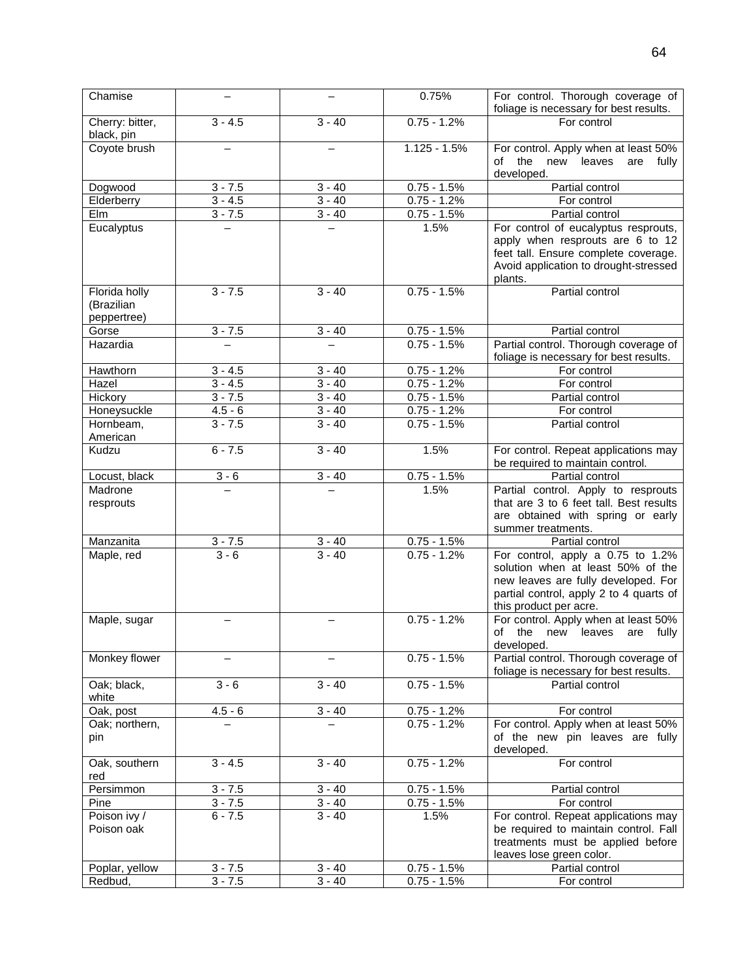| Chamise                                    |           |          | 0.75%          | For control. Thorough coverage of<br>foliage is necessary for best results.                                                                                                        |
|--------------------------------------------|-----------|----------|----------------|------------------------------------------------------------------------------------------------------------------------------------------------------------------------------------|
| Cherry: bitter,<br>black, pin              | $3 - 4.5$ | $3 - 40$ | $0.75 - 1.2%$  | For control                                                                                                                                                                        |
| Coyote brush                               |           |          | $1.125 - 1.5%$ | For control. Apply when at least 50%<br>the<br>new<br>οf<br>leaves<br>fully<br>are<br>developed.                                                                                   |
| Dogwood                                    | $3 - 7.5$ | $3 - 40$ | $0.75 - 1.5%$  | Partial control                                                                                                                                                                    |
| Elderberry                                 | $3 - 4.5$ | $3 - 40$ | $0.75 - 1.2%$  | For control                                                                                                                                                                        |
| Elm                                        | $3 - 7.5$ | $3 - 40$ | $0.75 - 1.5%$  | Partial control                                                                                                                                                                    |
| Eucalyptus                                 |           |          | 1.5%           | For control of eucalyptus resprouts,<br>apply when resprouts are 6 to 12<br>feet tall. Ensure complete coverage.<br>Avoid application to drought-stressed<br>plants.               |
| Florida holly<br>(Brazilian<br>peppertree) | $3 - 7.5$ | $3 - 40$ | $0.75 - 1.5%$  | Partial control                                                                                                                                                                    |
| Gorse                                      | $3 - 7.5$ | $3 - 40$ | $0.75 - 1.5%$  | Partial control                                                                                                                                                                    |
| Hazardia                                   |           |          | $0.75 - 1.5%$  | Partial control. Thorough coverage of<br>foliage is necessary for best results.                                                                                                    |
| Hawthorn                                   | $3 - 4.5$ | $3 - 40$ | $0.75 - 1.2%$  | For control                                                                                                                                                                        |
| Hazel                                      | $3 - 4.5$ | $3 - 40$ | $0.75 - 1.2%$  | For control                                                                                                                                                                        |
| Hickory                                    | $3 - 7.5$ | $3 - 40$ | $0.75 - 1.5%$  | Partial control                                                                                                                                                                    |
| Honeysuckle                                | $4.5 - 6$ | $3 - 40$ | $0.75 - 1.2%$  | For control                                                                                                                                                                        |
| Hornbeam,<br>American                      | $3 - 7.5$ | $3 - 40$ | $0.75 - 1.5%$  | Partial control                                                                                                                                                                    |
| Kudzu                                      | $6 - 7.5$ | $3 - 40$ | 1.5%           | For control. Repeat applications may<br>be required to maintain control.                                                                                                           |
| Locust, black                              | $3 - 6$   | $3 - 40$ | $0.75 - 1.5%$  | Partial control                                                                                                                                                                    |
| Madrone<br>resprouts                       |           |          | 1.5%           | Partial control. Apply to resprouts<br>that are 3 to 6 feet tall. Best results<br>are obtained with spring or early<br>summer treatments.                                          |
| Manzanita                                  | $3 - 7.5$ | $3 - 40$ | $0.75 - 1.5%$  | Partial control                                                                                                                                                                    |
| Maple, red                                 | $3 - 6$   | $3 - 40$ | $0.75 - 1.2%$  | For control, apply a 0.75 to 1.2%<br>solution when at least 50% of the<br>new leaves are fully developed. For<br>partial control, apply 2 to 4 quarts of<br>this product per acre. |
| Maple, sugar                               |           |          | $0.75 - 1.2%$  | For control. Apply when at least 50%<br>of<br>the new leaves<br>fully<br>are<br>developed.                                                                                         |
| Monkey flower                              |           |          | $0.75 - 1.5%$  | Partial control. Thorough coverage of<br>foliage is necessary for best results.                                                                                                    |
| Oak; black,<br>white                       | $3 - 6$   | $3 - 40$ | $0.75 - 1.5%$  | Partial control                                                                                                                                                                    |
| Oak, post                                  | $4.5 - 6$ | $3 - 40$ | $0.75 - 1.2%$  | For control                                                                                                                                                                        |
| Oak; northern,<br>pin                      |           |          | $0.75 - 1.2%$  | For control. Apply when at least 50%<br>of the new pin leaves are fully<br>developed.                                                                                              |
| Oak, southern<br>red                       | $3 - 4.5$ | $3 - 40$ | $0.75 - 1.2%$  | For control                                                                                                                                                                        |
| Persimmon                                  | $3 - 7.5$ | $3 - 40$ | $0.75 - 1.5%$  | Partial control                                                                                                                                                                    |
| Pine                                       | $3 - 7.5$ | $3 - 40$ | $0.75 - 1.5%$  | For control                                                                                                                                                                        |
| Poison ivy /<br>Poison oak                 | $6 - 7.5$ | $3 - 40$ | 1.5%           | For control. Repeat applications may<br>be required to maintain control. Fall<br>treatments must be applied before<br>leaves lose green color.                                     |
| Poplar, yellow                             | $3 - 7.5$ | $3 - 40$ | $0.75 - 1.5%$  | Partial control                                                                                                                                                                    |
| Redbud,                                    | $3 - 7.5$ | $3 - 40$ | $0.75 - 1.5%$  | For control                                                                                                                                                                        |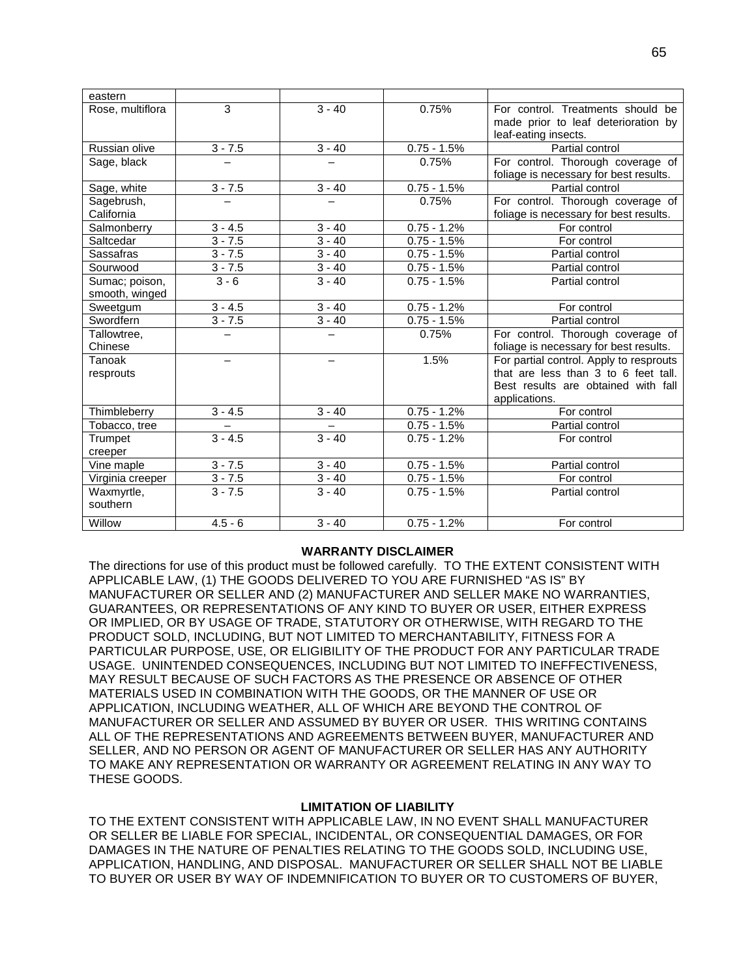| eastern          |           |          |               |                                         |
|------------------|-----------|----------|---------------|-----------------------------------------|
| Rose, multiflora | 3         | $3 - 40$ | 0.75%         | For control. Treatments should be       |
|                  |           |          |               | made prior to leaf deterioration by     |
|                  |           |          |               | leaf-eating insects.                    |
| Russian olive    | $3 - 7.5$ | $3 - 40$ | $0.75 - 1.5%$ | Partial control                         |
| Sage, black      |           |          | 0.75%         | For control. Thorough coverage of       |
|                  |           |          |               | foliage is necessary for best results.  |
| Sage, white      | $3 - 7.5$ | $3 - 40$ | $0.75 - 1.5%$ | Partial control                         |
| Sagebrush,       |           |          | 0.75%         | For control. Thorough coverage of       |
| California       |           |          |               | foliage is necessary for best results.  |
| Salmonberry      | $3 - 4.5$ | $3 - 40$ | $0.75 - 1.2%$ | For control                             |
| Saltcedar        | $3 - 7.5$ | $3 - 40$ | $0.75 - 1.5%$ | For control                             |
| Sassafras        | $3 - 7.5$ | $3 - 40$ | $0.75 - 1.5%$ | Partial control                         |
| Sourwood         | $3 - 7.5$ | $3 - 40$ | $0.75 - 1.5%$ | Partial control                         |
| Sumac; poison,   | $3 - 6$   | $3 - 40$ | $0.75 - 1.5%$ | Partial control                         |
| smooth, winged   |           |          |               |                                         |
| Sweetgum         | $3 - 4.5$ | $3 - 40$ | $0.75 - 1.2%$ | For control                             |
| Swordfern        | $3 - 7.5$ | $3 - 40$ | $0.75 - 1.5%$ | Partial control                         |
| Tallowtree,      |           |          | 0.75%         | For control. Thorough coverage of       |
| Chinese          |           |          |               | foliage is necessary for best results.  |
| Tanoak           |           |          | 1.5%          | For partial control. Apply to resprouts |
| resprouts        |           |          |               | that are less than 3 to 6 feet tall.    |
|                  |           |          |               | Best results are obtained with fall     |
|                  |           |          |               | applications.                           |
| Thimbleberry     | $3 - 4.5$ | $3 - 40$ | $0.75 - 1.2%$ | For control                             |
| Tobacco, tree    |           |          | $0.75 - 1.5%$ | Partial control                         |
| Trumpet          | $3 - 4.5$ | $3 - 40$ | $0.75 - 1.2%$ | For control                             |
| creeper          |           |          |               |                                         |
| Vine maple       | $3 - 7.5$ | $3 - 40$ | $0.75 - 1.5%$ | Partial control                         |
| Virginia creeper | $3 - 7.5$ | $3 - 40$ | $0.75 - 1.5%$ | For control                             |
| Waxmyrtle,       | $3 - 7.5$ | $3 - 40$ | $0.75 - 1.5%$ | Partial control                         |
| southern         |           |          |               |                                         |
| Willow           | $4.5 - 6$ | $3 - 40$ | $0.75 - 1.2%$ | For control                             |
|                  |           |          |               |                                         |

## **WARRANTY DISCLAIMER**

The directions for use of this product must be followed carefully. TO THE EXTENT CONSISTENT WITH APPLICABLE LAW, (1) THE GOODS DELIVERED TO YOU ARE FURNISHED "AS IS" BY MANUFACTURER OR SELLER AND (2) MANUFACTURER AND SELLER MAKE NO WARRANTIES, GUARANTEES, OR REPRESENTATIONS OF ANY KIND TO BUYER OR USER, EITHER EXPRESS OR IMPLIED, OR BY USAGE OF TRADE, STATUTORY OR OTHERWISE, WITH REGARD TO THE PRODUCT SOLD, INCLUDING, BUT NOT LIMITED TO MERCHANTABILITY, FITNESS FOR A PARTICULAR PURPOSE, USE, OR ELIGIBILITY OF THE PRODUCT FOR ANY PARTICULAR TRADE USAGE. UNINTENDED CONSEQUENCES, INCLUDING BUT NOT LIMITED TO INEFFECTIVENESS, MAY RESULT BECAUSE OF SUCH FACTORS AS THE PRESENCE OR ABSENCE OF OTHER MATERIALS USED IN COMBINATION WITH THE GOODS, OR THE MANNER OF USE OR APPLICATION, INCLUDING WEATHER, ALL OF WHICH ARE BEYOND THE CONTROL OF MANUFACTURER OR SELLER AND ASSUMED BY BUYER OR USER. THIS WRITING CONTAINS ALL OF THE REPRESENTATIONS AND AGREEMENTS BETWEEN BUYER, MANUFACTURER AND SELLER, AND NO PERSON OR AGENT OF MANUFACTURER OR SELLER HAS ANY AUTHORITY TO MAKE ANY REPRESENTATION OR WARRANTY OR AGREEMENT RELATING IN ANY WAY TO THESE GOODS.

## **LIMITATION OF LIABILITY**

TO THE EXTENT CONSISTENT WITH APPLICABLE LAW, IN NO EVENT SHALL MANUFACTURER OR SELLER BE LIABLE FOR SPECIAL, INCIDENTAL, OR CONSEQUENTIAL DAMAGES, OR FOR DAMAGES IN THE NATURE OF PENALTIES RELATING TO THE GOODS SOLD, INCLUDING USE, APPLICATION, HANDLING, AND DISPOSAL. MANUFACTURER OR SELLER SHALL NOT BE LIABLE TO BUYER OR USER BY WAY OF INDEMNIFICATION TO BUYER OR TO CUSTOMERS OF BUYER,